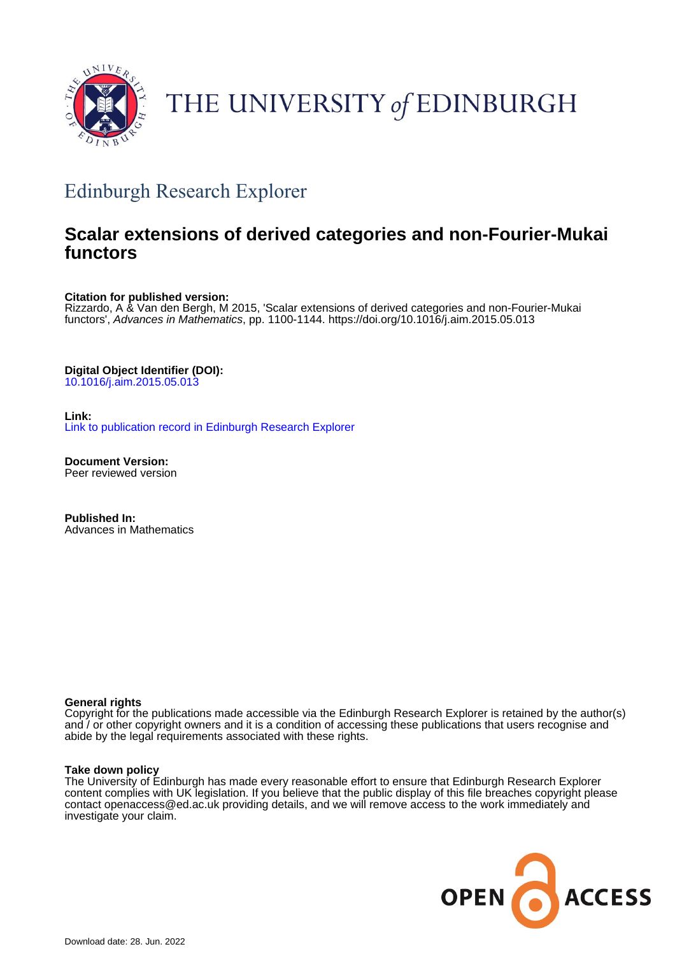

# THE UNIVERSITY of EDINBURGH

## Edinburgh Research Explorer

## **Scalar extensions of derived categories and non-Fourier-Mukai functors**

**Citation for published version:**

Rizzardo, A & Van den Bergh, M 2015, 'Scalar extensions of derived categories and non-Fourier-Mukai functors', Advances in Mathematics, pp. 1100-1144. <https://doi.org/10.1016/j.aim.2015.05.013>

**Digital Object Identifier (DOI):** [10.1016/j.aim.2015.05.013](https://doi.org/10.1016/j.aim.2015.05.013)

**Link:** [Link to publication record in Edinburgh Research Explorer](https://www.research.ed.ac.uk/en/publications/4ca7e152-6f31-42be-b4f9-b337e9a85ebd)

**Document Version:** Peer reviewed version

**Published In:** Advances in Mathematics

## **General rights**

Copyright for the publications made accessible via the Edinburgh Research Explorer is retained by the author(s) and / or other copyright owners and it is a condition of accessing these publications that users recognise and abide by the legal requirements associated with these rights.

## **Take down policy**

The University of Edinburgh has made every reasonable effort to ensure that Edinburgh Research Explorer content complies with UK legislation. If you believe that the public display of this file breaches copyright please contact openaccess@ed.ac.uk providing details, and we will remove access to the work immediately and investigate your claim.

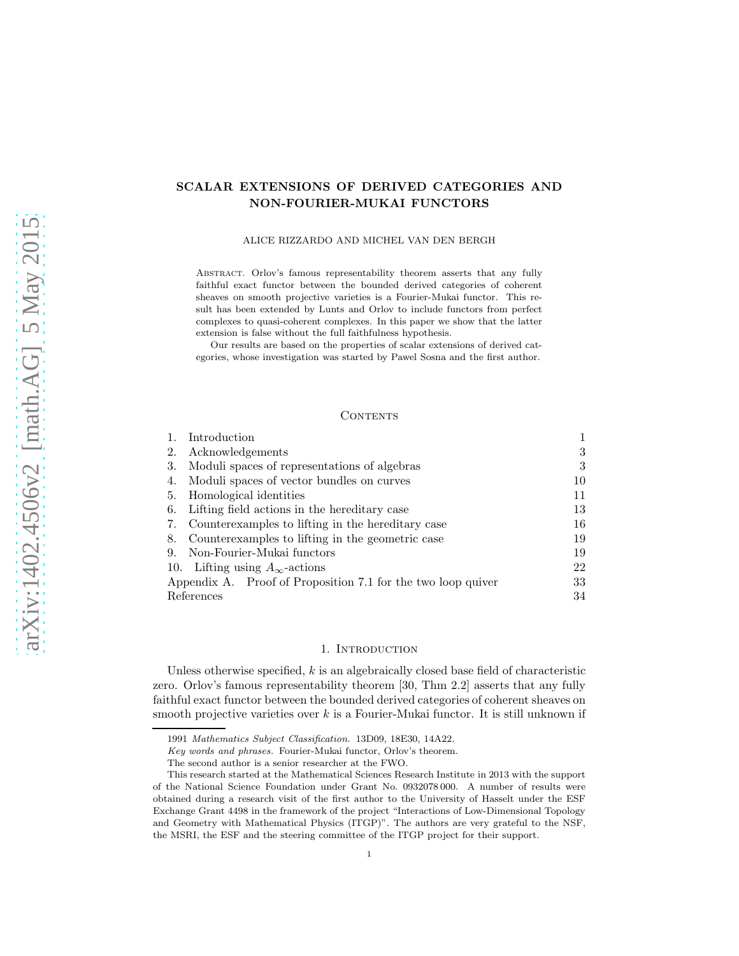## SCALAR EXTENSIONS OF DERIVED CATEGORIES AND NON-FOURIER-MUKAI FUNCTORS

ALICE RIZZARDO AND MICHEL VAN DEN BERGH

Abstract. Orlov's famous representability theorem asserts that any fully faithful exact functor between the bounded derived categories of coherent sheaves on smooth projective varieties is a Fourier-Mukai functor. This result has been extended by Lunts and Orlov to include functors from perfect complexes to quasi-coherent complexes. In this paper we show that the latter extension is false without the full faithfulness hypothesis.

Our results are based on the properties of scalar extensions of derived categories, whose investigation was started by Pawel Sosna and the first author.

#### CONTENTS

| Introduction                                                 |    |
|--------------------------------------------------------------|----|
| Acknowledgements<br>2.                                       | 3  |
| Moduli spaces of representations of algebras<br>3.           | 3  |
| Moduli spaces of vector bundles on curves<br>4.              | 10 |
| Homological identities<br>5.                                 | 11 |
| Lifting field actions in the hereditary case<br>6.           | 13 |
| Counterexamples to lifting in the hereditary case<br>7.      | 16 |
| Counterexamples to lifting in the geometric case<br>8.       | 19 |
| Non-Fourier-Mukai functors<br>9.                             | 19 |
| 10. Lifting using $A_{\infty}$ -actions                      | 22 |
| Appendix A. Proof of Proposition 7.1 for the two loop quiver | 33 |
| References                                                   | 34 |

#### 1. Introduction

Unless otherwise specified,  $k$  is an algebraically closed base field of characteristic zero. Orlov's famous representability theorem [30, Thm 2.2] asserts that any fully faithful exact functor between the bounded derived categories of coherent sheaves on smooth projective varieties over  $k$  is a Fourier-Mukai functor. It is still unknown if

<sup>1991</sup> Mathematics Subject Classification. 13D09, 18E30, 14A22.

Key words and phrases. Fourier-Mukai functor, Orlov's theorem.

The second author is a senior researcher at the FWO.

This research started at the Mathematical Sciences Research Institute in 2013 with the support of the National Science Foundation under Grant No. 0932078 000. A number of results were obtained during a research visit of the first author to the University of Hasselt under the ESF Exchange Grant 4498 in the framework of the project "Interactions of Low-Dimensional Topology and Geometry with Mathematical Physics (ITGP)". The authors are very grateful to the NSF, the MSRI, the ESF and the steering committee of the ITGP project for their support.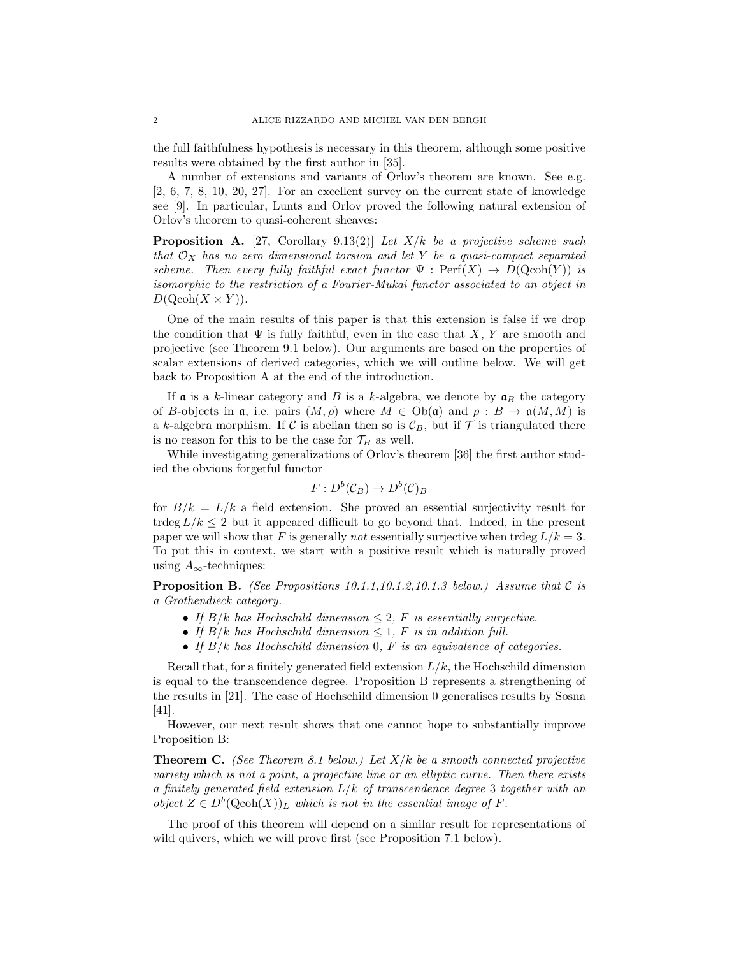the full faithfulness hypothesis is necessary in this theorem, although some positive results were obtained by the first author in [35].

A number of extensions and variants of Orlov's theorem are known. See e.g. [2, 6, 7, 8, 10, 20, 27]. For an excellent survey on the current state of knowledge see [9]. In particular, Lunts and Orlov proved the following natural extension of Orlov's theorem to quasi-coherent sheaves:

**Proposition A.** [27, Corollary 9.13(2)] Let  $X/k$  be a projective scheme such that  $\mathcal{O}_X$  has no zero dimensional torsion and let Y be a quasi-compact separated scheme. Then every fully faithful exact functor  $\Psi : \text{Perf}(X) \to D(\text{Qcoh}(Y))$  is isomorphic to the restriction of a Fourier-Mukai functor associated to an object in  $D(Qcoh(X\times Y)).$ 

One of the main results of this paper is that this extension is false if we drop the condition that  $\Psi$  is fully faithful, even in the case that X, Y are smooth and projective (see Theorem 9.1 below). Our arguments are based on the properties of scalar extensions of derived categories, which we will outline below. We will get back to Proposition A at the end of the introduction.

If  $\alpha$  is a k-linear category and B is a k-algebra, we denote by  $\alpha_B$  the category of B-objects in  $\mathfrak{a}$ , i.e. pairs  $(M, \rho)$  where  $M \in Ob(\mathfrak{a})$  and  $\rho : B \to \mathfrak{a}(M, M)$  is a k-algebra morphism. If C is abelian then so is  $\mathcal{C}_B$ , but if T is triangulated there is no reason for this to be the case for  $\mathcal{T}_B$  as well.

While investigating generalizations of Orlov's theorem [36] the first author studied the obvious forgetful functor

$$
F: D^b(\mathcal{C}_B) \to D^b(\mathcal{C})_B
$$

for  $B/k = L/k$  a field extension. She proved an essential surjectivity result for trdeg  $L/k \leq 2$  but it appeared difficult to go beyond that. Indeed, in the present paper we will show that F is generally not essentially surjective when trdeg  $L/k = 3$ . To put this in context, we start with a positive result which is naturally proved using  $A_{\infty}$ -techniques:

**Proposition B.** (See Propositions 10.1.1,10.1.2,10.1.3 below.) Assume that C is a Grothendieck category.

- If  $B/k$  has Hochschild dimension  $\leq 2$ , F is essentially surjective.
- If  $B/k$  has Hochschild dimension  $\leq 1$ , F is in addition full.
- If  $B/k$  has Hochschild dimension 0, F is an equivalence of categories.

Recall that, for a finitely generated field extension  $L/k$ , the Hochschild dimension is equal to the transcendence degree. Proposition B represents a strengthening of the results in [21]. The case of Hochschild dimension 0 generalises results by Sosna [41].

However, our next result shows that one cannot hope to substantially improve Proposition B:

**Theorem C.** (See Theorem 8.1 below.) Let  $X/k$  be a smooth connected projective variety which is not a point, a projective line or an elliptic curve. Then there exists a finitely generated field extension  $L/k$  of transcendence degree 3 together with an object  $Z \in D^b(\text{Qcoh}(X))_L$  which is not in the essential image of F.

The proof of this theorem will depend on a similar result for representations of wild quivers, which we will prove first (see Proposition 7.1 below).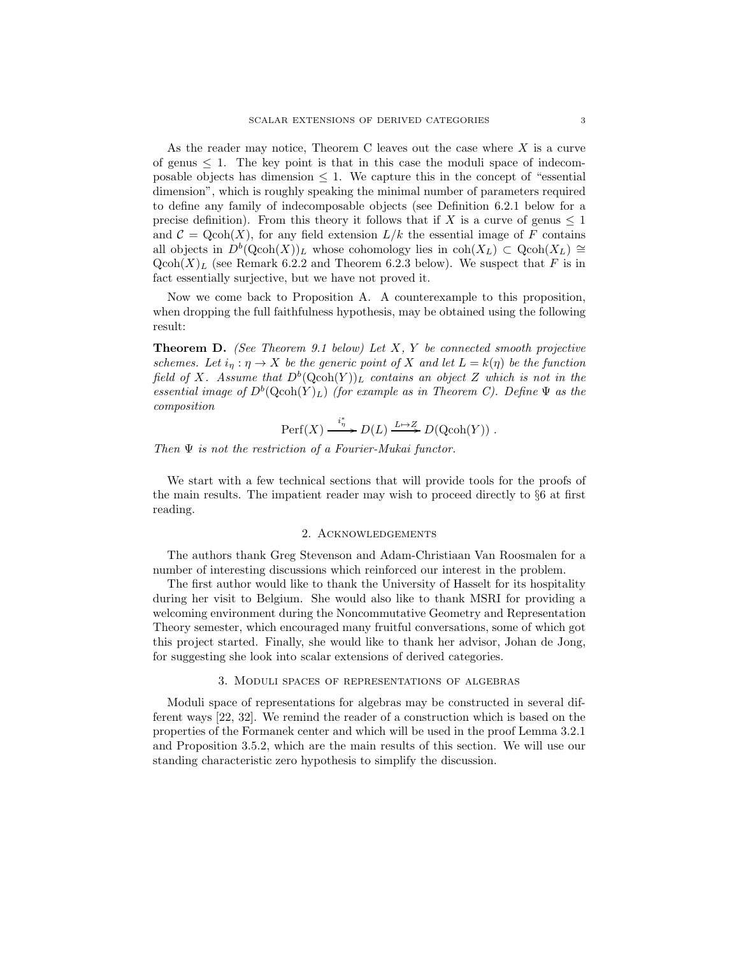As the reader may notice, Theorem C leaves out the case where X is a curve of genus  $\leq 1$ . The key point is that in this case the moduli space of indecomposable objects has dimension  $\leq 1$ . We capture this in the concept of "essential" dimension", which is roughly speaking the minimal number of parameters required to define any family of indecomposable objects (see Definition 6.2.1 below for a precise definition). From this theory it follows that if X is a curve of genus  $\leq 1$ and  $\mathcal{C} = \text{Qcoh}(X)$ , for any field extension  $L/k$  the essential image of F contains all objects in  $D^b(Qcoh(X))_L$  whose cohomology lies in  $coh(X_L) \subset Qcoh(X_L) \cong$  $Qcoh(X)<sub>L</sub>$  (see Remark 6.2.2 and Theorem 6.2.3 below). We suspect that F is in fact essentially surjective, but we have not proved it.

Now we come back to Proposition A. A counterexample to this proposition, when dropping the full faithfulness hypothesis, may be obtained using the following result:

**Theorem D.** (See Theorem 9.1 below) Let  $X$ ,  $Y$  be connected smooth projective schemes. Let  $i_{\eta}: \eta \to X$  be the generic point of X and let  $L = k(\eta)$  be the function field of X. Assume that  $D^b(Qcoh(Y))_L$  contains an object Z which is not in the essential image of  $D^b(Qcoh(Y)_L)$  (for example as in Theorem C). Define  $\Psi$  as the composition

$$
\operatorname{Perf}(X) \xrightarrow{\ i_{\eta}^*} D(L) \xrightarrow{L \mapsto Z} D(\operatorname{Qcoh}(Y)) \; .
$$

Then Ψ is not the restriction of a Fourier-Mukai functor.

We start with a few technical sections that will provide tools for the proofs of the main results. The impatient reader may wish to proceed directly to §6 at first reading.

#### 2. Acknowledgements

The authors thank Greg Stevenson and Adam-Christiaan Van Roosmalen for a number of interesting discussions which reinforced our interest in the problem.

The first author would like to thank the University of Hasselt for its hospitality during her visit to Belgium. She would also like to thank MSRI for providing a welcoming environment during the Noncommutative Geometry and Representation Theory semester, which encouraged many fruitful conversations, some of which got this project started. Finally, she would like to thank her advisor, Johan de Jong, for suggesting she look into scalar extensions of derived categories.

#### 3. Moduli spaces of representations of algebras

Moduli space of representations for algebras may be constructed in several different ways [22, 32]. We remind the reader of a construction which is based on the properties of the Formanek center and which will be used in the proof Lemma 3.2.1 and Proposition 3.5.2, which are the main results of this section. We will use our standing characteristic zero hypothesis to simplify the discussion.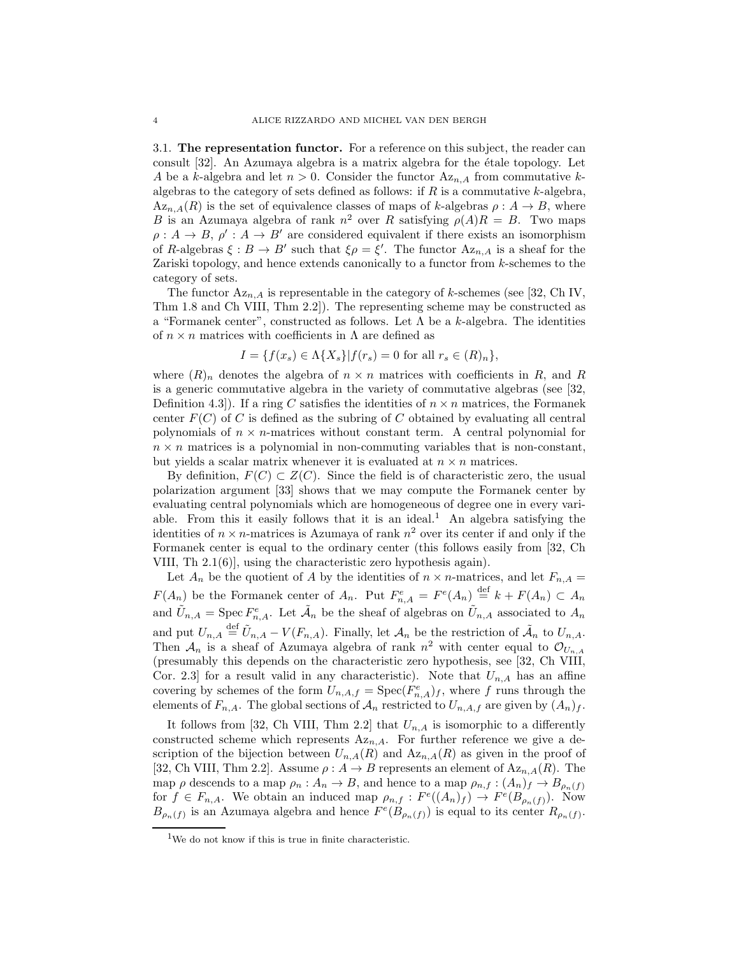3.1. The representation functor. For a reference on this subject, the reader can consult  $[32]$ . An Azumaya algebra is a matrix algebra for the étale topology. Let A be a k-algebra and let  $n > 0$ . Consider the functor  $Az_{n,A}$  from commutative kalgebras to the category of sets defined as follows: if  $R$  is a commutative  $k$ -algebra,  $Az_{n,A}(R)$  is the set of equivalence classes of maps of k-algebras  $\rho: A \to B$ , where B is an Azumaya algebra of rank  $n^2$  over R satisfying  $\rho(A)R = B$ . Two maps  $\rho: A \to B, \rho': A \to B'$  are considered equivalent if there exists an isomorphism of R-algebras  $\xi : B \to B'$  such that  $\xi \rho = \xi'$ . The functor  $Az_{n,A}$  is a sheaf for the Zariski topology, and hence extends canonically to a functor from k-schemes to the category of sets.

The functor  $Az_{n,A}$  is representable in the category of k-schemes (see [32, Ch IV, Thm 1.8 and Ch VIII, Thm 2.2]). The representing scheme may be constructed as a "Formanek center", constructed as follows. Let  $\Lambda$  be a k-algebra. The identities of  $n \times n$  matrices with coefficients in  $\Lambda$  are defined as

$$
I = \{f(x_s) \in \Lambda\{X_s\} | f(r_s) = 0 \text{ for all } r_s \in (R)_n\},
$$

where  $(R)_n$  denotes the algebra of  $n \times n$  matrices with coefficients in R, and R is a generic commutative algebra in the variety of commutative algebras (see [32, Definition 4.3. If a ring C satisfies the identities of  $n \times n$  matrices, the Formanek center  $F(C)$  of C is defined as the subring of C obtained by evaluating all central polynomials of  $n \times n$ -matrices without constant term. A central polynomial for  $n \times n$  matrices is a polynomial in non-commuting variables that is non-constant, but yields a scalar matrix whenever it is evaluated at  $n \times n$  matrices.

By definition,  $F(C) \subset Z(C)$ . Since the field is of characteristic zero, the usual polarization argument [33] shows that we may compute the Formanek center by evaluating central polynomials which are homogeneous of degree one in every variable. From this it easily follows that it is an ideal.<sup>1</sup> An algebra satisfying the identities of  $n \times n$ -matrices is Azumaya of rank  $n^2$  over its center if and only if the Formanek center is equal to the ordinary center (this follows easily from [32, Ch VIII, Th 2.1(6)], using the characteristic zero hypothesis again).

Let  $A_n$  be the quotient of A by the identities of  $n \times n$ -matrices, and let  $F_{n,A}$  =  $F(A_n)$  be the Formanek center of  $A_n$ . Put  $F_{n,A}^e = F^e(A_n) \stackrel{\text{def}}{=} k + F(A_n) \subset A_n$ and  $\tilde{U}_{n,A} = \text{Spec } F_{n,A}^e$ . Let  $\tilde{A}_n$  be the sheaf of algebras on  $\tilde{U}_{n,A}$  associated to  $A_n$ and put  $U_{n,A} \stackrel{\text{def}}{=} \tilde{U}_{n,A} - V(F_{n,A}).$  Finally, let  $\mathcal{A}_n$  be the restriction of  $\tilde{\mathcal{A}}_n$  to  $U_{n,A}$ . Then  $\mathcal{A}_n$  is a sheaf of Azumaya algebra of rank  $n^2$  with center equal to  $\mathcal{O}_{U_{n,A}}$ (presumably this depends on the characteristic zero hypothesis, see [32, Ch VIII, Cor. 2.3] for a result valid in any characteristic). Note that  $U_{n,A}$  has an affine covering by schemes of the form  $U_{n,A,f} = \text{Spec}(F_{n,A}^e)_f$ , where f runs through the elements of  $F_{n,A}$ . The global sections of  $\mathcal{A}_n$  restricted to  $U_{n,A,f}$  are given by  $(A_n)_f$ .

It follows from [32, Ch VIII, Thm 2.2] that  $U_{n,A}$  is isomorphic to a differently constructed scheme which represents  $Az_{n,A}$ . For further reference we give a description of the bijection between  $U_{n,A}(R)$  and  $Az_{n,A}(R)$  as given in the proof of [32, Ch VIII, Thm 2.2]. Assume  $\rho: A \to B$  represents an element of  $Az_{n,A}(R)$ . The map  $\rho$  descends to a map  $\rho_n : A_n \to B$ , and hence to a map  $\rho_{n,f} : (A_n)_f \to B_{\rho_n(f)}$ for  $f \in F_{n,A}$ . We obtain an induced map  $\rho_{n,f} : F^e((A_n)_f) \to F^e(B_{\rho_n(f)})$ . Now  $B_{\rho_n(f)}$  is an Azumaya algebra and hence  $F^e(B_{\rho_n(f)})$  is equal to its center  $R_{\rho_n(f)}$ .

<sup>&</sup>lt;sup>1</sup>We do not know if this is true in finite characteristic.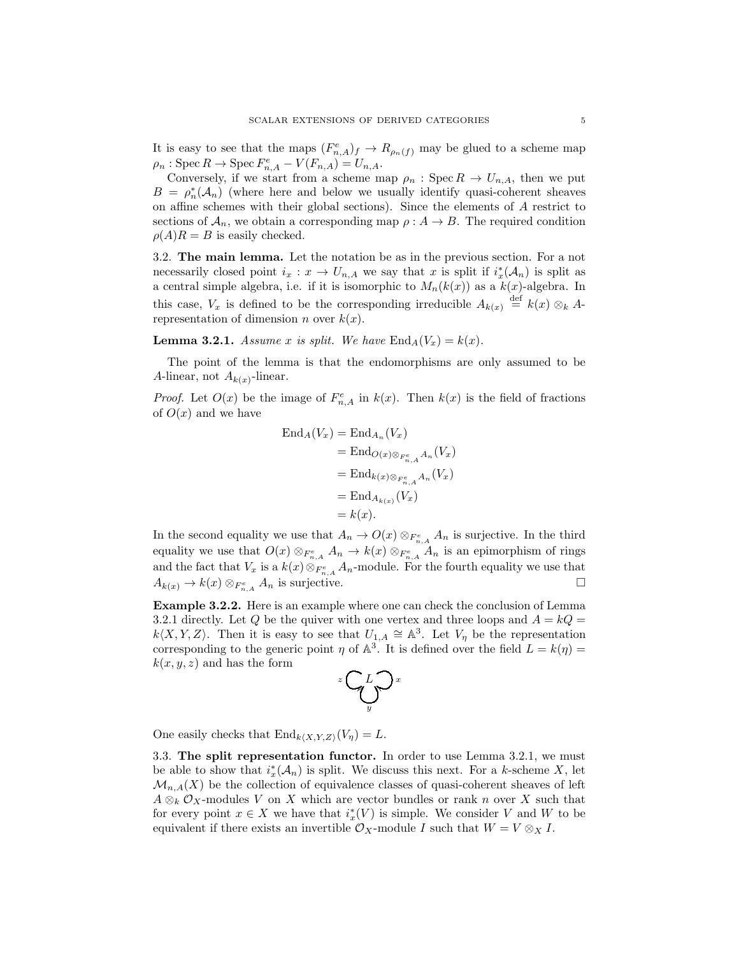It is easy to see that the maps  $(F_{n,A}^e)_f \to R_{\rho_n(f)}$  may be glued to a scheme map  $\rho_n$ : Spec  $R \to \text{Spec } F_{n,A}^e - V(F_{n,A}) = U_{n,A}.$ 

Conversely, if we start from a scheme map  $\rho_n$ : Spec  $R \to U_{n,A}$ , then we put  $B = \rho_n^*(A_n)$  (where here and below we usually identify quasi-coherent sheaves on affine schemes with their global sections). Since the elements of A restrict to sections of  $\mathcal{A}_n$ , we obtain a corresponding map  $\rho: A \to B$ . The required condition  $\rho(A)R = B$  is easily checked.

3.2. The main lemma. Let the notation be as in the previous section. For a not necessarily closed point  $i_x : x \to U_{n,A}$  we say that x is split if  $i_x^*(\mathcal{A}_n)$  is split as a central simple algebra, i.e. if it is isomorphic to  $M_n(k(x))$  as a  $k(x)$ -algebra. In this case,  $V_x$  is defined to be the corresponding irreducible  $A_{k(x)} \stackrel{\text{def}}{=} k(x) \otimes_k A$ representation of dimension *n* over  $k(x)$ .

**Lemma 3.2.1.** Assume x is split. We have  $\text{End}_A(V_x) = k(x)$ .

The point of the lemma is that the endomorphisms are only assumed to be A-linear, not  $A_{k(x)}$ -linear.

*Proof.* Let  $O(x)$  be the image of  $F_{n,A}^e$  in  $k(x)$ . Then  $k(x)$  is the field of fractions of  $O(x)$  and we have

$$
\begin{aligned} \text{End}_A(V_x) &= \text{End}_{A_n}(V_x) \\ &= \text{End}_{O(x)\otimes_{F_{n,A}^e} A_n}(V_x) \\ &= \text{End}_{k(x)\otimes_{F_{n,A}^e} A_n}(V_x) \\ &= \text{End}_{A_{k(x)}}(V_x) \\ &= k(x). \end{aligned}
$$

In the second equality we use that  $A_n \to O(x) \otimes_{F_{n,A}^e} A_n$  is surjective. In the third equality we use that  $O(x) \otimes_{F_{n,A}^e} A_n \to k(x) \otimes_{F_{n,A}^e} A_n$  is an epimorphism of rings and the fact that  $V_x$  is a  $k(x) \otimes_{F_{n,A}^e} A_n$ -module. For the fourth equality we use that  $A_{k(x)} \to k(x) \otimes_{F_{n,A}^e} A_n$  is surjective.

Example 3.2.2. Here is an example where one can check the conclusion of Lemma 3.2.1 directly. Let Q be the quiver with one vertex and three loops and  $A = kQ =$  $k\langle X, Y, Z\rangle$ . Then it is easy to see that  $U_{1,A} \cong \mathbb{A}^3$ . Let  $V_\eta$  be the representation corresponding to the generic point  $\eta$  of  $\mathbb{A}^3$ . It is defined over the field  $L = k(\eta) =$  $k(x, y, z)$  and has the form

$$
{}^x\displaystyle\bigodot_yL\displaystyle\bigodot_x
$$

One easily checks that  $\text{End}_{k\langle X,Y,Z\rangle}(V_{\eta}) = L$ .

3.3. The split representation functor. In order to use Lemma 3.2.1, we must be able to show that  $i_x^*(\mathcal{A}_n)$  is split. We discuss this next. For a k-scheme X, let  $\mathcal{M}_{n,A}(X)$  be the collection of equivalence classes of quasi-coherent sheaves of left  $A \otimes_k O_X$ -modules V on X which are vector bundles or rank n over X such that for every point  $x \in X$  we have that  $i^*_{x}(V)$  is simple. We consider V and W to be equivalent if there exists an invertible  $\mathcal{O}_X$ -module I such that  $W = V \otimes_X I$ .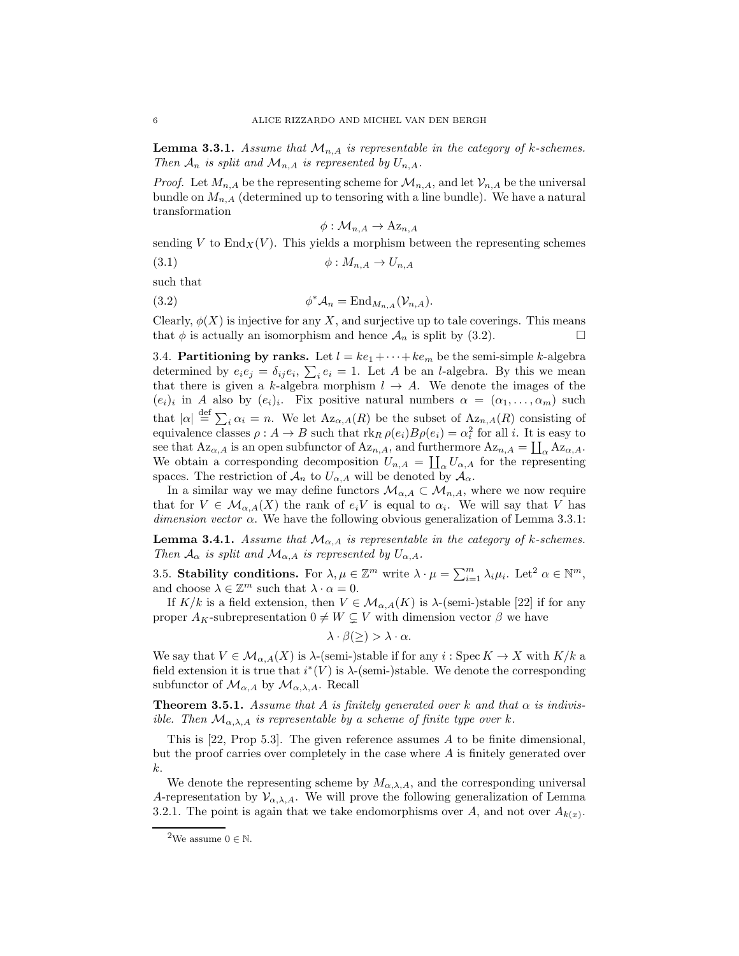**Lemma 3.3.1.** Assume that  $\mathcal{M}_{n,A}$  is representable in the category of k-schemes. Then  $A_n$  is split and  $\mathcal{M}_{n,A}$  is represented by  $U_{n,A}$ .

*Proof.* Let  $M_{n,A}$  be the representing scheme for  $\mathcal{M}_{n,A}$ , and let  $\mathcal{V}_{n,A}$  be the universal bundle on  $M_{n,A}$  (determined up to tensoring with a line bundle). We have a natural transformation

$$
\phi: \mathcal{M}_{n,A} \to \mathrm{Az}_{n,A}
$$

sending V to  $\text{End}_X(V)$ . This yields a morphism between the representing schemes

$$
\phi: M_{n,A} \to U_{n,A}
$$

such that

(3.2) 
$$
\phi^* \mathcal{A}_n = \text{End}_{M_{n,A}}(\mathcal{V}_{n,A}).
$$

Clearly,  $\phi(X)$  is injective for any X, and surjective up to tale coverings. This means that  $\phi$  is actually an isomorphism and hence  $\mathcal{A}_n$  is split by (3.2).

3.4. Partitioning by ranks. Let  $l = ke_1 + \cdots + ke_m$  be the semi-simple k-algebra determined by  $e_i e_j = \delta_{ij} e_i$ ,  $\sum_i e_i = 1$ . Let A be an l-algebra. By this we mean that there is given a k-algebra morphism  $l \rightarrow A$ . We denote the images of the  $(e_i)_i$  in A also by  $(e_i)_i$ . Fix positive natural numbers  $\alpha = (\alpha_1, \ldots, \alpha_m)$  such that  $|\alpha| \stackrel{\text{def}}{=} \sum_i \alpha_i = n$ . We let  $Az_{\alpha,A}(R)$  be the subset of  $Az_{n,A}(R)$  consisting of equivalence classes  $\rho: A \to B$  such that  $\text{rk}_R \rho(e_i)B\rho(e_i) = \alpha_i^2$  for all i. It is easy to see that  $Az_{\alpha,A}$  is an open subfunctor of  $Az_{n,A}$ , and furthermore  $Az_{n,A} = \coprod_{\alpha} Az_{\alpha,A}$ . We obtain a corresponding decomposition  $U_{n,A} = \coprod_{\alpha} U_{\alpha,A}$  for the representing spaces. The restriction of  $\mathcal{A}_n$  to  $U_{\alpha,A}$  will be denoted by  $\mathcal{A}_\alpha$ .

In a similar way we may define functors  $\mathcal{M}_{\alpha,A} \subset \mathcal{M}_{n,A}$ , where we now require that for  $V \in \mathcal{M}_{\alpha,A}(X)$  the rank of  $e_iV$  is equal to  $\alpha_i$ . We will say that V has dimension vector  $\alpha$ . We have the following obvious generalization of Lemma 3.3.1:

**Lemma 3.4.1.** Assume that  $\mathcal{M}_{\alpha,A}$  is representable in the category of k-schemes. Then  $\mathcal{A}_{\alpha}$  is split and  $\mathcal{M}_{\alpha,A}$  is represented by  $U_{\alpha,A}$ .

3.5. Stability conditions. For  $\lambda, \mu \in \mathbb{Z}^m$  write  $\lambda \cdot \mu = \sum_{i=1}^m \lambda_i \mu_i$ . Let<sup>2</sup>  $\alpha \in \mathbb{N}^m$ , and choose  $\lambda \in \mathbb{Z}^m$  such that  $\lambda \cdot \alpha = 0$ .

If  $K/k$  is a field extension, then  $V \in \mathcal{M}_{\alpha,A}(K)$  is  $\lambda$ -(semi-)stable [22] if for any proper  $A_K$ -subrepresentation  $0 \neq W \subsetneq V$  with dimension vector  $\beta$  we have

$$
\lambda \cdot \beta(\ge) > \lambda \cdot \alpha.
$$

We say that  $V \in \mathcal{M}_{\alpha,A}(X)$  is  $\lambda$ -(semi-)stable if for any  $i: \operatorname{Spec} K \to X$  with  $K/k$  a field extension it is true that  $i^*(V)$  is  $\lambda$ -(semi-)stable. We denote the corresponding subfunctor of  $\mathcal{M}_{\alpha,A}$  by  $\mathcal{M}_{\alpha,\lambda,A}$ . Recall

**Theorem 3.5.1.** Assume that A is finitely generated over k and that  $\alpha$  is indivisible. Then  $\mathcal{M}_{\alpha,\lambda,A}$  is representable by a scheme of finite type over k.

This is  $[22, \text{Prop } 5.3]$ . The given reference assumes A to be finite dimensional, but the proof carries over completely in the case where A is finitely generated over k.

We denote the representing scheme by  $M_{\alpha,\lambda,A}$ , and the corresponding universal A-representation by  $\mathcal{V}_{\alpha,\lambda,A}$ . We will prove the following generalization of Lemma 3.2.1. The point is again that we take endomorphisms over A, and not over  $A_{k(x)}$ .

<sup>&</sup>lt;sup>2</sup>We assume  $0 \in \mathbb{N}$ .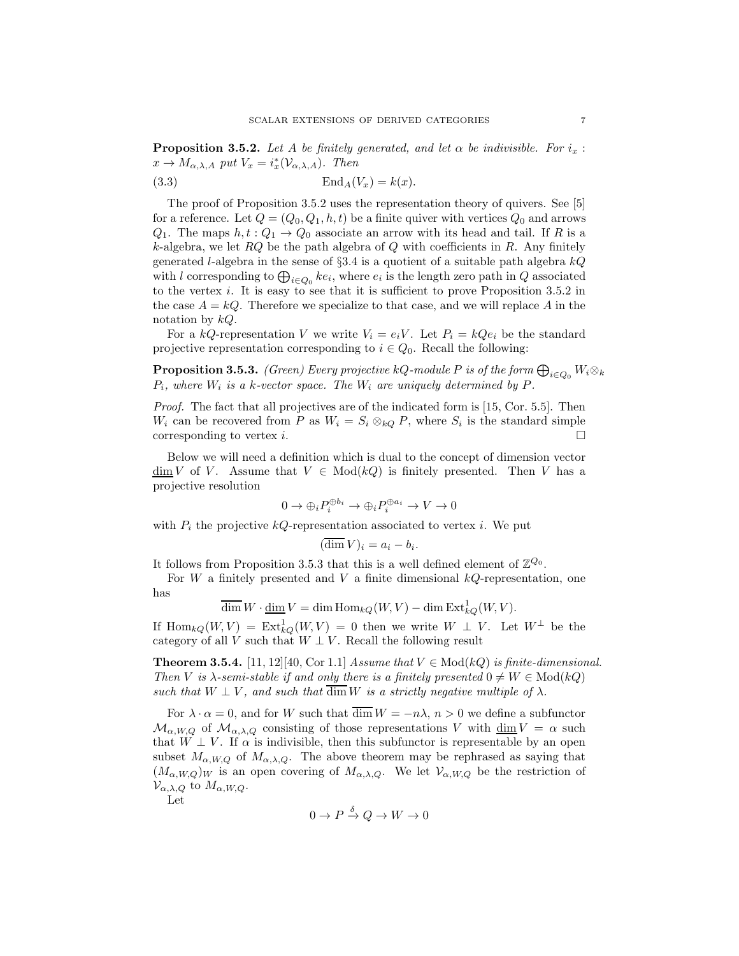**Proposition 3.5.2.** Let A be finitely generated, and let  $\alpha$  be indivisible. For  $i_x$ :  $x \to M_{\alpha,\lambda,A}$  put  $V_x = i_x^*(\mathcal{V}_{\alpha,\lambda,A})$ . Then

$$
\text{End}_A(V_x) = k(x).
$$

The proof of Proposition 3.5.2 uses the representation theory of quivers. See [5] for a reference. Let  $Q = (Q_0, Q_1, h, t)$  be a finite quiver with vertices  $Q_0$  and arrows  $Q_1$ . The maps  $h, t : Q_1 \to Q_0$  associate an arrow with its head and tail. If R is a k-algebra, we let  $RQ$  be the path algebra of Q with coefficients in R. Any finitely generated *l*-algebra in the sense of  $\S 3.4$  is a quotient of a suitable path algebra  $kQ$ with l corresponding to  $\bigoplus_{i\in Q_0}ke_i$ , where  $e_i$  is the length zero path in  $Q$  associated to the vertex i. It is easy to see that it is sufficient to prove Proposition 3.5.2 in the case  $A = kQ$ . Therefore we specialize to that case, and we will replace A in the notation by  $kQ$ .

For a kQ-representation V we write  $V_i = e_i V$ . Let  $P_i = kQe_i$  be the standard projective representation corresponding to  $i \in Q_0$ . Recall the following:

**Proposition 3.5.3.** (Green) Every projective kQ-module P is of the form  $\bigoplus_{i\in Q_0} W_i\otimes_k$  $P_i$ , where  $W_i$  is a k-vector space. The  $W_i$  are uniquely determined by  $P$ .

Proof. The fact that all projectives are of the indicated form is [15, Cor. 5.5]. Then  $W_i$  can be recovered from P as  $W_i = S_i \otimes_{kQ} P$ , where  $S_i$  is the standard simple corresponding to vertex i.

Below we will need a definition which is dual to the concept of dimension vector  $\dim V$  of V. Assume that  $V \in Mod(kQ)$  is finitely presented. Then V has a projective resolution

$$
0 \to \oplus_i P_i^{\oplus b_i} \to \oplus_i P_i^{\oplus a_i} \to V \to 0
$$

with  $P_i$  the projective kQ-representation associated to vertex i. We put

$$
(\overline{\dim}\, V)_i = a_i - b_i.
$$

It follows from Proposition 3.5.3 that this is a well defined element of  $\mathbb{Z}^{Q_0}$ .

For  $W$  a finitely presented and  $V$  a finite dimensional  $kQ$ -representation, one has

$$
\overline{\dim} W \cdot \underline{\dim} V = \dim \operatorname{Hom}_{kQ}(W, V) - \dim \operatorname{Ext}_{kQ}^1(W, V).
$$

If  $\text{Hom}_{kQ}(W, V) = \text{Ext}^1_{kQ}(W, V) = 0$  then we write  $W \perp V$ . Let  $W^{\perp}$  be the category of all V such that  $W \perp V$ . Recall the following result

**Theorem 3.5.4.** [11, 12][40, Cor 1.1] Assume that  $V \in Mod(kQ)$  is finite-dimensional. Then V is  $\lambda$ -semi-stable if and only there is a finitely presented  $0 \neq W \in Mod(kQ)$ such that  $W \perp V$ , and such that  $\overline{\dim} W$  is a strictly negative multiple of  $\lambda$ .

For  $\lambda \cdot \alpha = 0$ , and for W such that  $\overline{\dim} W = -n\lambda$ ,  $n > 0$  we define a subfunctor  $\mathcal{M}_{\alpha,W,Q}$  of  $\mathcal{M}_{\alpha,\lambda,Q}$  consisting of those representations V with  $\dim V = \alpha$  such that  $W \perp V$ . If  $\alpha$  is indivisible, then this subfunctor is representable by an open subset  $M_{\alpha,W,Q}$  of  $M_{\alpha,\lambda,Q}$ . The above theorem may be rephrased as saying that  $(M_{\alpha,W,Q})_W$  is an open covering of  $M_{\alpha,\lambda,Q}$ . We let  $\mathcal{V}_{\alpha,W,Q}$  be the restriction of  $\mathcal{V}_{\alpha,\lambda,Q}$  to  $M_{\alpha,W,Q}$ .

Let

$$
0 \to P \xrightarrow{\delta} Q \to W \to 0
$$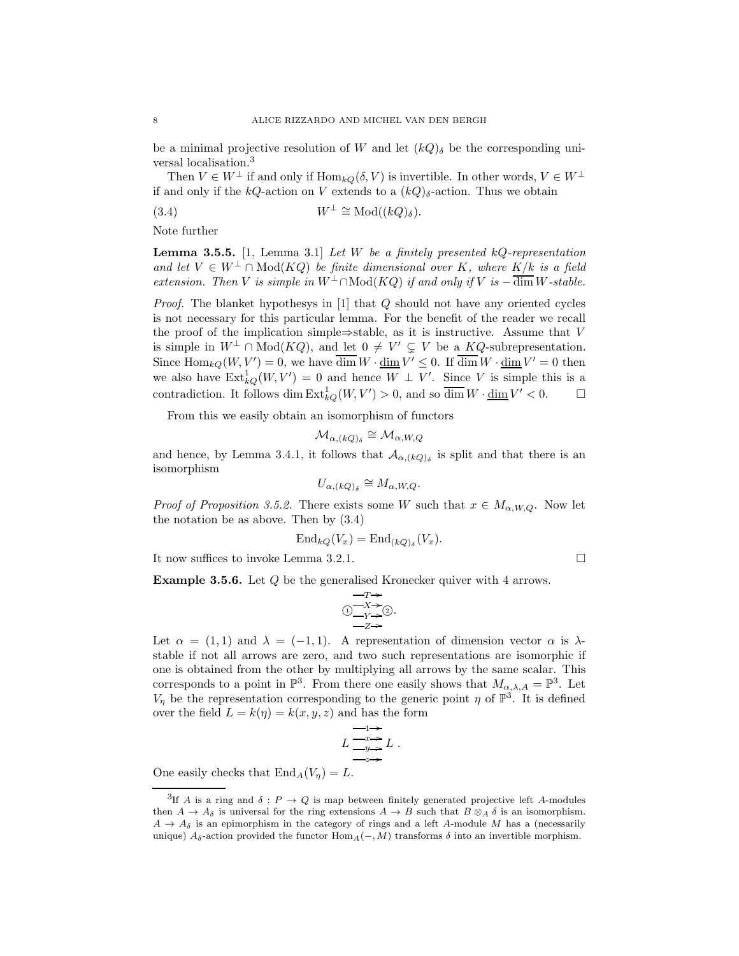be a minimal projective resolution of W and let  $(kQ)_{\delta}$  be the corresponding universal localisation.<sup>3</sup>

Then  $V \in W^{\perp}$  if and only if  $\text{Hom}_{kO}(\delta, V)$  is invertible. In other words,  $V \in W^{\perp}$ if and only if the kQ-action on V extends to a  $(kQ)_{\delta}$ -action. Thus we obtain

(3.4) 
$$
W^{\perp} \cong \text{Mod}((kQ)_{\delta}).
$$

Note further

**Lemma 3.5.5.** [1, Lemma 3.1] Let W be a finitely presented  $kQ$ -representation and let  $V \in W^{\perp} \cap \text{Mod}(KQ)$  be finite dimensional over K, where  $K/k$  is a field extension. Then V is simple in  $W^{\perp} \cap \text{Mod}(KQ)$  if and only if V is  $-\overline{\dim} W$ -stable.

Proof. The blanket hypothesys in [1] that Q should not have any oriented cycles is not necessary for this particular lemma. For the benefit of the reader we recall the proof of the implication simple⇒stable, as it is instructive. Assume that  $V$ is simple in  $W^{\perp} \cap Mod(KQ)$ , and let  $0 \neq V' \subsetneq V$  be a  $KQ$ -subrepresentation. Since  $\text{Hom}_{kQ}(W, V') = 0$ , we have  $\overline{\dim} W \cdot \underline{\dim} V' \leq 0$ . If  $\overline{\dim} W \cdot \underline{\dim} V' = 0$  then we also have  $\text{Ext}_{kQ}^1(W, V') = 0$  and hence  $W \perp V'$ . Since V is simple this is a contradiction. It follows dim  $\text{Ext}_{kQ}^1(W, V') > 0$ , and so  $\overline{\dim} W \cdot \underline{\dim} V' < 0$ .  $\Box$ 

From this we easily obtain an isomorphism of functors

$$
\mathcal{M}_{\alpha,(kQ)_\delta} \cong \mathcal{M}_{\alpha,W,Q}
$$

and hence, by Lemma 3.4.1, it follows that  $\mathcal{A}_{\alpha,(kQ)_{\delta}}$  is split and that there is an isomorphism

$$
U_{\alpha,(kQ)_{\delta}} \cong M_{\alpha,W,Q}.
$$

*Proof of Proposition 3.5.2.* There exists some W such that  $x \in M_{\alpha,W,Q}$ . Now let the notation be as above. Then by (3.4)

$$
\mathrm{End}_{kQ}(V_x)=\mathrm{End}_{(kQ)_{\delta}}(V_x).
$$

It now suffices to invoke Lemma 3.2.1.

Example 3.5.6. Let Q be the generalised Kronecker quiver with 4 arrows.

$$
\begin{array}{c}\n-T \rightarrow \\
\begin{array}{c}\n\bigcirc -X \rightarrow \\
Y \rightarrow \end{array} \\
\begin{array}{c}\n\bigcirc -X \rightarrow \\
\hline\n-X \rightarrow\n\end{array}
$$

Let  $\alpha = (1,1)$  and  $\lambda = (-1,1)$ . A representation of dimension vector  $\alpha$  is  $\lambda$ stable if not all arrows are zero, and two such representations are isomorphic if one is obtained from the other by multiplying all arrows by the same scalar. This corresponds to a point in  $\mathbb{P}^3$ . From there one easily shows that  $M_{\alpha,\lambda,A} = \mathbb{P}^3$ . Let  $V_{\eta}$  be the representation corresponding to the generic point  $\eta$  of  $\mathbb{P}^{3}$ . It is defined over the field  $L = k(\eta) = k(x, y, z)$  and has the form

$$
L \xrightarrow{1}{-x \to 0} L.
$$
  

$$
L \xrightarrow{-x \to 0} L.
$$

One easily checks that  $\text{End}_A(V_\eta) = L$ .

$$
\sqcup
$$

<sup>&</sup>lt;sup>3</sup>If A is a ring and  $\delta: P \to Q$  is map between finitely generated projective left A-modules then  $A \to A_{\delta}$  is universal for the ring extensions  $A \to B$  such that  $B \otimes_A \delta$  is an isomorphism.  $A \rightarrow A_{\delta}$  is an epimorphism in the category of rings and a left A-module M has a (necessarily unique)  $A_{\delta}$ -action provided the functor  $\text{Hom}_{A}(-, M)$  transforms  $\delta$  into an invertible morphism.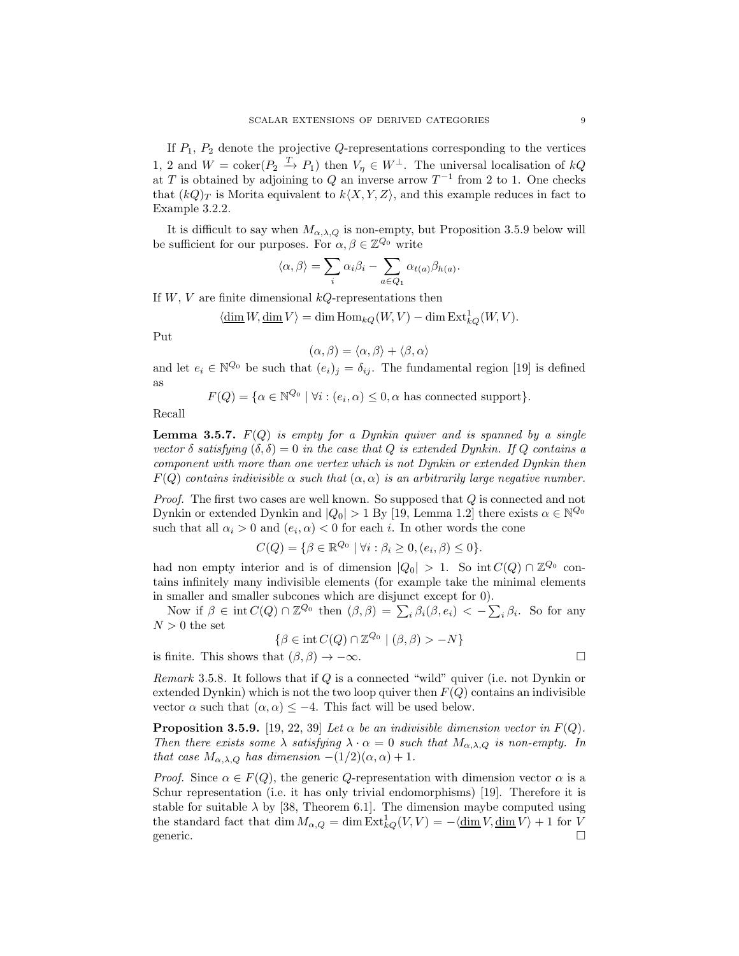If  $P_1$ ,  $P_2$  denote the projective  $Q$ -representations corresponding to the vertices 1, 2 and  $W = \text{coker}(P_2 \stackrel{T}{\rightarrow} P_1)$  then  $V_{\eta} \in W^{\perp}$ . The universal localisation of  $kQ$ at T is obtained by adjoining to Q an inverse arrow  $T^{-1}$  from 2 to 1. One checks that  $(kQ)_T$  is Morita equivalent to  $k\langle X, Y, Z \rangle$ , and this example reduces in fact to Example 3.2.2.

It is difficult to say when  $M_{\alpha,\lambda,Q}$  is non-empty, but Proposition 3.5.9 below will be sufficient for our purposes. For  $\alpha, \beta \in \mathbb{Z}^{Q_0}$  write

$$
\langle \alpha, \beta \rangle = \sum_{i} \alpha_i \beta_i - \sum_{a \in Q_1} \alpha_{t(a)} \beta_{h(a)}.
$$

If  $W, V$  are finite dimensional  $kQ$ -representations then

$$
\langle \operatorname{\underline{dim}} W, \operatorname{\underline{dim}} V \rangle = \operatorname{dim} \operatorname{Hom}_{kQ}(W, V) - \operatorname{dim} \operatorname{Ext}_{kQ}^1(W, V).
$$

Put

$$
(\alpha, \beta) = \langle \alpha, \beta \rangle + \langle \beta, \alpha \rangle
$$

and let  $e_i \in \mathbb{N}^{\mathcal{Q}_0}$  be such that  $(e_i)_j = \delta_{ij}$ . The fundamental region [19] is defined as

$$
F(Q) = \{ \alpha \in \mathbb{N}^{Q_0} \mid \forall i : (e_i, \alpha) \le 0, \alpha \text{ has connected support} \}.
$$

Recall

**Lemma 3.5.7.**  $F(Q)$  is empty for a Dynkin quiver and is spanned by a single vector  $\delta$  satisfying  $(\delta, \delta) = 0$  in the case that Q is extended Dynkin. If Q contains a component with more than one vertex which is not Dynkin or extended Dynkin then  $F(Q)$  contains indivisible  $\alpha$  such that  $(\alpha, \alpha)$  is an arbitrarily large negative number.

Proof. The first two cases are well known. So supposed that Q is connected and not Dynkin or extended Dynkin and  $|Q_0| > 1$  By [19, Lemma 1.2] there exists  $\alpha \in \mathbb{N}^{\mathcal{Q}_0}$ such that all  $\alpha_i > 0$  and  $(e_i, \alpha) < 0$  for each i. In other words the cone

$$
C(Q) = \{ \beta \in \mathbb{R}^{Q_0} \mid \forall i : \beta_i \ge 0, (e_i, \beta) \le 0 \}.
$$

had non empty interior and is of dimension  $|Q_0| > 1$ . So int $C(Q) \cap \mathbb{Z}^{Q_0}$  contains infinitely many indivisible elements (for example take the minimal elements in smaller and smaller subcones which are disjunct except for 0).

Now if  $\beta \in \text{int } C(Q) \cap \mathbb{Z}^{Q_0}$  then  $(\beta, \beta) = \sum_i \beta_i(\beta, e_i) < -\sum_i \beta_i$ . So for any  $N > 0$  the set

$$
\{\beta \in \text{int } C(Q) \cap \mathbb{Z}^{Q_0} \mid (\beta, \beta) > -N\}
$$

is finite. This shows that  $(\beta, \beta) \to -\infty$ .

*Remark* 3.5.8. It follows that if  $Q$  is a connected "wild" quiver (i.e. not Dynkin or extended Dynkin) which is not the two loop quiver then  $F(Q)$  contains an indivisible vector  $\alpha$  such that  $(\alpha, \alpha) \leq -4$ . This fact will be used below.

**Proposition 3.5.9.** [19, 22, 39] Let  $\alpha$  be an indivisible dimension vector in  $F(Q)$ . Then there exists some  $\lambda$  satisfying  $\lambda \cdot \alpha = 0$  such that  $M_{\alpha,\lambda,Q}$  is non-empty. In that case  $M_{\alpha,\lambda,Q}$  has dimension  $-(1/2)(\alpha,\alpha)+1$ .

*Proof.* Since  $\alpha \in F(Q)$ , the generic Q-representation with dimension vector  $\alpha$  is a Schur representation (i.e. it has only trivial endomorphisms) [19]. Therefore it is stable for suitable  $\lambda$  by [38, Theorem 6.1]. The dimension maybe computed using the standard fact that  $\dim M_{\alpha,Q} = \dim \text{Ext}_{kQ}^1(V,V) = -\langle \underline{\dim} V, \underline{\dim} V \rangle + 1$  for V generic.  $\square$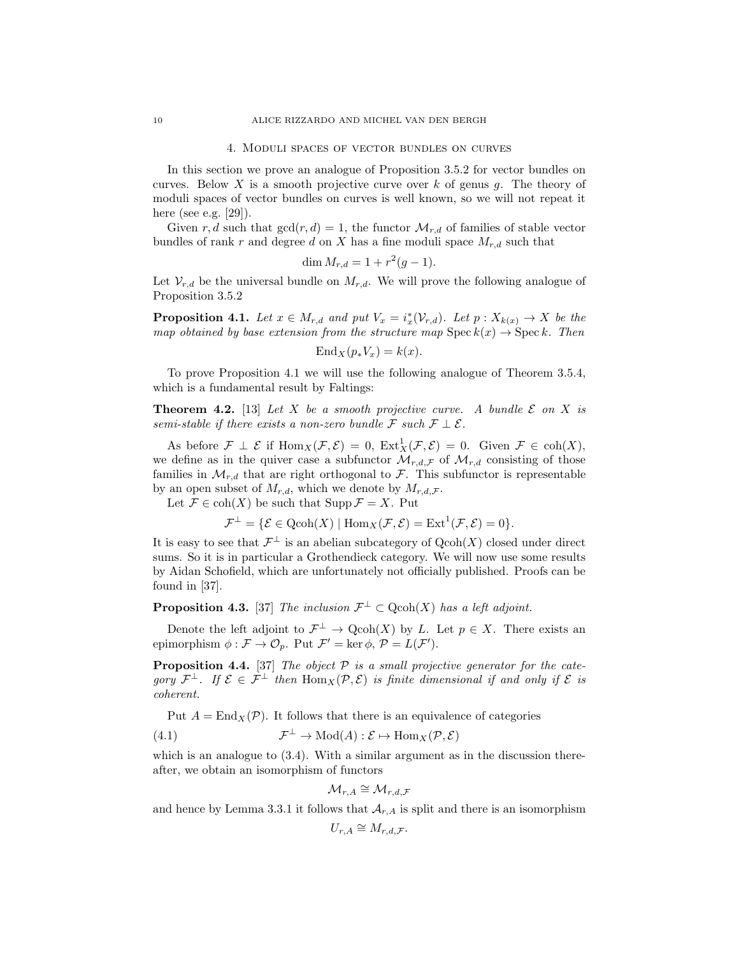#### 4. Moduli spaces of vector bundles on curves

In this section we prove an analogue of Proposition 3.5.2 for vector bundles on curves. Below X is a smooth projective curve over k of genus q. The theory of moduli spaces of vector bundles on curves is well known, so we will not repeat it here (see e.g. [29]).

Given r, d such that  $gcd(r, d) = 1$ , the functor  $\mathcal{M}_{r, d}$  of families of stable vector bundles of rank r and degree d on X has a fine moduli space  $M_{r,d}$  such that

$$
\dim M_{r,d} = 1 + r^2(g-1).
$$

Let  $V_{r,d}$  be the universal bundle on  $M_{r,d}$ . We will prove the following analogue of Proposition 3.5.2

**Proposition 4.1.** Let  $x \in M_{r,d}$  and put  $V_x = i_x^*(\mathcal{V}_{r,d})$ . Let  $p: X_{k(x)} \to X$  be the map obtained by base extension from the structure map  $\text{Spec } k(x) \to \text{Spec } k$ . Then

$$
End_X(p_*V_x) = k(x).
$$

To prove Proposition 4.1 we will use the following analogue of Theorem 3.5.4, which is a fundamental result by Faltings:

**Theorem 4.2.** [13] Let X be a smooth projective curve. A bundle  $\mathcal{E}$  on X is semi-stable if there exists a non-zero bundle F such  $\mathcal{F} \perp \mathcal{E}$ .

As before  $\mathcal{F} \perp \mathcal{E}$  if  $\text{Hom}_X(\mathcal{F}, \mathcal{E}) = 0$ ,  $\text{Ext}^1_X(\mathcal{F}, \mathcal{E}) = 0$ . Given  $\mathcal{F} \in \text{coh}(X)$ , we define as in the quiver case a subfunctor  $\mathcal{M}_{r,d,\mathcal{F}}$  of  $\mathcal{M}_{r,d}$  consisting of those families in  $\mathcal{M}_{r,d}$  that are right orthogonal to F. This subfunctor is representable by an open subset of  $M_{r,d}$ , which we denote by  $M_{r,d,\mathcal{F}}$ .

Let  $\mathcal{F} \in \text{coh}(X)$  be such that  $\text{Supp}\,\mathcal{F} = X$ . Put

$$
\mathcal{F}^{\perp} = \{ \mathcal{E} \in \text{Qcoh}(X) \mid \text{Hom}_X(\mathcal{F}, \mathcal{E}) = \text{Ext}^1(\mathcal{F}, \mathcal{E}) = 0 \}.
$$

It is easy to see that  $\mathcal{F}^{\perp}$  is an abelian subcategory of  $\text{Qcoh}(X)$  closed under direct sums. So it is in particular a Grothendieck category. We will now use some results by Aidan Schofield, which are unfortunately not officially published. Proofs can be found in [37].

**Proposition 4.3.** [37] The inclusion  $\mathcal{F}^{\perp} \subset \text{Qcoh}(X)$  has a left adjoint.

Denote the left adjoint to  $\mathcal{F}^{\perp} \to \mathrm{Qcoh}(X)$  by L. Let  $p \in X$ . There exists an epimorphism  $\phi : \mathcal{F} \to \mathcal{O}_p$ . Put  $\mathcal{F}' = \ker \phi$ ,  $\mathcal{P} = L(\mathcal{F}')$ .

**Proposition 4.4.** [37] The object  $P$  is a small projective generator for the category  $\mathcal{F}^{\perp}$ . If  $\mathcal{E} \in \mathcal{F}^{\perp}$  then  $\text{Hom}_X(\mathcal{P}, \mathcal{E})$  is finite dimensional if and only if  $\mathcal{E}$  is coherent.

Put  $A = \text{End}_X(\mathcal{P})$ . It follows that there is an equivalence of categories

(4.1) 
$$
\mathcal{F}^{\perp} \to \mathrm{Mod}(A) : \mathcal{E} \mapsto \mathrm{Hom}_X(\mathcal{P}, \mathcal{E})
$$

which is an analogue to  $(3.4)$ . With a similar argument as in the discussion thereafter, we obtain an isomorphism of functors

$$
\mathcal{M}_{r,A}\cong \mathcal{M}_{r,d,\mathcal{F}}
$$

and hence by Lemma 3.3.1 it follows that  $A_{r,A}$  is split and there is an isomorphism

$$
U_{r,A} \cong M_{r,d,\mathcal{F}}.
$$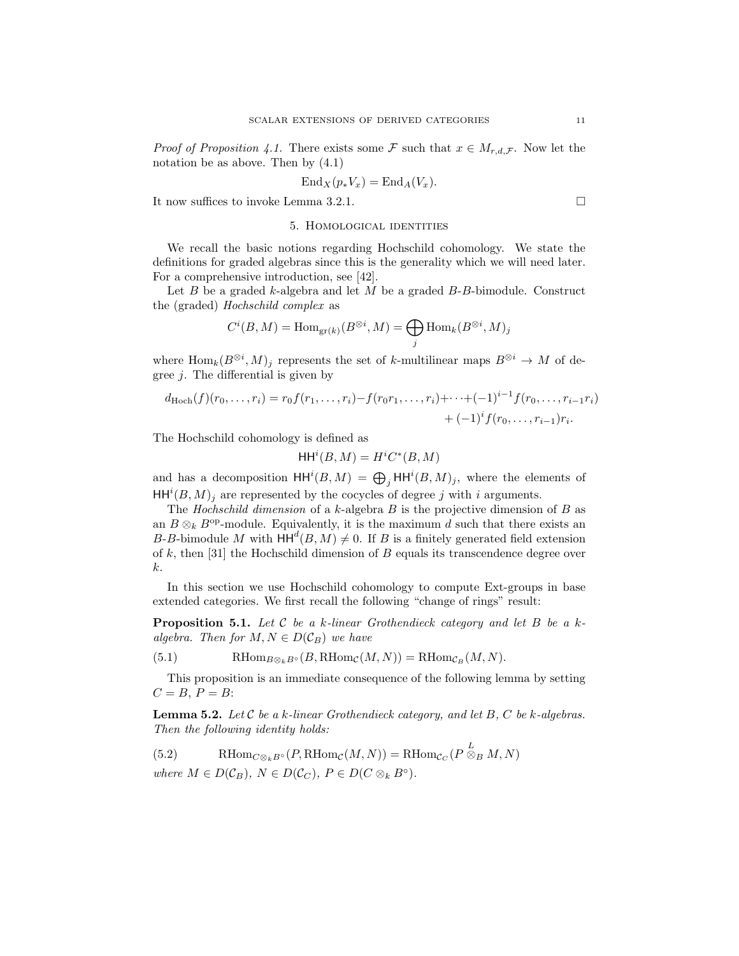*Proof of Proposition 4.1.* There exists some F such that  $x \in M_{r,d,\mathcal{F}}$ . Now let the notation be as above. Then by (4.1)

$$
End_X(p_*V_x) = End_A(V_x).
$$

It now suffices to invoke Lemma 3.2.1.

#### 5. Homological identities

We recall the basic notions regarding Hochschild cohomology. We state the definitions for graded algebras since this is the generality which we will need later. For a comprehensive introduction, see [42].

Let  $B$  be a graded  $k$ -algebra and let  $M$  be a graded  $B$ - $B$ -bimodule. Construct the (graded) Hochschild complex as

$$
C^i(B,M) = \text{Hom}_{\text{gr}(k)}(B^{\otimes i},M) = \bigoplus_j \text{Hom}_k(B^{\otimes i},M)_j
$$

where  $\text{Hom}_k(B^{\otimes i}, M)_j$  represents the set of k-multilinear maps  $B^{\otimes i} \to M$  of degree  $j$ . The differential is given by

$$
d_{\text{Hoch}}(f)(r_0, \ldots, r_i) = r_0 f(r_1, \ldots, r_i) - f(r_0 r_1, \ldots, r_i) + \cdots + (-1)^{i-1} f(r_0, \ldots, r_{i-1} r_i) + (-1)^i f(r_0, \ldots, r_{i-1}) r_i.
$$

The Hochschild cohomology is defined as

$$
\mathsf{HH}^i(B, M) = H^i C^*(B, M)
$$

and has a decomposition  $HH^{i}(B, M) = \bigoplus_{j} HH^{i}(B, M)_{j}$ , where the elements of  $HH^{i}(B, M)_{j}$  are represented by the cocycles of degree j with i arguments.

The Hochschild dimension of a k-algebra  $B$  is the projective dimension of  $B$  as an  $B \otimes_k B^{op}$ -module. Equivalently, it is the maximum d such that there exists an B-B-bimodule M with  $HH^d(B, M) \neq 0$ . If B is a finitely generated field extension of k, then [31] the Hochschild dimension of B equals its transcendence degree over k.

In this section we use Hochschild cohomology to compute Ext-groups in base extended categories. We first recall the following "change of rings" result:

**Proposition 5.1.** Let C be a k-linear Grothendieck category and let B be a kalgebra. Then for  $M, N \in D(\mathcal{C}_B)$  we have

(5.1) 
$$
\text{RHom}_{B\otimes_k B^{\circ}}(B, \text{RHom}_{\mathcal{C}}(M, N)) = \text{RHom}_{\mathcal{C}_B}(M, N).
$$

This proposition is an immediate consequence of the following lemma by setting  $C = B$ ,  $P = B$ :

**Lemma 5.2.** Let  $C$  be a k-linear Grothendieck category, and let  $B$ ,  $C$  be k-algebras. Then the following identity holds:

(5.2) 
$$
\text{RHom}_{C\otimes_k B^{\circ}}(P, \text{RHom}_{\mathcal{C}}(M, N)) = \text{RHom}_{\mathcal{C}_C}(P \overset{L}{\otimes}_B M, N)
$$
  
where  $M \in D(\mathcal{C}_B)$ ,  $N \in D(\mathcal{C}_C)$ ,  $P \in D(C \otimes_k B^{\circ})$ .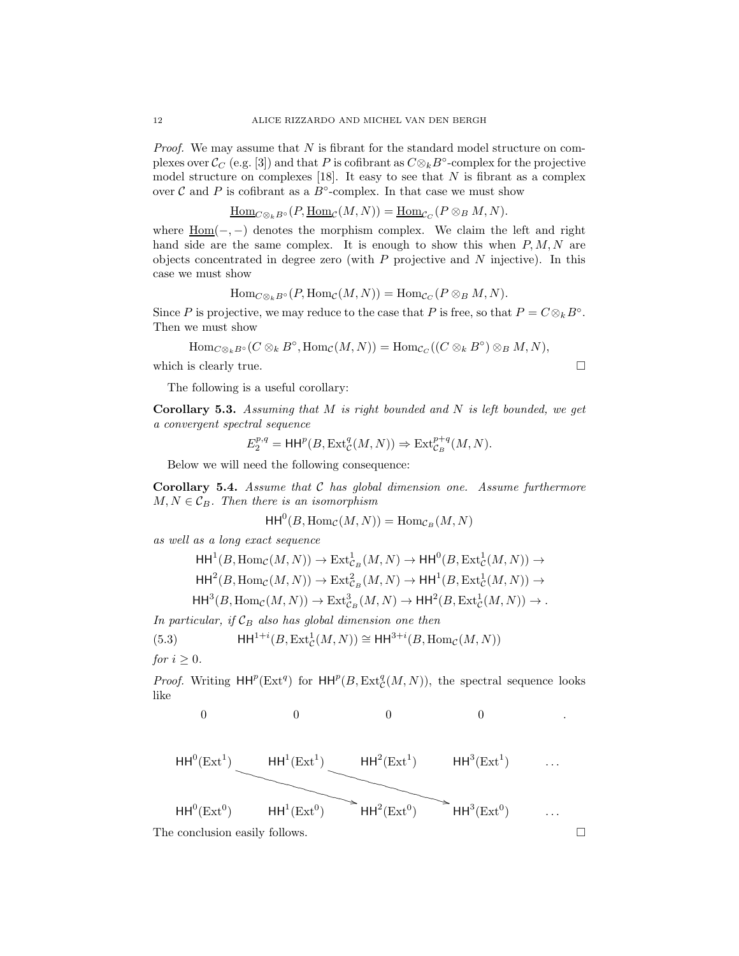*Proof.* We may assume that  $N$  is fibrant for the standard model structure on complexes over  $\mathcal{C}_C$  (e.g. [3]) and that P is cofibrant as  $C \otimes_k B^{\circ}$ -complex for the projective model structure on complexes  $[18]$ . It easy to see that N is fibrant as a complex over  $\mathcal C$  and  $P$  is cofibrant as a  $B^{\circ}$ -complex. In that case we must show

$$
\underline{\mathrm{Hom}}_{C\otimes_k B^\circ}(P, \underline{\mathrm{Hom}}_{\mathcal{C}}(M,N)) = \underline{\mathrm{Hom}}_{\mathcal{C}_C}(P\otimes_B M, N).
$$

where  $\underline{Hom}(-,-)$  denotes the morphism complex. We claim the left and right hand side are the same complex. It is enough to show this when  $P, M, N$  are objects concentrated in degree zero (with  $P$  projective and  $N$  injective). In this case we must show

$$
\mathrm{Hom}_{C\otimes_k B^\circ}(P,\mathrm{Hom}_{\mathcal{C}}(M,N))=\mathrm{Hom}_{\mathcal{C}_C}(P\otimes_B M,N).
$$

Since P is projective, we may reduce to the case that P is free, so that  $P = C \otimes_k B^\circ$ . Then we must show

$$
\mathrm{Hom}_{C\otimes_k B^\circ}(C\otimes_k B^\circ,\mathrm{Hom}_{\mathcal C}(M,N))=\mathrm{Hom}_{\mathcal C_C}((C\otimes_k B^\circ)\otimes_B M,N),
$$

which is clearly true.  $\Box$ 

The following is a useful corollary:

**Corollary 5.3.** Assuming that  $M$  is right bounded and  $N$  is left bounded, we get a convergent spectral sequence

$$
E_2^{p,q} = \mathsf{HH}^p(B,\mathrm{Ext}^q_{\mathcal{C}}(M,N)) \Rightarrow \mathrm{Ext}^{p+q}_{\mathcal{C}_B}(M,N).
$$

Below we will need the following consequence:

Corollary 5.4. Assume that C has global dimension one. Assume furthermore  $M, N \in \mathcal{C}_B$ . Then there is an isomorphism

$$
\mathsf{HH}^0(B, \mathsf{Hom}_{\mathcal{C}}(M, N)) = \mathsf{Hom}_{\mathcal{C}_B}(M, N)
$$

as well as a long exact sequence

$$
HH1(B, HomC(M, N)) \to Ext1CB(M, N) \to HH0(B, Ext1C(M, N)) \to
$$
  
\n
$$
HH2(B, HomC(M, N)) \to Ext2CB(M, N) \to HH1(B, Ext1C(M, N)) \to
$$
  
\n
$$
HH3(B, HomC(M, N)) \to Ext3CB(M, N) \to HH2(B, Ext1C(M, N)) \to .
$$

In particular, if  $\mathcal{C}_B$  also has global dimension one then

(5.3) 
$$
\mathsf{HH}^{1+i}(B,\mathrm{Ext}^1_{\mathcal{C}}(M,N)) \cong \mathsf{HH}^{3+i}(B,\mathrm{Hom}_{\mathcal{C}}(M,N))
$$

for  $i > 0$ .

*Proof.* Writing  $HH^p(\text{Ext}^q)$  for  $HH^p(B, \text{Ext}^q_{\mathcal{C}}(M, N))$ , the spectral sequence looks like

$$
0 \t 0 \t 0 \t 0 \t 0
$$

 $\sum$ HH<sup>2</sup>(Ext<sup>0</sup>)  $\overline{a}$  $\overline{\phantom{a}}$  $\overline{\phantom{a}}$  $\overline{\phantom{a}}$  $\overline{\phantom{a}}$  $\overline{\phantom{a}}$  $\overline{\phantom{a}}$  $\rightarrow$  HH<sup>3</sup>(Ext<sup>0</sup>)  $\overline{\phantom{a}}$  $\overline{\phantom{a}}$  $\overline{\phantom{a}}$  $\overline{\phantom{a}}$  $\overline{\phantom{a}}$  $\overline{\phantom{a}}$  $\mathsf{HH}^0(\operatorname{Ext}^0$ )  $HH<sup>1</sup>(Ext<sup>0</sup>)$ )  $HH^2(Ext^0)$ )  $\cdots$ 

 $\overline{\phantom{0}}$  $\overline{\phantom{0}}$ 

The conclusion easily follows.

 $\overline{\phantom{a}}$  $\overline{\phantom{a}}$ 

$$
\overline{a}
$$

$$
\Box
$$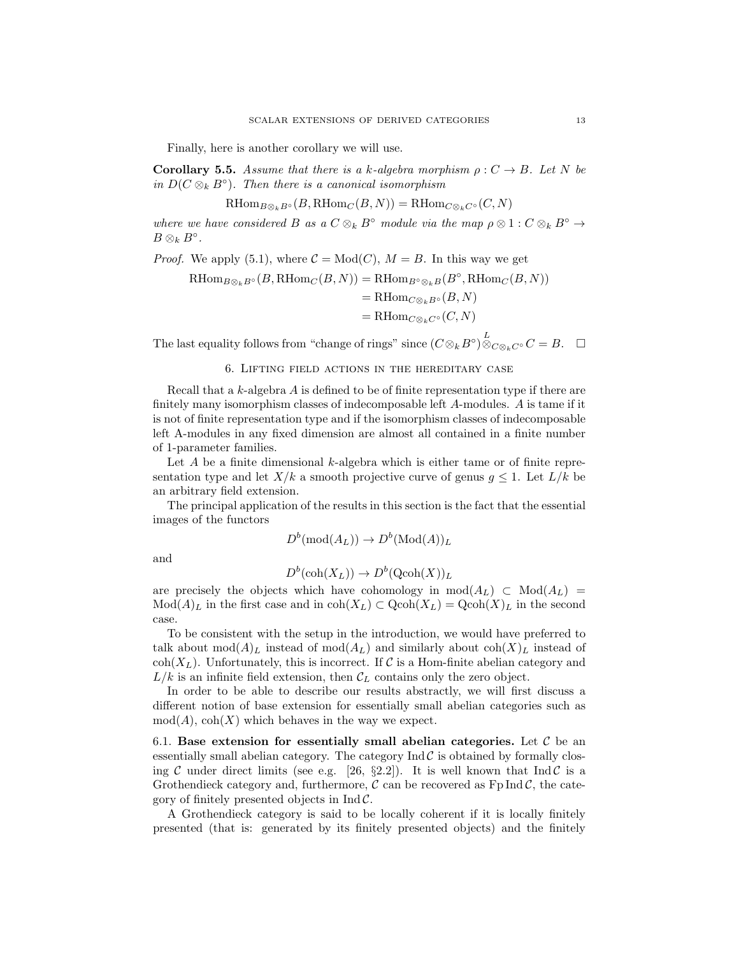Finally, here is another corollary we will use.

**Corollary 5.5.** Assume that there is a k-algebra morphism  $\rho: C \to B$ . Let N be in  $D(C \otimes_k B^{\circ})$ . Then there is a canonical isomorphism

$$
\operatorname{RHom}_{B\otimes_k B^\circ}(B,\operatorname{RHom}_C(B,N))=\operatorname{RHom}_{C\otimes_k C^\circ}(C,N)
$$

where we have considered B as a  $C \otimes_k B^{\circ}$  module via the map  $\rho \otimes 1 : C \otimes_k B^{\circ} \rightarrow$  $B\otimes_k B^{\circ}.$ 

*Proof.* We apply (5.1), where  $C = Mod(C)$ ,  $M = B$ . In this way we get

$$
\operatorname{RHom}\nolimits_{B \otimes_k B^\circ}(B, \operatorname{RHom}\nolimits_{C}(B,N)) = \operatorname{RHom}\nolimits_{B^\circ \otimes_k B}(B^\circ, \operatorname{RHom}\nolimits_{C}(B,N))
$$

$$
= \mathrm{RHom}_{C\otimes_k B^\circ}(B,N)
$$

 $= \mathrm{RHom}_{C\otimes_k C^{\circ}}(C, N)$ 

The last equality follows from "change of rings" since  $(C \otimes_k B^{\circ}) \overset{L}{\otimes}_{C \otimes_k C^{\circ}} C = B$ .  $\Box$ 

#### 6. Lifting field actions in the hereditary case

Recall that a  $k$ -algebra  $A$  is defined to be of finite representation type if there are finitely many isomorphism classes of indecomposable left A-modules. A is tame if it is not of finite representation type and if the isomorphism classes of indecomposable left A-modules in any fixed dimension are almost all contained in a finite number of 1-parameter families.

Let A be a finite dimensional k-algebra which is either tame or of finite representation type and let  $X/k$  a smooth projective curve of genus  $g \leq 1$ . Let  $L/k$  be an arbitrary field extension.

The principal application of the results in this section is the fact that the essential images of the functors

$$
D^b(\operatorname{mod}(A_L)) \to D^b(\operatorname{Mod}(A))_L
$$

and

$$
D^b(\operatorname{coh}(X_L)) \to D^b(\operatorname{Qcoh}(X))_L
$$

are precisely the objects which have cohomology in  $mod(A_L) \subset Mod(A_L)$  $Mod(A)_L$  in the first case and in  $coh(X_L) \subset Qcoh(X_L) = Qcoh(X)_L$  in the second case.

To be consistent with the setup in the introduction, we would have preferred to talk about  $mod(A)<sub>L</sub>$  instead of  $mod(A<sub>L</sub>)$  and similarly about  $coh(X)<sub>L</sub>$  instead of  $\text{coh}(X_L)$ . Unfortunately, this is incorrect. If C is a Hom-finite abelian category and  $L/k$  is an infinite field extension, then  $\mathcal{C}_L$  contains only the zero object.

In order to be able to describe our results abstractly, we will first discuss a different notion of base extension for essentially small abelian categories such as  $mod(A)$ ,  $coh(X)$  which behaves in the way we expect.

6.1. Base extension for essentially small abelian categories. Let  $\mathcal C$  be an essentially small abelian category. The category  $\text{Ind } C$  is obtained by formally closing C under direct limits (see e.g. [26, §2.2]). It is well known that Ind C is a Grothendieck category and, furthermore,  $\mathcal C$  can be recovered as  $FpInd \mathcal C$ , the category of finitely presented objects in  $\text{Ind }\mathcal{C}$ .

A Grothendieck category is said to be locally coherent if it is locally finitely presented (that is: generated by its finitely presented objects) and the finitely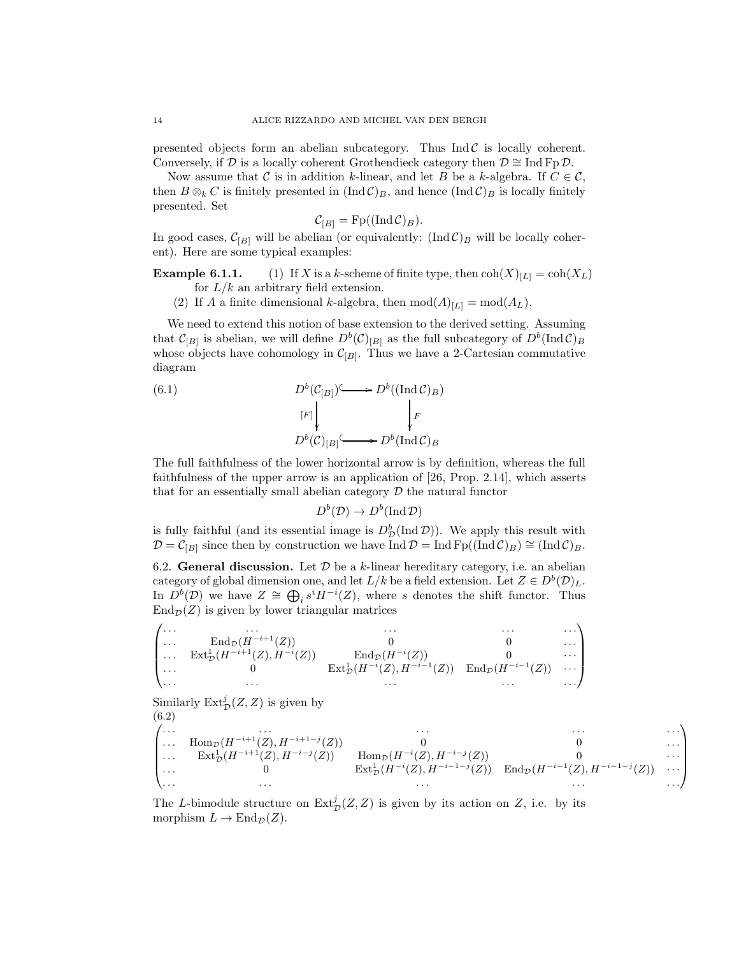presented objects form an abelian subcategory. Thus  $\text{Ind } C$  is locally coherent. Conversely, if D is a locally coherent Grothendieck category then  $\mathcal{D} \cong \text{Ind Fp } \mathcal{D}$ .

Now assume that C is in addition k-linear, and let B be a k-algebra. If  $C \in \mathcal{C}$ , then  $B \otimes_k C$  is finitely presented in  $(Ind \mathcal{C})_B$ , and hence  $(Ind \mathcal{C})_B$  is locally finitely presented. Set

$$
\mathcal{C}_{[B]} = \text{Fp}((\text{Ind}\,\mathcal{C})_B).
$$

In good cases,  $\mathcal{C}_{[B]}$  will be abelian (or equivalently:  $(\text{Ind }\mathcal{C})_B$  will be locally coherent). Here are some typical examples:

**Example 6.1.1.** (1) If X is a k-scheme of finite type, then  $\text{coh}(X)_{[L]} = \text{coh}(X_L)$ for  $L/k$  an arbitrary field extension.

(2) If A a finite dimensional k-algebra, then  $mod(A)_{[L]} = mod(A_L)$ .

We need to extend this notion of base extension to the derived setting. Assuming that  $\mathcal{C}_{[B]}$  is abelian, we will define  $D^b(\mathcal{C})_{[B]}$  as the full subcategory of  $D^b(\text{Ind}\,\mathcal{C})_B$ whose objects have cohomology in  $\mathcal{C}_{[B]}$ . Thus we have a 2-Cartesian commutative diagram

(6.1)  
\n
$$
D^{b}(C_{[B]}) \longrightarrow D^{b}((\text{Ind }C)_{B})
$$
\n
$$
[F] \downarrow \qquad \qquad \downarrow F
$$
\n
$$
D^{b}(C)_{[B]} \longrightarrow D^{b}(\text{Ind }C)_{B}
$$

The full faithfulness of the lower horizontal arrow is by definition, whereas the full faithfulness of the upper arrow is an application of [26, Prop. 2.14], which asserts that for an essentially small abelian category  $D$  the natural functor

$$
D^b(\mathcal{D}) \to D^b(\operatorname{Ind} \mathcal{D})
$$

is fully faithful (and its essential image is  $D^b_{\mathcal{D}}(\text{Ind }\mathcal{D})$ ). We apply this result with  $\mathcal{D} = \mathcal{C}_{[B]}$  since then by construction we have Ind  $\mathcal{D} = \text{Ind }\text{Fp}((\text{Ind }\mathcal{C})_B) \cong (\text{Ind }\mathcal{C})_B$ .

6.2. General discussion. Let  $\mathcal D$  be a k-linear hereditary category, i.e. an abelian category of global dimension one, and let  $L/k$  be a field extension. Let  $Z \in D^b(\mathcal{D})_L$ . In  $D^b(D)$  we have  $Z \cong \bigoplus_i s^i H^{-i}(Z)$ , where s denotes the shift functor. Thus  $\text{End}_{\mathcal{D}}(Z)$  is given by lower triangular matrices

$$
\begin{pmatrix}\n\cdots & \cdots & \cdots & \cdots & \cdots \\
\cdots & \operatorname{End}\nolimits_{\mathcal{D}}(H^{-i+1}(Z)) & 0 & 0 & \cdots \\
\cdots & \operatorname{Ext}\nolimits_{\mathcal{D}}^1(H^{-i+1}(Z), H^{-i}(Z)) & \operatorname{End}\nolimits_{\mathcal{D}}(H^{-i}(Z)) & 0 & \cdots \\
\cdots & 0 & \operatorname{Ext}\nolimits_{\mathcal{D}}^1(H^{-i}(Z), H^{-i-1}(Z)) & \operatorname{End}\nolimits_{\mathcal{D}}(H^{-i-1}(Z)) & \cdots \\
\cdots & \cdots & \cdots & \cdots\n\end{pmatrix}
$$

Similarly  $\mathrm{Ext}^j_{\mathcal{D}}(Z,Z)$  is given by (6.2)

$$
\begin{pmatrix}\n\cdots & \cdots & \cdots & \cdots \\
\cdots & \text{Hom}_{\mathcal{D}}(H^{-i+1}(Z), H^{-i+1-j}(Z)) & 0 & 0 & \cdots \\
\cdots & \text{Ext}^1_{\mathcal{D}}(H^{-i+1}(Z), H^{-i-j}(Z)) & \text{Hom}_{\mathcal{D}}(H^{-i}(Z), H^{-i-j}(Z)) & 0 & \cdots \\
\cdots & 0 & \text{Ext}^1_{\mathcal{D}}(H^{-i}(Z), H^{-i-1-j}(Z)) & \text{End}_{\mathcal{D}}(H^{-i-1}(Z), H^{-i-1-j}(Z)) & \cdots \\
\cdots & \cdots & \cdots & \cdots\n\end{pmatrix}
$$

The L-bimodule structure on  $\text{Ext}^j_{\mathcal{D}}(Z, Z)$  is given by its action on Z, i.e. by its morphism  $L \to \text{End}_{\mathcal{D}}(Z)$ .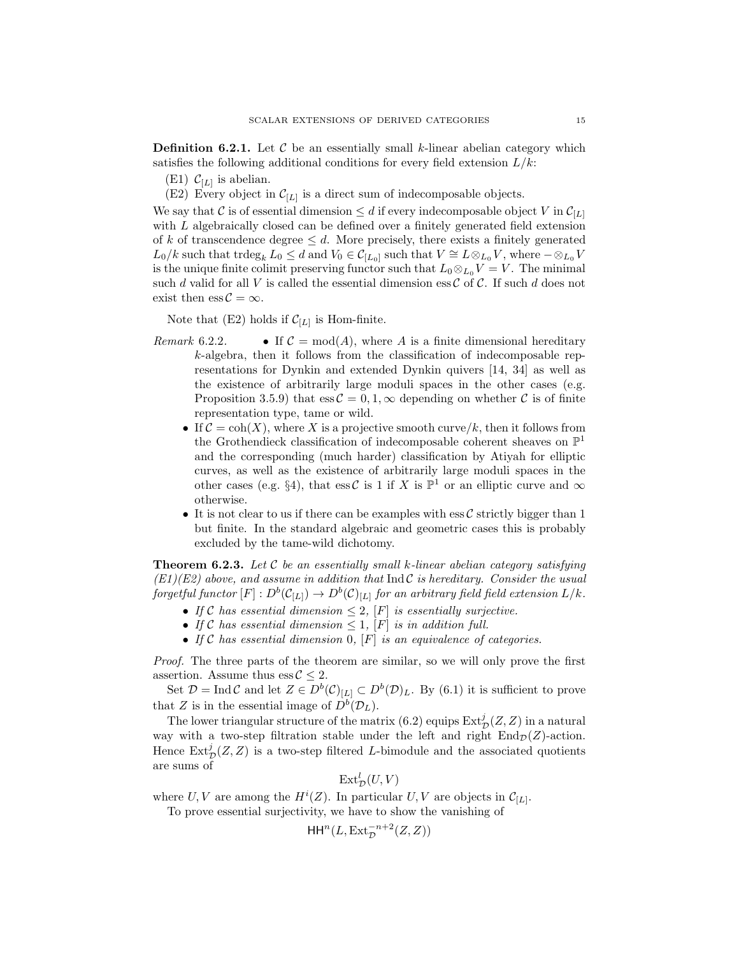**Definition 6.2.1.** Let  $\mathcal{C}$  be an essentially small k-linear abelian category which satisfies the following additional conditions for every field extension  $L/k$ :

- $(E1)$   $C_{L}$  is abelian.
- (E2) Every object in  $\mathcal{C}_{[L]}$  is a direct sum of indecomposable objects.

We say that C is of essential dimension  $\leq d$  if every indecomposable object V in  $\mathcal{C}_{[L]}$ with L algebraically closed can be defined over a finitely generated field extension of k of transcendence degree  $\leq d$ . More precisely, there exists a finitely generated  $L_0/k$  such that trdeg<sub>k</sub>  $L_0 \le d$  and  $V_0 \in \mathcal{C}_{[L_0]}$  such that  $V \cong L \otimes_{L_0} V$ , where  $-\otimes_{L_0} V$ is the unique finite colimit preserving functor such that  $L_0 \otimes_{L_0} V = V$ . The minimal such d valid for all V is called the essential dimension ess  $\mathcal C$  of  $\mathcal C$ . If such d does not exist then  $\text{ess } C = \infty$ .

Note that (E2) holds if  $\mathcal{C}_{[L]}$  is Hom-finite.

- Remark 6.2.2. If  $\mathcal{C} = \text{mod}(A)$ , where A is a finite dimensional hereditary k-algebra, then it follows from the classification of indecomposable representations for Dynkin and extended Dynkin quivers [14, 34] as well as the existence of arbitrarily large moduli spaces in the other cases (e.g. Proposition 3.5.9) that  $\operatorname{ess} \mathcal{C} = 0, 1, \infty$  depending on whether C is of finite representation type, tame or wild.
	- If  $\mathcal{C} = \text{coh}(X)$ , where X is a projective smooth curve/k, then it follows from the Grothendieck classification of indecomposable coherent sheaves on  $\mathbb{P}^1$ and the corresponding (much harder) classification by Atiyah for elliptic curves, as well as the existence of arbitrarily large moduli spaces in the other cases (e.g. §4), that ess C is 1 if X is  $\mathbb{P}^1$  or an elliptic curve and  $\infty$ otherwise.
	- It is not clear to us if there can be examples with  $\operatorname{ess}\mathcal{C}$  strictly bigger than 1 but finite. In the standard algebraic and geometric cases this is probably excluded by the tame-wild dichotomy.

**Theorem 6.2.3.** Let  $C$  be an essentially small k-linear abelian category satisfying  $(E1)(E2)$  above, and assume in addition that Ind C is hereditary. Consider the usual forgetful functor  $[F]:D^b(\mathcal{C} _{[L]})\to D^b(\mathcal{C} )_{[L]}$  for an arbitrary field field extension  $L/k.$ 

- If C has essential dimension  $\leq 2$ , [F] is essentially surjective.
- If C has essential dimension  $\leq 1$ ,  $[F]$  is in addition full.
- If C has essential dimension  $0$ ,  $[F]$  is an equivalence of categories.

Proof. The three parts of the theorem are similar, so we will only prove the first assertion. Assume thus  $\operatorname{ess} \mathcal{C} \leq 2$ .

Set  $\mathcal{D} = \text{Ind }\mathcal{C}$  and let  $Z \in D^b(\mathcal{C})_{[L]} \subset D^b(\mathcal{D})_L$ . By (6.1) it is sufficient to prove that Z is in the essential image of  $D^b(\mathcal{D}_L)$ .

The lower triangular structure of the matrix (6.2) equips  $\text{Ext}^j_{\mathcal{D}}(Z,Z)$  in a natural way with a two-step filtration stable under the left and right  $\text{End}_{\mathcal{D}}(Z)$ -action. Hence  $\text{Ext}^j_{\mathcal{D}}(Z,Z)$  is a two-step filtered L-bimodule and the associated quotients are sums of

$$
\operatorname{Ext}^l_{\mathcal{D}}(U,V)
$$

where U, V are among the  $H^i(Z)$ . In particular U, V are objects in  $\mathcal{C}_{[L]}$ .

To prove essential surjectivity, we have to show the vanishing of

$$
\mathsf{HH}^n(L,\operatorname{Ext}_{\mathcal{D}}^{-n+2}(Z,Z))
$$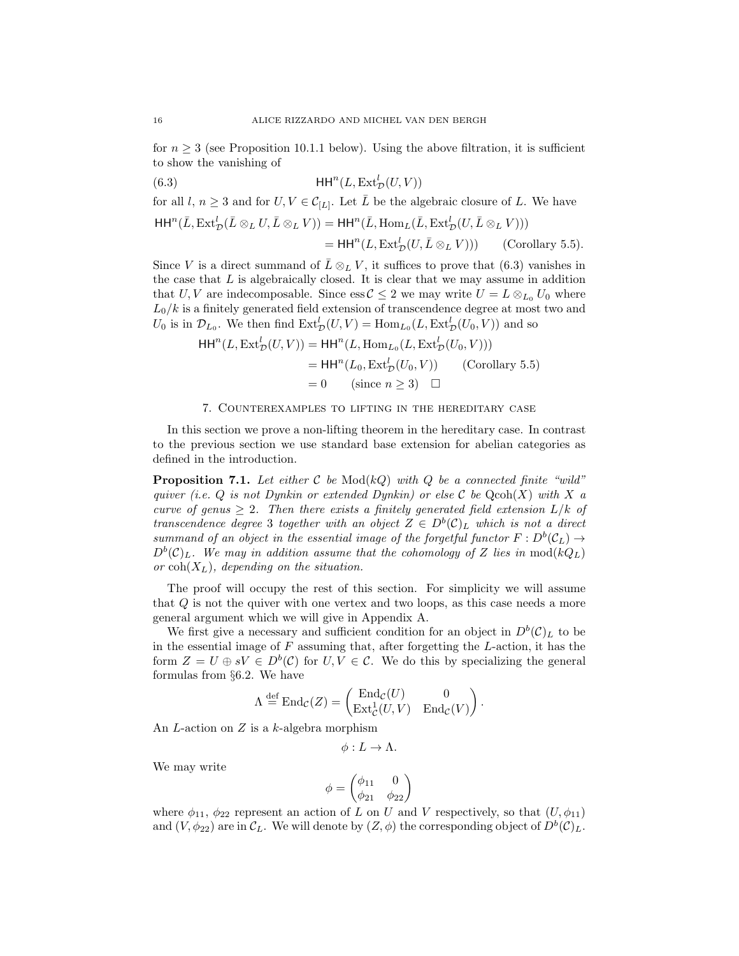for  $n \geq 3$  (see Proposition 10.1.1 below). Using the above filtration, it is sufficient to show the vanishing of

$$
(6.3) \tHHn(L, ExtDl(U, V))
$$

for all  $l, n \geq 3$  and for  $U, V \in C_{[L]}$ . Let  $\overline{L}$  be the algebraic closure of L. We have  $\mathsf{HH}^n(\bar L,\operatorname{Ext}^l_{\mathcal{D}}(\bar L\otimes_L U,\bar L\otimes_L V))=\mathsf{HH}^n(\bar L,\operatorname{Hom}_L(\bar L,\operatorname{Ext}^l_{\mathcal{D}}(U,\bar L\otimes_L V)))$ =  $HH<sup>n</sup>(L, Ext<sub>D</sub><sup>l</sup>(U, \bar{L} \otimes_L V)))$  (Corollary 5.5).

Since V is a direct summand of  $\overline{L} \otimes_L V$ , it suffices to prove that (6.3) vanishes in the case that  $L$  is algebraically closed. It is clear that we may assume in addition that U, V are indecomposable. Since ess  $\mathcal{C} \leq 2$  we may write  $U = L \otimes_{L_0} U_0$  where  $L_0/k$  is a finitely generated field extension of transcendence degree at most two and  $U_0$  is in  $\mathcal{D}_{L_0}$ . We then find  $\text{Ext}^l_{\mathcal{D}}(U,V) = \text{Hom}_{L_0}(L, \text{Ext}^l_{\mathcal{D}}(U_0, V))$  and so

$$
HHn(L, ExtDl(U, V)) = HHn(L, HomL0(L, ExtDl(U0, V)))
$$
  
= HH<sup>n</sup>(L<sub>0</sub>, Ext<sub>D</sub><sup>l</sup>(U<sub>0</sub>, V)) (Corollary 5.5)  
= 0 (since  $n \ge 3$ )  $\square$ 

#### 7. Counterexamples to lifting in the hereditary case

In this section we prove a non-lifting theorem in the hereditary case. In contrast to the previous section we use standard base extension for abelian categories as defined in the introduction.

**Proposition 7.1.** Let either C be  $Mod(kQ)$  with Q be a connected finite "wild" quiver (i.e.  $Q$  is not Dynkin or extended Dynkin) or else C be  $Q\text{coh}(X)$  with X a curve of genus  $\geq 2$ . Then there exists a finitely generated field extension  $L/k$  of transcendence degree 3 together with an object  $Z \in D^b(\mathcal{C})_L$  which is not a direct summand of an object in the essential image of the forgetful functor  $F: D^b(C_L) \rightarrow$  $D<sup>b</sup>(\mathcal{C})_L$ . We may in addition assume that the cohomology of Z lies in mod $(kQ_L)$ or  $\text{coh}(X_L)$ , depending on the situation.

The proof will occupy the rest of this section. For simplicity we will assume that Q is not the quiver with one vertex and two loops, as this case needs a more general argument which we will give in Appendix A.

We first give a necessary and sufficient condition for an object in  $D^b(\mathcal{C})_L$  to be in the essential image of  $F$  assuming that, after forgetting the  $L$ -action, it has the form  $Z = U \oplus sV \in D^b(\mathcal{C})$  for  $U, V \in \mathcal{C}$ . We do this by specializing the general formulas from §6.2. We have

$$
\Lambda\stackrel{\mathrm{def}}{=}\mathrm{End}_{\mathcal{C}}(Z)=\begin{pmatrix}\mathrm{End}_{\mathcal{C}}(U)&0\\ \mathrm{Ext}^1_{\mathcal{C}}(U,V)&\mathrm{End}_{\mathcal{C}}(V) \end{pmatrix}.
$$

An  $L$ -action on  $Z$  is a  $k$ -algebra morphism

$$
\phi: L \to \Lambda.
$$

We may write

$$
\phi = \begin{pmatrix} \phi_{11} & 0 \\ \phi_{21} & \phi_{22} \end{pmatrix}
$$

where  $\phi_{11}$ ,  $\phi_{22}$  represent an action of L on U and V respectively, so that  $(U, \phi_{11})$ and  $(V, \phi_{22})$  are in  $\mathcal{C}_L$ . We will denote by  $(Z, \phi)$  the corresponding object of  $D^b(\mathcal{C})_L$ .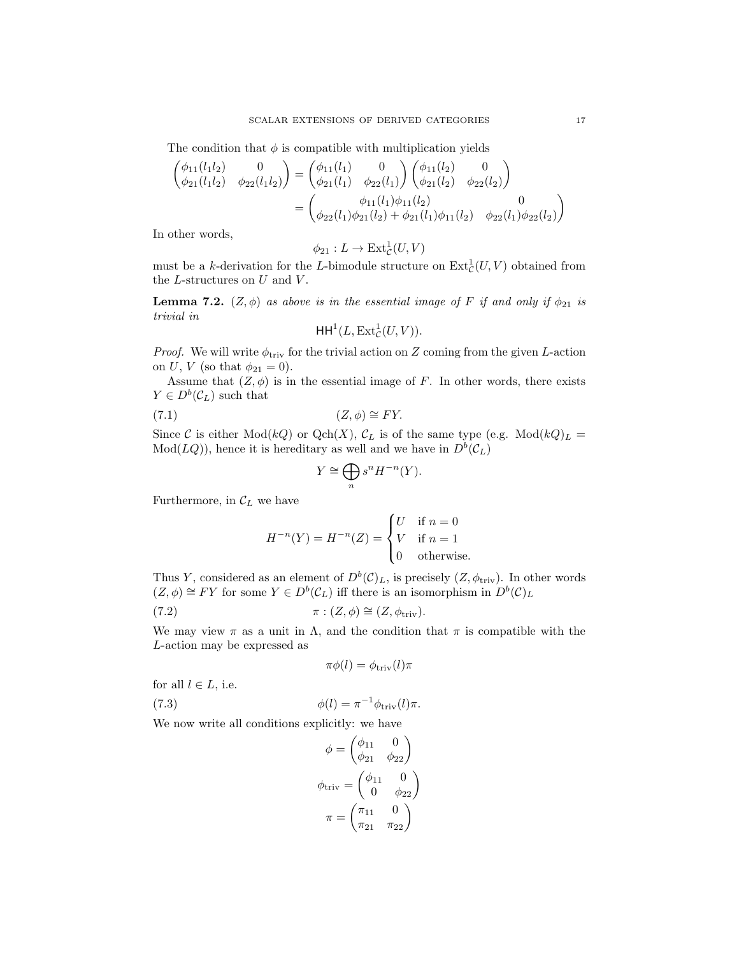The condition that  $\phi$  is compatible with multiplication yields

$$
\begin{aligned}\n\begin{pmatrix}\n\phi_{11}(l_1l_2) & 0 \\
\phi_{21}(l_1l_2) & \phi_{22}(l_1l_2)\n\end{pmatrix} &= \begin{pmatrix}\n\phi_{11}(l_1) & 0 \\
\phi_{21}(l_1) & \phi_{22}(l_1)\n\end{pmatrix} \begin{pmatrix}\n\phi_{11}(l_2) & 0 \\
\phi_{21}(l_2) & \phi_{22}(l_2)\n\end{pmatrix} \\
&= \begin{pmatrix}\n\phi_{11}(l_1)\phi_{11}(l_2) & 0 \\
\phi_{22}(l_1)\phi_{21}(l_2) + \phi_{21}(l_1)\phi_{11}(l_2) & \phi_{22}(l_1)\phi_{22}(l_2)\n\end{pmatrix}\n\end{aligned}
$$

In other words,

$$
\phi_{21}:L\to\mathop{\rm Ext}\nolimits^1_{\cal C}(U,V)
$$

must be a k-derivation for the L-bimodule structure on  $\text{Ext}^1_{\mathcal{C}}(U, V)$  obtained from the  $L$ -structures on  $U$  and  $V$ .

**Lemma 7.2.**  $(Z, \phi)$  as above is in the essential image of F if and only if  $\phi_{21}$  is trivial in

$$
\mathsf{HH}^1(L,\operatorname{Ext}^1_{\mathcal{C}}(U,V)).
$$

*Proof.* We will write  $\phi_{\text{triv}}$  for the trivial action on Z coming from the given L-action on *U*, *V* (so that  $\phi_{21} = 0$ ).

Assume that  $(Z, \phi)$  is in the essential image of F. In other words, there exists  $Y \in D^b(\mathcal{C}_L)$  such that

$$
(7.1) \t\t (Z, \phi) \cong FY.
$$

Since C is either Mod(kQ) or Qch(X),  $\mathcal{C}_L$  is of the same type (e.g. Mod(kQ) $_L$  =  $Mod(LQ)$ , hence it is hereditary as well and we have in  $D<sup>b</sup>(C<sub>L</sub>)$ 

$$
Y \cong \bigoplus_{n} s^{n} H^{-n}(Y).
$$

Furthermore, in  $\mathcal{C}_L$  we have

$$
H^{-n}(Y) = H^{-n}(Z) = \begin{cases} U & \text{if } n = 0 \\ V & \text{if } n = 1 \\ 0 & \text{otherwise.} \end{cases}
$$

Thus Y, considered as an element of  $D^b(\mathcal{C})_L$ , is precisely  $(Z, \phi_{\text{triv}})$ . In other words  $(Z, \phi) \cong FY$  for some  $Y \in D^b(\mathcal{C}_L)$  iff there is an isomorphism in  $D^b(\mathcal{C})_L$ 

(7.2) 
$$
\pi : (Z, \phi) \cong (Z, \phi_{\text{triv}}).
$$

We may view  $\pi$  as a unit in  $\Lambda$ , and the condition that  $\pi$  is compatible with the L-action may be expressed as

$$
\pi\phi(l) = \phi_{\rm triv}(l)\pi
$$

for all  $l \in L$ , i.e.

(7.3) 
$$
\phi(l) = \pi^{-1} \phi_{\text{triv}}(l) \pi.
$$

We now write all conditions explicitly: we have

$$
\phi = \begin{pmatrix} \phi_{11} & 0 \\ \phi_{21} & \phi_{22} \end{pmatrix}
$$

$$
\phi_{\text{triv}} = \begin{pmatrix} \phi_{11} & 0 \\ 0 & \phi_{22} \end{pmatrix}
$$

$$
\pi = \begin{pmatrix} \pi_{11} & 0 \\ \pi_{21} & \pi_{22} \end{pmatrix}
$$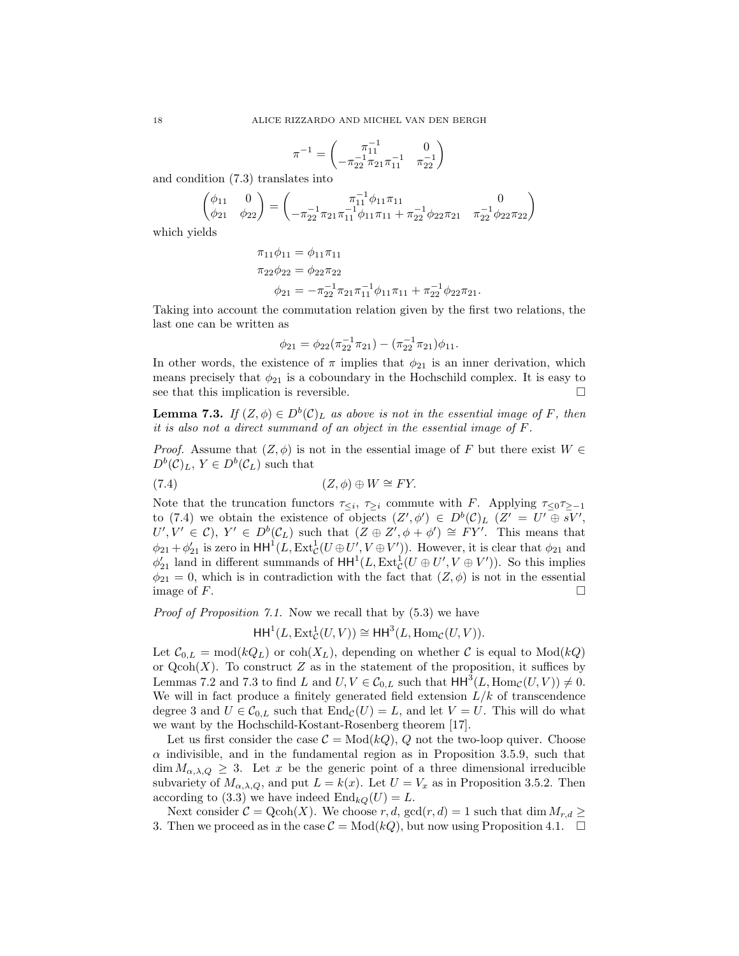$$
\pi^{-1}=\begin{pmatrix} \pi_{11}^{-1} & 0 \\ -\pi_{22}^{-1}\pi_{21}\pi_{11}^{-1} & \pi_{22}^{-1} \end{pmatrix}
$$

and condition (7.3) translates into

$$
\begin{pmatrix} \phi_{11} & 0 \\ \phi_{21} & \phi_{22} \end{pmatrix} = \begin{pmatrix} \pi_{11}^{-1} \phi_{11} \pi_{11} & 0 \\ -\pi_{22}^{-1} \pi_{21} \pi_{11}^{-1} \phi_{11} \pi_{11} + \pi_{22}^{-1} \phi_{22} \pi_{21} & \pi_{22}^{-1} \phi_{22} \pi_{22} \end{pmatrix}
$$

which yields

$$
\pi_{11}\phi_{11} = \phi_{11}\pi_{11}
$$
  
\n
$$
\pi_{22}\phi_{22} = \phi_{22}\pi_{22}
$$
  
\n
$$
\phi_{21} = -\pi_{22}^{-1}\pi_{21}\pi_{11}^{-1}\phi_{11}\pi_{11} + \pi_{22}^{-1}\phi_{22}\pi_{21}.
$$

Taking into account the commutation relation given by the first two relations, the last one can be written as

$$
\phi_{21} = \phi_{22}(\pi_{22}^{-1}\pi_{21}) - (\pi_{22}^{-1}\pi_{21})\phi_{11}.
$$

In other words, the existence of  $\pi$  implies that  $\phi_{21}$  is an inner derivation, which means precisely that  $\phi_{21}$  is a coboundary in the Hochschild complex. It is easy to see that this implication is reversible.  $\Box$ 

**Lemma 7.3.** If  $(Z, \phi) \in D^b(\mathcal{C})_L$  as above is not in the essential image of F, then it is also not a direct summand of an object in the essential image of F.

*Proof.* Assume that  $(Z, \phi)$  is not in the essential image of F but there exist  $W \in$  $D^b(\mathcal{C})_L$ ,  $Y \in D^b(\mathcal{C}_L)$  such that

(7.4) 
$$
(Z, \phi) \oplus W \cong FY.
$$

Note that the truncation functors  $\tau_{\leq i}$ ,  $\tau_{\geq i}$  commute with F. Applying  $\tau_{\leq 0}$   $\tau_{\geq -1}$ to (7.4) we obtain the existence of objects  $(Z', \phi') \in D^b(\mathcal{C})_L$   $(Z' = U' \oplus sV'$ ,  $U', V' \in \mathcal{C}$ ,  $Y' \in D^b(\mathcal{C}_L)$  such that  $(Z \oplus Z', \phi + \phi') \cong FY'$ . This means that  $\phi_{21} + \phi'_{21}$  is zero in  $HH^1(L, Ext^1_C(U \oplus U', V \oplus V'))$ . However, it is clear that  $\phi_{21}$  and  $\phi'_{21}$  land in different summands of  $HH^1(L, Ext^1_C(U \oplus U', V \oplus V'))$ . So this implies  $\phi_{21} = 0$ , which is in contradiction with the fact that  $(Z, \phi)$  is not in the essential image of  $F$ .

Proof of Proposition 7.1. Now we recall that by  $(5.3)$  we have

$$
\operatorname{HH}^1(L, \operatorname{Ext}^1_{\mathcal{C}}(U, V)) \cong \operatorname{HH}^3(L, \operatorname{Hom}_{\mathcal{C}}(U, V)).
$$

Let  $\mathcal{C}_{0,L} = \text{mod}(kQ_L)$  or  $\text{coh}(X_L)$ , depending on whether C is equal to  $\text{Mod}(kQ)$ or  $Q\text{coh}(X)$ . To construct Z as in the statement of the proposition, it suffices by Lemmas 7.2 and 7.3 to find L and  $U, V \in \mathcal{C}_{0,L}$  such that  $HH^3(L, Hom_{\mathcal{C}}(U, V)) \neq 0$ . We will in fact produce a finitely generated field extension  $L/k$  of transcendence degree 3 and  $U \in \mathcal{C}_{0,L}$  such that  $\text{End}_{\mathcal{C}}(U) = L$ , and let  $V = U$ . This will do what we want by the Hochschild-Kostant-Rosenberg theorem [17].

Let us first consider the case  $\mathcal{C} = Mod(kQ)$ , Q not the two-loop quiver. Choose  $\alpha$  indivisible, and in the fundamental region as in Proposition 3.5.9, such that  $\dim M_{\alpha,\lambda,Q} \geq 3$ . Let x be the generic point of a three dimensional irreducible subvariety of  $M_{\alpha,\lambda,Q}$ , and put  $L = k(x)$ . Let  $U = V_x$  as in Proposition 3.5.2. Then according to (3.3) we have indeed  $\text{End}_{kQ}(U) = L$ .

Next consider  $C = \text{Qcoh}(X)$ . We choose r, d,  $\text{gcd}(r, d) = 1$  such that  $\dim M_{r, d} \geq$ 3. Then we proceed as in the case  $C = Mod(kQ)$ , but now using Proposition 4.1.  $\Box$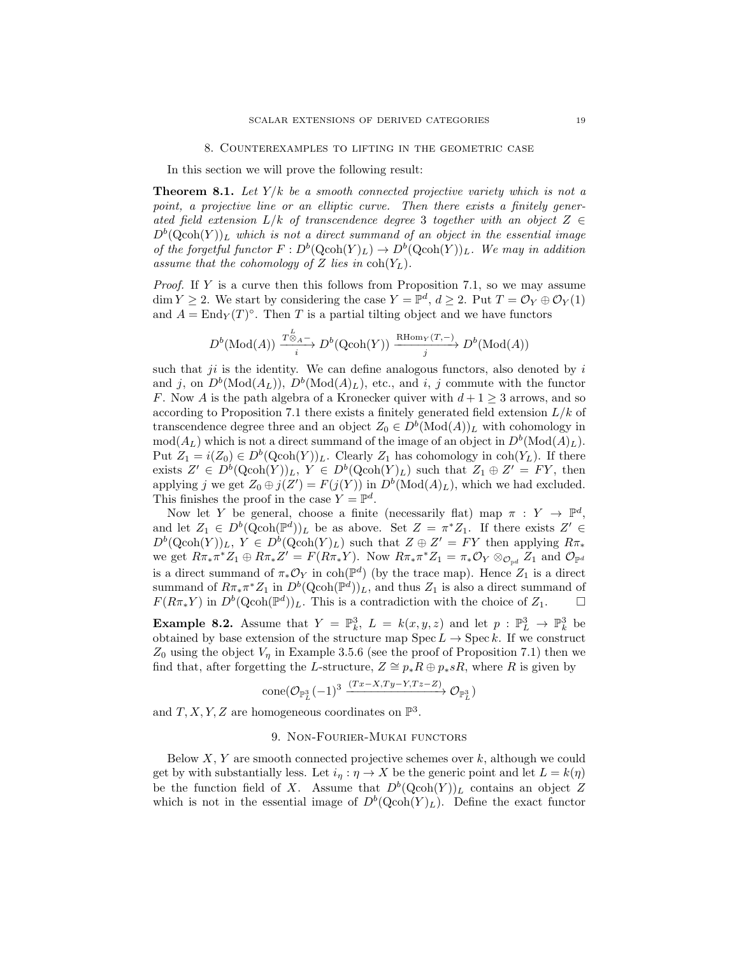#### 8. Counterexamples to lifting in the geometric case

In this section we will prove the following result:

**Theorem 8.1.** Let  $Y/k$  be a smooth connected projective variety which is not a point, a projective line or an elliptic curve. Then there exists a finitely generated field extension  $L/k$  of transcendence degree 3 together with an object  $Z \in$  $D^b(\text{Qcoh}(Y))_L$  which is not a direct summand of an object in the essential image of the forgetful functor  $F: D^b(\text{Qcoh}(Y)_L) \to D^b(\text{Qcoh}(Y))_L$ . We may in addition assume that the cohomology of Z lies in  $\text{coh}(Y_L)$ .

Proof. If Y is a curve then this follows from Proposition 7.1, so we may assume  $\dim Y \geq 2$ . We start by considering the case  $Y = \mathbb{P}^d$ ,  $d \geq 2$ . Put  $T = \mathcal{O}_Y \oplus \mathcal{O}_Y(1)$ and  $A = \text{End}_Y(T)^\circ$ . Then T is a partial tilting object and we have functors

$$
D^{b}(\text{Mod}(A)) \xrightarrow[i]{\mathcal{T}_{\otimes A}^b} D^{b}(\text{Qcoh}(Y)) \xrightarrow[j]{\text{RHom}_Y(T,-)} D^{b}(\text{Mod}(A))
$$

such that *ji* is the identity. We can define analogous functors, also denoted by i and j, on  $D^b(\text{Mod}(A_L))$ ,  $D^b(\text{Mod}(A)_L)$ , etc., and i, j commute with the functor F. Now A is the path algebra of a Kronecker quiver with  $d+1 \geq 3$  arrows, and so according to Proposition 7.1 there exists a finitely generated field extension  $L/k$  of transcendence degree three and an object  $Z_0 \in D^b(\text{Mod}(A))_L$  with cohomology in  $mod(A_L)$  which is not a direct summand of the image of an object in  $D^b(\text{Mod}(A)_L)$ . Put  $Z_1 = i(Z_0) \in D^b(\text{Qcoh}(Y))_L$ . Clearly  $Z_1$  has cohomology in coh $(Y_L)$ . If there exists  $Z' \in D^b(\text{Qcoh}(Y))_L$ ,  $Y \in D^b(\text{Qcoh}(Y)_L)$  such that  $Z_1 \oplus Z' = FY$ , then applying j we get  $Z_0 \oplus j(Z') = F(j(Y))$  in  $D^b(\text{Mod}(A)_L)$ , which we had excluded. This finishes the proof in the case  $Y = \mathbb{P}^d$ .

Now let Y be general, choose a finite (necessarily flat) map  $\pi : Y \to \mathbb{P}^d$ , and let  $Z_1 \in D^b(\text{Qcoh}(\mathbb{P}^d))_L$  be as above. Set  $Z = \pi^* Z_1$ . If there exists  $Z' \in$  $D^b(\text{Qcoh}(Y))_L$ ,  $Y \in D^b(\text{Qcoh}(Y)_L)$  such that  $Z \oplus Z' = FY$  then applying  $R\pi_*$ we get  $R\pi_*\pi^*Z_1 \oplus R\pi_*Z' = F(R\pi_*Y)$ . Now  $R\pi_*\pi^*Z_1 = \pi_*\mathcal{O}_Y \otimes_{\mathcal{O}_{\mathbb{P}^d}} Z_1$  and  $\mathcal{O}_{\mathbb{P}^d}$ is a direct summand of  $\pi_* \mathcal{O}_Y$  in coh( $\mathbb{P}^d$ ) (by the trace map). Hence  $Z_1$  is a direct summand of  $R\pi_*\pi^*Z_1$  in  $D^b(\text{Qcoh}(\mathbb{P}^d))_L$ , and thus  $Z_1$  is also a direct summand of  $F(R\pi_*Y)$  in  $D^b(\text{Qcoh}(\mathbb{P}^d))_L$ . This is a contradiction with the choice of  $Z_1$ .  $\Box$ 

**Example 8.2.** Assume that  $Y = \mathbb{P}_k^3$ ,  $L = k(x, y, z)$  and let  $p : \mathbb{P}_L^3 \to \mathbb{P}_k^3$  be obtained by base extension of the structure map  $\text{Spec } L \to \text{Spec } k$ . If we construct  $Z_0$  using the object  $V_n$  in Example 3.5.6 (see the proof of Proposition 7.1) then we find that, after forgetting the L-structure,  $Z \cong p_*R \oplus p_*sR$ , where R is given by

$$
\mathrm{cone}(\mathcal{O}_{\mathbb{P}^3_L}(-1)^3 \xrightarrow{(Tx-X, Ty-Y,Tz-Z)} \mathcal{O}_{\mathbb{P}^3_L})
$$

and  $T, X, Y, Z$  are homogeneous coordinates on  $\mathbb{P}^3$ .

#### 9. Non-Fourier-Mukai functors

Below  $X, Y$  are smooth connected projective schemes over  $k$ , although we could get by with substantially less. Let  $i_{\eta}: \eta \to X$  be the generic point and let  $L = k(\eta)$ be the function field of X. Assume that  $D^b(Qcoh(Y))_L$  contains an object Z which is not in the essential image of  $D^b(Qcoh(Y)_L)$ . Define the exact functor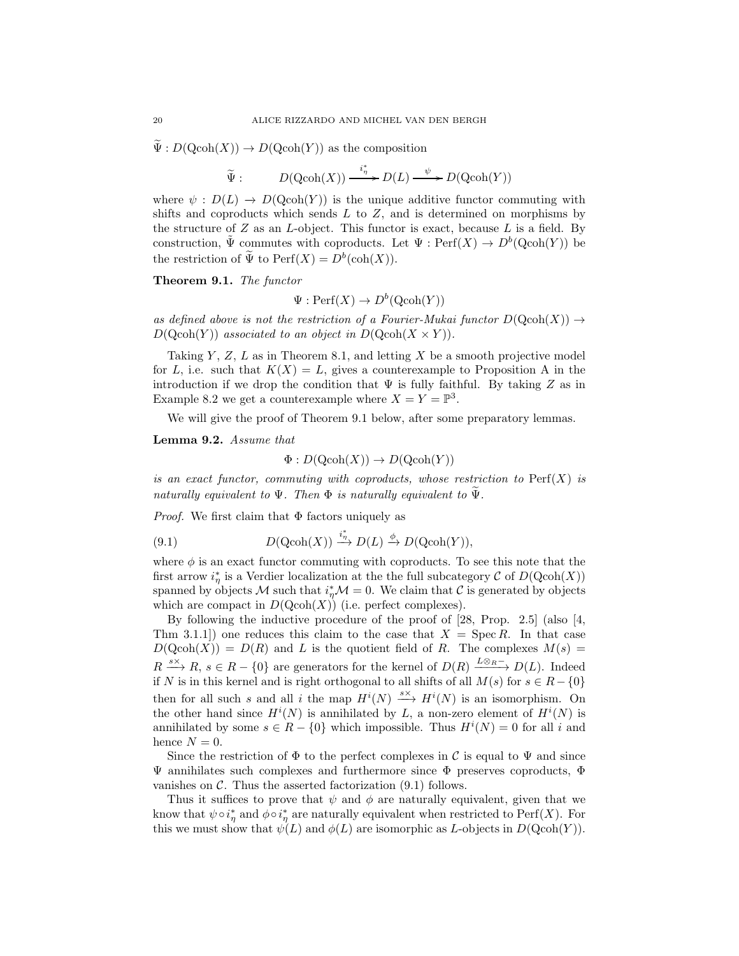$\Psi: D(\text{Qcoh}(X)) \to D(\text{Qcoh}(Y))$  as the composition

$$
\widetilde{\Psi}: \qquad D(\operatorname{Qcoh}(X)) \xrightarrow{i_{\eta}^*} D(L) \xrightarrow{\psi} D(\operatorname{Qcoh}(Y))
$$

where  $\psi : D(L) \to D(Qcoh(Y))$  is the unique additive functor commuting with shifts and coproducts which sends  $L$  to  $Z$ , and is determined on morphisms by the structure of  $Z$  as an  $L$ -object. This functor is exact, because  $L$  is a field. By construction,  $\tilde{\Psi}$  commutes with coproducts. Let  $\Psi : \mathrm{Perf}(X) \to D^b(\mathrm{Qcoh}(Y))$  be the restriction of  $\tilde{\Psi}$  to  $\text{Perf}(X) = D^b(\text{coh}(X)).$ 

Theorem 9.1. The functor

 $\Psi: \mathrm{Perf}(X) \to D^b(\mathrm{Qcoh}(Y))$ 

as defined above is not the restriction of a Fourier-Mukai functor  $D(Qcoh(X)) \rightarrow$  $D(\text{Qcoh}(Y))$  associated to an object in  $D(\text{Qcoh}(X \times Y)).$ 

Taking  $Y, Z, L$  as in Theorem 8.1, and letting  $X$  be a smooth projective model for L, i.e. such that  $K(X) = L$ , gives a counterexample to Proposition A in the introduction if we drop the condition that  $\Psi$  is fully faithful. By taking Z as in Example 8.2 we get a counterexample where  $X = Y = \mathbb{P}^3$ .

We will give the proof of Theorem 9.1 below, after some preparatory lemmas.

Lemma 9.2. Assume that

$$
\Phi: D(\text{Qcoh}(X)) \to D(\text{Qcoh}(Y))
$$

is an exact functor, commuting with coproducts, whose restriction to  $\text{Perf}(X)$  is naturally equivalent to  $\Psi$ . Then  $\Phi$  is naturally equivalent to  $\Psi$ .

*Proof.* We first claim that  $\Phi$  factors uniquely as

(9.1) 
$$
D(\text{Qcoh}(X)) \xrightarrow{i_{\eta}^{*}} D(L) \xrightarrow{\phi} D(\text{Qcoh}(Y)),
$$

where  $\phi$  is an exact functor commuting with coproducts. To see this note that the first arrow  $i^*_{\eta}$  is a Verdier localization at the the full subcategory C of  $D(\text{Qcoh}(X))$ spanned by objects M such that  $i^*_{\eta}M = 0$ . We claim that C is generated by objects which are compact in  $D(Qcoh(X))$  (i.e. perfect complexes).

By following the inductive procedure of the proof of [28, Prop. 2.5] (also [4, Thm 3.1.1) one reduces this claim to the case that  $X = \text{Spec } R$ . In that case  $D(Qcoh(X)) = D(R)$  and L is the quotient field of R. The complexes  $M(s) =$  $R \xrightarrow{s\times} R$ ,  $s \in R - \{0\}$  are generators for the kernel of  $D(R) \xrightarrow{L\otimes_R^-} D(L)$ . Indeed if N is in this kernel and is right orthogonal to all shifts of all  $M(s)$  for  $s \in R - \{0\}$ then for all such s and all i the map  $H^i(N) \stackrel{s_{\times}}{\longrightarrow} H^i(N)$  is an isomorphism. On the other hand since  $H^{i}(N)$  is annihilated by L, a non-zero element of  $H^{i}(N)$  is annihilated by some  $s \in R - \{0\}$  which impossible. Thus  $H^{i}(N) = 0$  for all i and hence  $N = 0$ .

Since the restriction of  $\Phi$  to the perfect complexes in C is equal to  $\Psi$  and since Ψ annihilates such complexes and furthermore since Φ preserves coproducts, Φ vanishes on  $\mathcal{C}$ . Thus the asserted factorization  $(9.1)$  follows.

Thus it suffices to prove that  $\psi$  and  $\phi$  are naturally equivalent, given that we know that  $\psi \circ i_{\eta}^*$  and  $\phi \circ i_{\eta}^*$  are naturally equivalent when restricted to  $\text{Perf}(X)$ . For this we must show that  $\psi(L)$  and  $\phi(L)$  are isomorphic as L-objects in  $D(\text{Qcoh}(Y)).$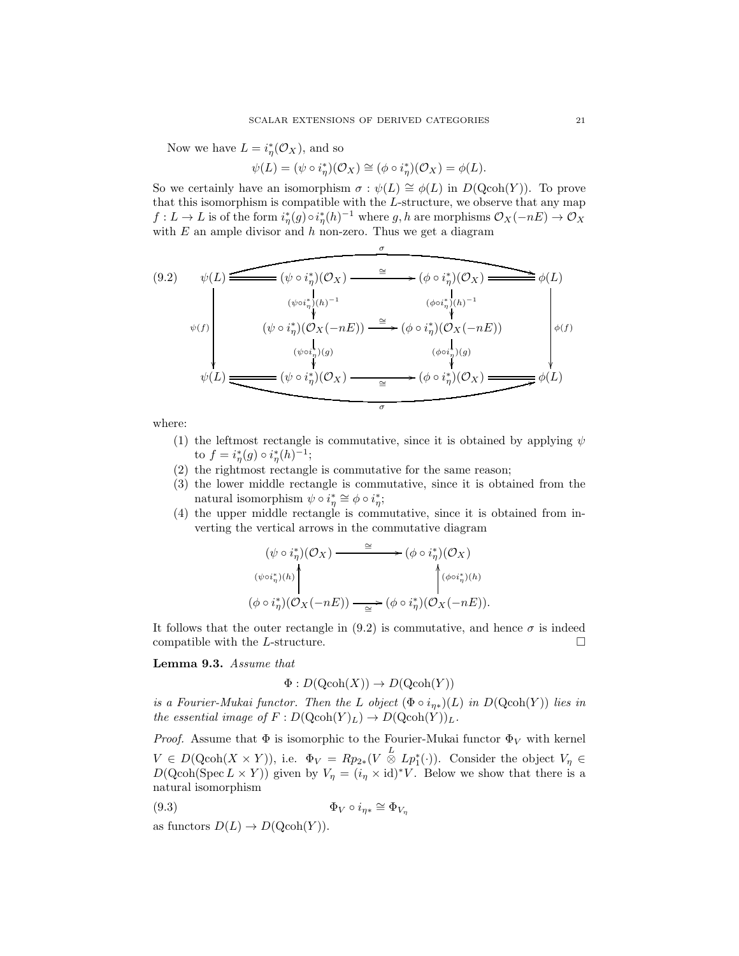Now we have  $L = i_{\eta}^*(\mathcal{O}_X)$ , and so

 $\psi(L) = (\psi \circ i_{\eta}^{*})(\mathcal{O}_{X}) \cong (\phi \circ i_{\eta}^{*})(\mathcal{O}_{X}) = \phi(L).$ 

So we certainly have an isomorphism  $\sigma : \psi(L) \cong \phi(L)$  in  $D(\text{Qcoh}(Y))$ . To prove that this isomorphism is compatible with the L-structure, we observe that any map  $f: L \to L$  is of the form  $i^*_\eta(g) \circ i^*_\eta(h)^{-1}$  where  $g, h$  are morphisms  $\mathcal{O}_X(-nE) \to \mathcal{O}_X$ with  $E$  an ample divisor and  $h$  non-zero. Thus we get a diagram

σ

$$
(9.2) \quad \psi(L) \xrightarrow{\psi(L)} (\psi \circ i_{\eta}^{*})(O_{X}) \xrightarrow{\cong} (\phi \circ i_{\eta}^{*})(O_{X}) \xrightarrow{\psi(L)} \phi(L)
$$
\n
$$
\psi(f) \qquad (\psi \circ i_{\eta}^{*})(O_{X}(-nE)) \xrightarrow{\cong} (\phi \circ i_{\eta}^{*})(O_{X}(-nE)) \qquad \phi(f)
$$
\n
$$
(\psi \circ i_{\eta}^{*})(O_{X}(-nE)) \xrightarrow{(\psi \circ i_{\eta}^{*})(O_{X})} (\phi \circ i_{\eta}^{*})(O_{X}) \xrightarrow{(\psi \circ i_{\eta}^{*})(O_{X})} (\phi \circ i_{\eta}^{*})(O_{X}) \xrightarrow{\cong} (\phi \circ i_{\eta}^{*})(O_{X}) \xrightarrow{\sigma} \phi(L)
$$

where:

- (1) the leftmost rectangle is commutative, since it is obtained by applying  $\psi$ to  $f = i^*_{\eta}(g) \circ i^*_{\eta}(h)^{-1};$
- (2) the rightmost rectangle is commutative for the same reason;
- (3) the lower middle rectangle is commutative, since it is obtained from the natural isomorphism  $\psi \circ i_{\eta}^* \cong \phi \circ i_{\eta}^*$ ;
- (4) the upper middle rectangle is commutative, since it is obtained from inverting the vertical arrows in the commutative diagram

$$
(\psi \circ i_{\eta}^{*})(\mathcal{O}_{X}) \longrightarrow (\phi \circ i_{\eta}^{*})(\mathcal{O}_{X})
$$
  

$$
(\psi \circ i_{\eta}^{*})(h)
$$
  

$$
(\phi \circ i_{\eta}^{*})(\mathcal{O}_{X}(-nE)) \longrightarrow (\phi \circ i_{\eta}^{*})(\mathcal{O}_{X}(-nE)).
$$

It follows that the outer rectangle in  $(9.2)$  is commutative, and hence  $\sigma$  is indeed compatible with the L-structure.  $\Box$ 

Lemma 9.3. Assume that

$$
\Phi: D(\text{Qcoh}(X)) \to D(\text{Qcoh}(Y))
$$

is a Fourier-Mukai functor. Then the L object  $(\Phi \circ i_{\eta*})(L)$  in  $D(\text{Qcoh}(Y))$  lies in the essential image of  $F: D(\text{Qcoh}(Y)_L) \to D(\text{Qcoh}(Y))_L$ .

*Proof.* Assume that  $\Phi$  is isomorphic to the Fourier-Mukai functor  $\Phi_V$  with kernel  $V \in D(\text{Qcoh}(X \times Y))$ , i.e.  $\Phi_V = Rp_{2*}(V \overset{L}{\otimes} Lp_1^*(\cdot))$ . Consider the object  $V_\eta \in$  $D(\text{Qcoh}(\text{Spec } L \times Y))$  given by  $V_{\eta} = (i_{\eta} \times id)^*V$ . Below we show that there is a natural isomorphism

$$
(9.3) \t\t \Phi_V \circ i_{\eta*} \cong \Phi_{V_{\eta}}
$$

as functors  $D(L) \to D(\text{Qcoh}(Y)).$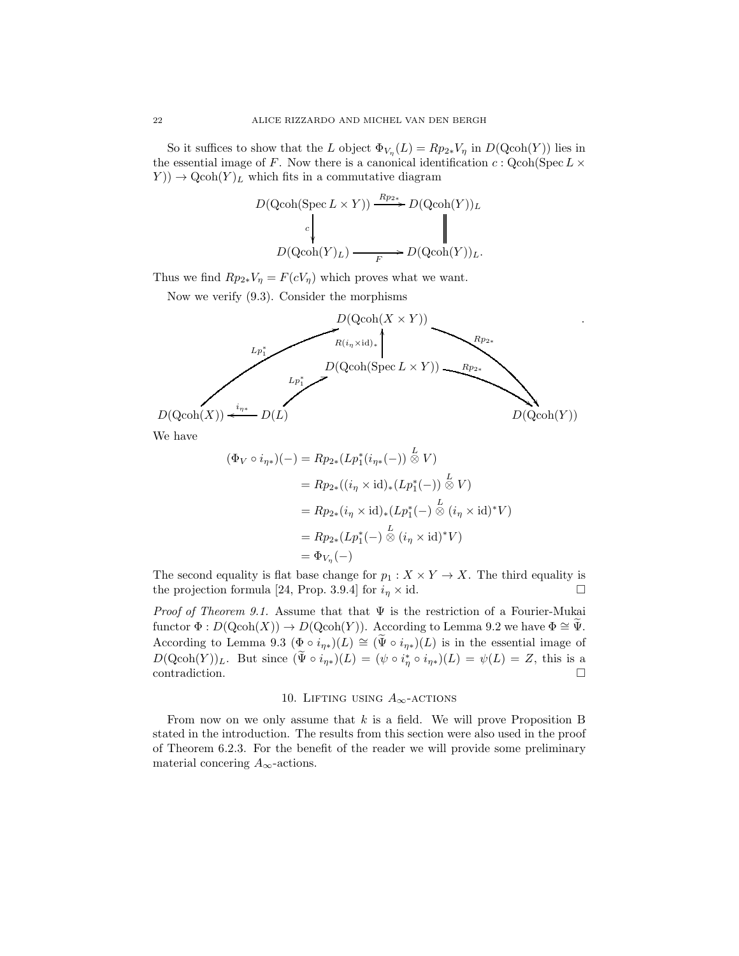So it suffices to show that the L object  $\Phi_{V_{\eta}}(L) = Rp_{2*}V_{\eta}$  in  $D(\text{Qcoh}(Y))$  lies in the essential image of F. Now there is a canonical identification  $c : \text{Qcoh}(\text{Spec } L \times$  $(Y)$   $\rightarrow$  Qcoh $(Y)_L$  which fits in a commutative diagram

$$
D(\text{Qcoh}(\text{Spec } L \times Y)) \xrightarrow{Rp_{2*}} D(\text{Qcoh}(Y))_L
$$
  

$$
C \qquad \qquad \downarrow
$$
  

$$
D(\text{Qcoh}(Y)_L) \xrightarrow{F} D(\text{Qcoh}(Y))_L.
$$

Thus we find  $Rp_{2*}V_{\eta} = F(cV_{\eta})$  which proves what we want.

Now we verify (9.3). Consider the morphisms



.

We have

$$
(\Phi_V \circ i_{\eta*})(-) = Rp_{2*}(Lp_1^*(i_{\eta*}(-))) \stackrel{L}{\otimes} V)
$$
  
\n
$$
= Rp_{2*}((i_{\eta} \times \mathrm{id})_*(Lp_1^*(-)) \stackrel{L}{\otimes} V)
$$
  
\n
$$
= Rp_{2*}(i_{\eta} \times \mathrm{id})_*(Lp_1^*(-)) \stackrel{L}{\otimes} (i_{\eta} \times \mathrm{id})^*V)
$$
  
\n
$$
= Rp_{2*}(Lp_1^*(-)) \stackrel{L}{\otimes} (i_{\eta} \times \mathrm{id})^*V)
$$
  
\n
$$
= \Phi_{V_{\eta}}(-)
$$

The second equality is flat base change for  $p_1 : X \times Y \to X$ . The third equality is the projection formula [24, Prop. 3.9.4] for  $i_n \times id$ .

*Proof of Theorem 9.1.* Assume that that  $\Psi$  is the restriction of a Fourier-Mukai functor  $\Phi : D(Qcoh(X)) \to D(Qcoh(Y))$ . According to Lemma 9.2 we have  $\Phi \cong \Psi$ . According to Lemma 9.3 ( $\Phi \circ i_{\eta*}(L) \cong (\tilde{\Psi} \circ i_{\eta*})(L)$  is in the essential image of  $D(\text{Qcoh}(Y))_L$ . But since  $(\tilde{\Psi} \circ i_{\eta*})(L) = (\psi \circ i_{\eta}^* \circ i_{\eta*})(L) = \psi(L) = Z$ , this is a  $\Box$ contradiction.

### 10. LIFTING USING  $A_{\infty}$ -ACTIONS

From now on we only assume that  $k$  is a field. We will prove Proposition B stated in the introduction. The results from this section were also used in the proof of Theorem 6.2.3. For the benefit of the reader we will provide some preliminary material concering  $A_{\infty}$ -actions.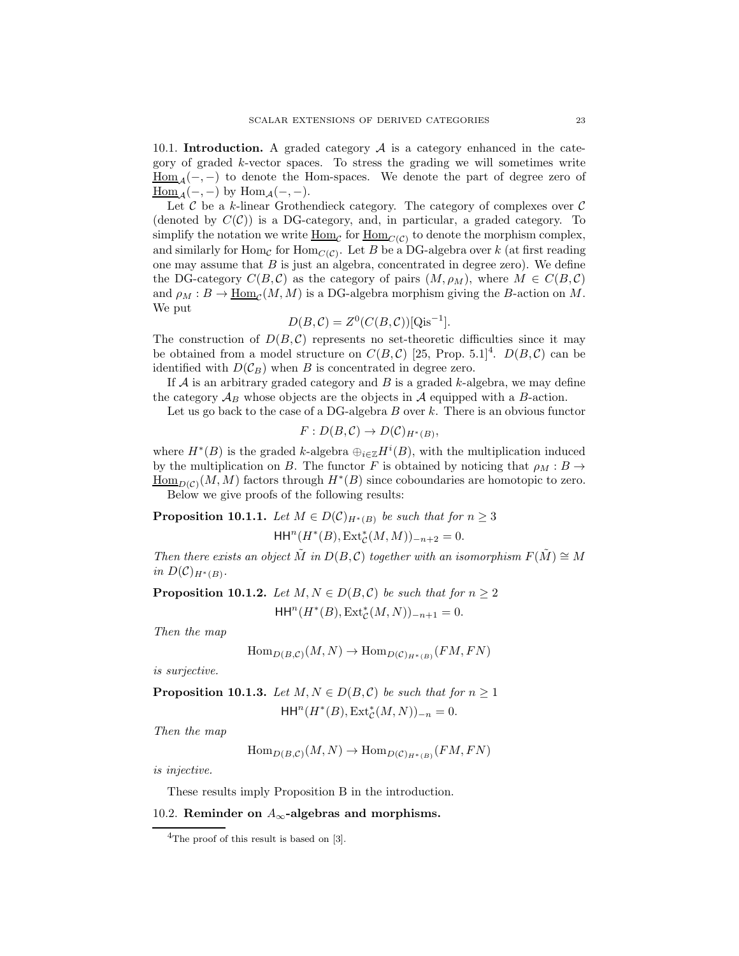10.1. **Introduction.** A graded category  $A$  is a category enhanced in the category of graded k-vector spaces. To stress the grading we will sometimes write  $\underline{\text{Hom}}_{\mathcal{A}}(-, -)$  to denote the Hom-spaces. We denote the part of degree zero of  $\underline{\text{Hom}}_{\mathcal{A}}(-,-)$  by  $\text{Hom}_{\mathcal{A}}(-,-)$ .

Let  $\mathcal C$  be a k-linear Grothendieck category. The category of complexes over  $\mathcal C$ (denoted by  $C(\mathcal{C})$ ) is a DG-category, and, in particular, a graded category. To simplify the notation we write  $\underline{\mathrm{Hom}}_{\mathcal{C}}$  for  $\underline{\mathrm{Hom}}_{C(\mathcal{C})}$  to denote the morphism complex, and similarly for  $\text{Hom}_{\mathcal{C}}$  for  $\text{Hom}_{\mathcal{C}(\mathcal{C})}$ . Let  $B$  be a DG-algebra over k (at first reading one may assume that  $B$  is just an algebra, concentrated in degree zero). We define the DG-category  $C(B, \mathcal{C})$  as the category of pairs  $(M, \rho_M)$ , where  $M \in C(B, \mathcal{C})$ and  $\rho_M : B \to \underline{\text{Hom}}_{\mathcal{C}}(M, M)$  is a DG-algebra morphism giving the B-action on M. We put

$$
D(B, \mathcal{C}) = Z^{0}(C(B, \mathcal{C}))[\text{Qis}^{-1}].
$$

The construction of  $D(B, \mathcal{C})$  represents no set-theoretic difficulties since it may be obtained from a model structure on  $C(B, \mathcal{C})$  [25, Prop. 5.1]<sup>4</sup>.  $D(B, \mathcal{C})$  can be identified with  $D(\mathcal{C}_B)$  when B is concentrated in degree zero.

If  $A$  is an arbitrary graded category and  $B$  is a graded k-algebra, we may define the category  $\mathcal{A}_B$  whose objects are the objects in  $\mathcal A$  equipped with a B-action.

Let us go back to the case of a DG-algebra  $B$  over  $k$ . There is an obvious functor

$$
F: D(B, C) \to D(C)_{H^*(B)},
$$

where  $H^*(B)$  is the graded k-algebra  $\bigoplus_{i\in\mathbb{Z}} H^i(B)$ , with the multiplication induced by the multiplication on B. The functor F is obtained by noticing that  $\rho_M : B \to$  $\underline{\text{Hom}}_{D(\mathcal{C})}(M, M)$  factors through  $H^*(B)$  since coboundaries are homotopic to zero. Below we give proofs of the following results:

**Proposition 10.1.1.** Let  $M \in D(\mathcal{C})_{H^*(B)}$  be such that for  $n \geq 3$ 

$$
\mathrm{HH}^n(H^*(B), \mathrm{Ext}^*_{\mathcal{C}}(M, M))_{-n+2} = 0.
$$

Then there exists an object M in D(B, C) together with an isomorphism  $F(\tilde{M}) \cong M$ in  $D(\mathcal{C})_{H^*(B)}$ .

**Proposition 10.1.2.** Let  $M, N \in D(B, C)$  be such that for  $n \geq 2$  $HH<sup>n</sup>(H<sup>*</sup>(B), Ext<sup>*</sup><sub>C</sub>(M, N))<sub>-n+1</sub> = 0.$ 

Then the map

$$
\operatorname{Hom}_{D(B,C)}(M,N) \to \operatorname{Hom}_{D(C)_{H^*(B)}}(FM,FN)
$$

is surjective.

**Proposition 10.1.3.** Let 
$$
M, N \in D(B, C)
$$
 be such that for  $n \ge 1$   

$$
\mathsf{HH}^n(H^*(B), \mathsf{Ext}^*_\mathcal{C}(M, N))_{-n} = 0.
$$

Then the map

$$
\operatorname{Hom}_{D(B,C)}(M,N) \to \operatorname{Hom}_{D(C)_{H^*(B)}}(FM,FN)
$$

is injective.

These results imply Proposition B in the introduction.

## 10.2. Reminder on  $A_\infty$  -algebras and morphisms.

 $4$ The proof of this result is based on [3].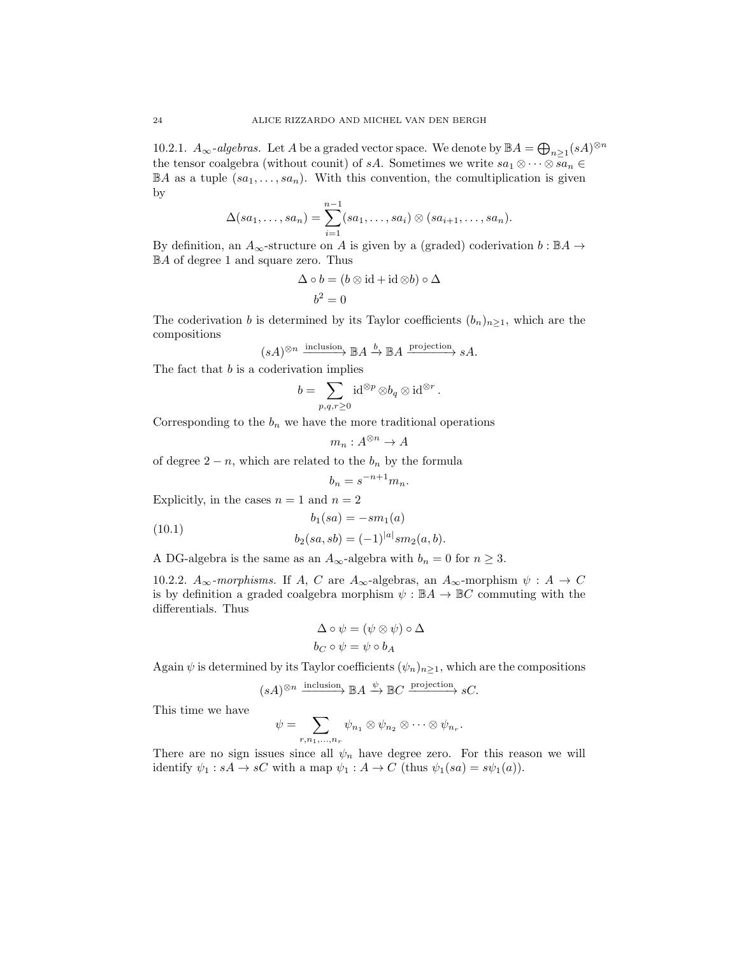10.2.1.  $A_{\infty}$ -algebras. Let A be a graded vector space. We denote by  $\mathbb{B}A = \bigoplus_{n \geq 1} (sA)^{\otimes n}$ the tensor coalgebra (without counit) of sA. Sometimes we write  $sa_1 \otimes \cdots \otimes sa_n \in$  $\mathbb{B}A$  as a tuple  $(sa_1, \ldots, sa_n)$ . With this convention, the comultiplication is given by

$$
\Delta(sa_1,\ldots,sa_n)=\sum_{i=1}^{n-1}(sa_1,\ldots,sa_i)\otimes(sa_{i+1},\ldots,sa_n).
$$

By definition, an  $A_{\infty}$ -structure on A is given by a (graded) coderivation  $b : \mathbb{B}A \to$ BA of degree 1 and square zero. Thus

$$
\Delta \circ b = (b \otimes id + id \otimes b) \circ \Delta
$$

$$
b^2 = 0
$$

The coderivation b is determined by its Taylor coefficients  $(b_n)_{n\geq 1}$ , which are the compositions

$$
(sA)^{\otimes n} \xrightarrow{\text{inclusion}} \mathbb{B}A \xrightarrow{b} \mathbb{B}A \xrightarrow{\text{projection}} sA.
$$

The fact that  $b$  is a coderivation implies

$$
b=\sum_{p,q,r\geq 0}\operatorname{id}^{\otimes p}\otimes b_q\otimes \operatorname{id}^{\otimes r}.
$$

Corresponding to the  $b_n$  we have the more traditional operations

$$
m_n: A^{\otimes n} \to A
$$

of degree  $2 - n$ , which are related to the  $b_n$  by the formula

$$
b_n = s^{-n+1} m_n.
$$

Explicitly, in the cases  $n = 1$  and  $n = 2$ 

$$
b_1(sa) = -sm_1(a)
$$
\n
$$
(10.1)
$$

$$
b_2(sa, sb) = (-1)^{|a|} sm_2(a, b).
$$

A DG-algebra is the same as an  $A_\infty\text{-algebra with }b_n=0$  for  $n\geq 3.$ 

10.2.2.  $A_{\infty}$ -morphisms. If A, C are  $A_{\infty}$ -algebras, an  $A_{\infty}$ -morphism  $\psi : A \to C$ is by definition a graded coalgebra morphism  $\psi : \mathbb{B}A \to \mathbb{B}C$  commuting with the differentials. Thus

$$
\Delta \circ \psi = (\psi \otimes \psi) \circ \Delta
$$

$$
b_C \circ \psi = \psi \circ b_A
$$

Again  $\psi$  is determined by its Taylor coefficients  $(\psi_n)_{n\geq 1}$ , which are the compositions

$$
(sA)^{\otimes n}
$$
 inclusion  $\mathbb{B}A \xrightarrow{\psi} \mathbb{B}C$  projection  $sC$ .

This time we have

$$
\psi = \sum_{r,n_1,\ldots,n_r} \psi_{n_1} \otimes \psi_{n_2} \otimes \cdots \otimes \psi_{n_r}.
$$

There are no sign issues since all  $\psi_n$  have degree zero. For this reason we will identify  $\psi_1 : sA \to sC$  with a map  $\psi_1 : A \to C$  (thus  $\psi_1(sa) = s\psi_1(a))$ ).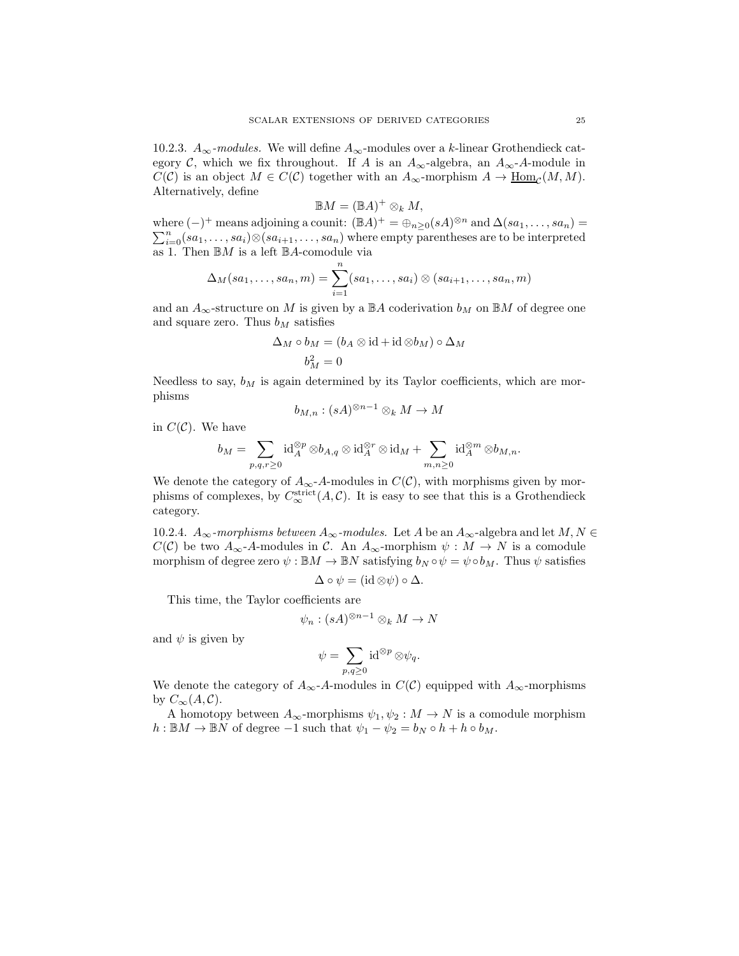10.2.3.  $A_{\infty}$ -modules. We will define  $A_{\infty}$ -modules over a k-linear Grothendieck category C, which we fix throughout. If A is an  $A_{\infty}$ -algebra, an  $A_{\infty}$ -A-module in  $C(\mathcal{C})$  is an object  $M \in C(\mathcal{C})$  together with an  $A_{\infty}$ -morphism  $A \to \underline{\text{Hom}}_{\mathcal{C}}(M, M)$ . Alternatively, define

$$
\mathbb{B}M = (\mathbb{B}A)^+ \otimes_k M,
$$

where  $(-)^+$  means adjoining a counit:  $(\mathbb{B}A)^+ = \bigoplus_{n \geq 0} (sA)^{\otimes n}$  and  $\Delta(sa_1, \ldots, sa_n) =$  $\sum_{i=0}^{n} (sa_1, \ldots, sa_i) \otimes (sa_{i+1}, \ldots, sa_n)$  where empty parentheses are to be interpreted as 1. Then  $\mathbb{B}M$  is a left  $\mathbb{B}A$ -comodule via

$$
\Delta_M(sa_1,\ldots,sa_n,m)=\sum_{i=1}^n(sa_1,\ldots,sa_i)\otimes(sa_{i+1},\ldots,sa_n,m)
$$

and an  $A_{\infty}$ -structure on M is given by a  $\mathbb{B}A$  coderivation  $b_M$  on  $\mathbb{B}M$  of degree one and square zero. Thus  $b_M$  satisfies

$$
\Delta_M \circ b_M = (b_A \otimes \mathrm{id} + \mathrm{id} \otimes b_M) \circ \Delta_M
$$

$$
b_M^2 = 0
$$

Needless to say,  $b_M$  is again determined by its Taylor coefficients, which are morphisms

$$
b_{M,n}:(sA)^{\otimes n-1}\otimes_k M\to M
$$

in  $C(\mathcal{C})$ . We have

$$
b_M=\sum_{p,q,r\geq 0} \operatorname{id}_A^{\otimes p}\otimes b_{A,q}\otimes \operatorname{id}_A^{\otimes r}\otimes \operatorname{id}_M+\sum_{m,n\geq 0} \operatorname{id}_A^{\otimes m}\otimes b_{M,n}.
$$

We denote the category of  $A_{\infty}$ -A-modules in  $C(\mathcal{C})$ , with morphisms given by morphisms of complexes, by  $C_{\infty}^{\text{strict}}(A, C)$ . It is easy to see that this is a Grothendieck category.

10.2.4.  $A_{\infty}$ -morphisms between  $A_{\infty}$ -modules. Let A be an  $A_{\infty}$ -algebra and let  $M, N \in$  $C(\mathcal{C})$  be two  $A_{\infty}$ -A-modules in  $\mathcal{C}$ . An  $A_{\infty}$ -morphism  $\psi : M \to N$  is a comodule morphism of degree zero  $\psi : \mathbb{B}M \to \mathbb{B}N$  satisfying  $b_N \circ \psi = \psi \circ b_M$ . Thus  $\psi$  satisfies

$$
\Delta \circ \psi = (\mathrm{id} \otimes \psi) \circ \Delta.
$$

This time, the Taylor coefficients are

$$
\psi_n : (sA)^{\otimes n-1} \otimes_k M \to N
$$

and  $\psi$  is given by

$$
\psi = \sum_{p,q\geq 0} \mathrm{id}^{\otimes p} \otimes \psi_q.
$$

We denote the category of  $A_{\infty}$ -A-modules in  $C(\mathcal{C})$  equipped with  $A_{\infty}$ -morphisms by  $C_{\infty}(A, \mathcal{C}).$ 

A homotopy between  $A_{\infty}$ -morphisms  $\psi_1, \psi_2 : M \to N$  is a comodule morphism  $h: \mathbb{B}M \to \mathbb{B}N$  of degree  $-1$  such that  $\psi_1 - \psi_2 = b_N \circ h + h \circ b_M$ .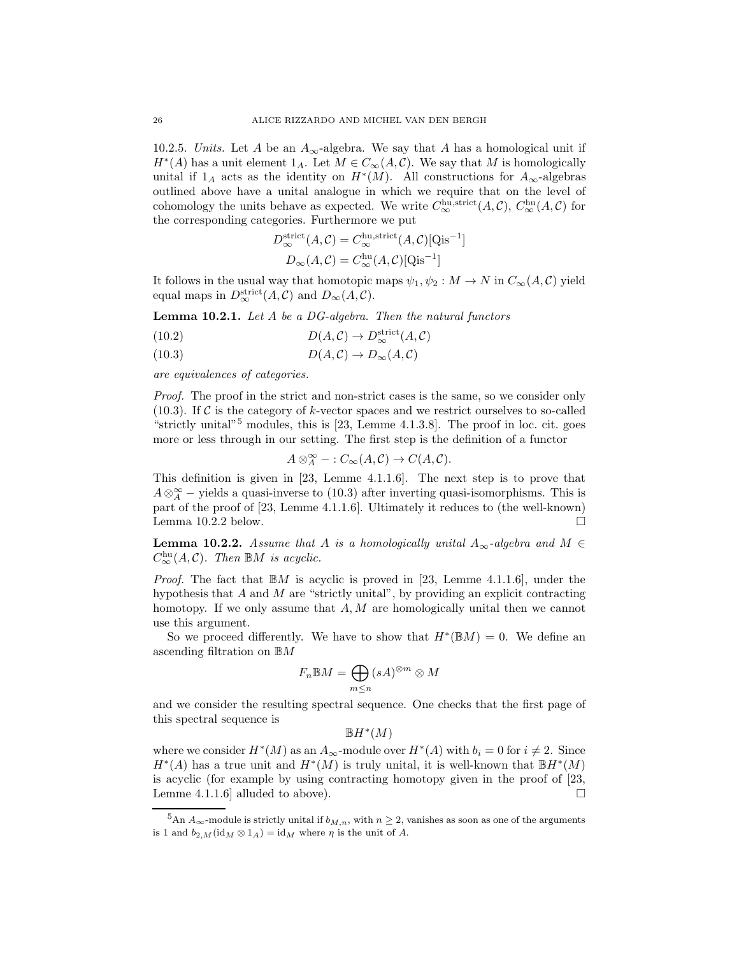10.2.5. Units. Let A be an  $A_{\infty}$ -algebra. We say that A has a homological unit if  $H^*(A)$  has a unit element  $1_A$ . Let  $M \in C_{\infty}(A, \mathcal{C})$ . We say that M is homologically unital if  $1_A$  acts as the identity on  $H^*(M)$ . All constructions for  $A_{\infty}$ -algebras outlined above have a unital analogue in which we require that on the level of cohomology the units behave as expected. We write  $C_{\infty}^{\text{hu},\text{strict}}(A,\mathcal{C}), C_{\infty}^{\text{hu}}(A,\mathcal{C})$  for the corresponding categories. Furthermore we put

$$
D_{\infty}^{\text{strict}}(A, C) = C_{\infty}^{\text{hu}, \text{strict}}(A, C)[\text{Qis}^{-1}]
$$

$$
D_{\infty}(A, C) = C_{\infty}^{\text{hu}}(A, C)[\text{Qis}^{-1}]
$$

It follows in the usual way that homotopic maps  $\psi_1, \psi_2 : M \to N$  in  $C_{\infty}(A, C)$  yield equal maps in  $D_{\infty}^{\text{strict}}(A, \mathcal{C})$  and  $D_{\infty}(A, \mathcal{C})$ .

Lemma 10.2.1. Let A be a DG-algebra. Then the natural functors

(10.2) 
$$
D(A,C) \to D_{\infty}^{\text{strict}}(A,C)
$$

$$
(10.3) \t\t D(A,C) \to D_{\infty}(A,C)
$$

are equivalences of categories.

Proof. The proof in the strict and non-strict cases is the same, so we consider only  $(10.3)$ . If C is the category of k-vector spaces and we restrict ourselves to so-called "strictly unital"<sup>5</sup> modules, this is  $[23, \text{ Lemme } 4.1.3.8]$ . The proof in loc. cit. goes more or less through in our setting. The first step is the definition of a functor

$$
A\otimes_A^{\infty}-:C_{\infty}(A,\mathcal{C})\to C(A,\mathcal{C}).
$$

This definition is given in [23, Lemme 4.1.1.6]. The next step is to prove that  $A \otimes_A^{\infty}$  – yields a quasi-inverse to (10.3) after inverting quasi-isomorphisms. This is part of the proof of [23, Lemme 4.1.1.6]. Ultimately it reduces to (the well-known) Lemma 10.2.2 below.  $\square$ 

**Lemma 10.2.2.** Assume that A is a homologically unital  $A_{\infty}$ -algebra and  $M \in$  $C_{\infty}^{\text{hu}}(A, \mathcal{C})$ . Then  $\mathbb{B}M$  is acyclic.

*Proof.* The fact that  $\mathbb{B}M$  is acyclic is proved in [23, Lemme 4.1.1.6], under the hypothesis that  $A$  and  $M$  are "strictly unital", by providing an explicit contracting homotopy. If we only assume that  $A, M$  are homologically unital then we cannot use this argument.

So we proceed differently. We have to show that  $H^*(\mathbb{B}M) = 0$ . We define an ascending filtration on BM

$$
F_n \mathbb{B}M = \bigoplus_{m \le n} (sA)^{\otimes m} \otimes M
$$

and we consider the resulting spectral sequence. One checks that the first page of this spectral sequence is

 $\mathbb{B}H^*(M)$ 

where we consider  $H^*(M)$  as an  $A_{\infty}$ -module over  $H^*(A)$  with  $b_i = 0$  for  $i \neq 2$ . Since  $H^*(A)$  has a true unit and  $H^*(M)$  is truly unital, it is well-known that  $\mathbb{B}H^*(M)$ is acyclic (for example by using contracting homotopy given in the proof of [23, Lemme 4.1.1.6] alluded to above).  $\Box$ 

 $5 \text{An } A_{\infty}$ -module is strictly unital if  $b_{M,n}$ , with  $n \geq 2$ , vanishes as soon as one of the arguments is 1 and  $b_{2,M}(\text{id}_{M} \otimes 1_A) = \text{id}_{M}$  where  $\eta$  is the unit of A.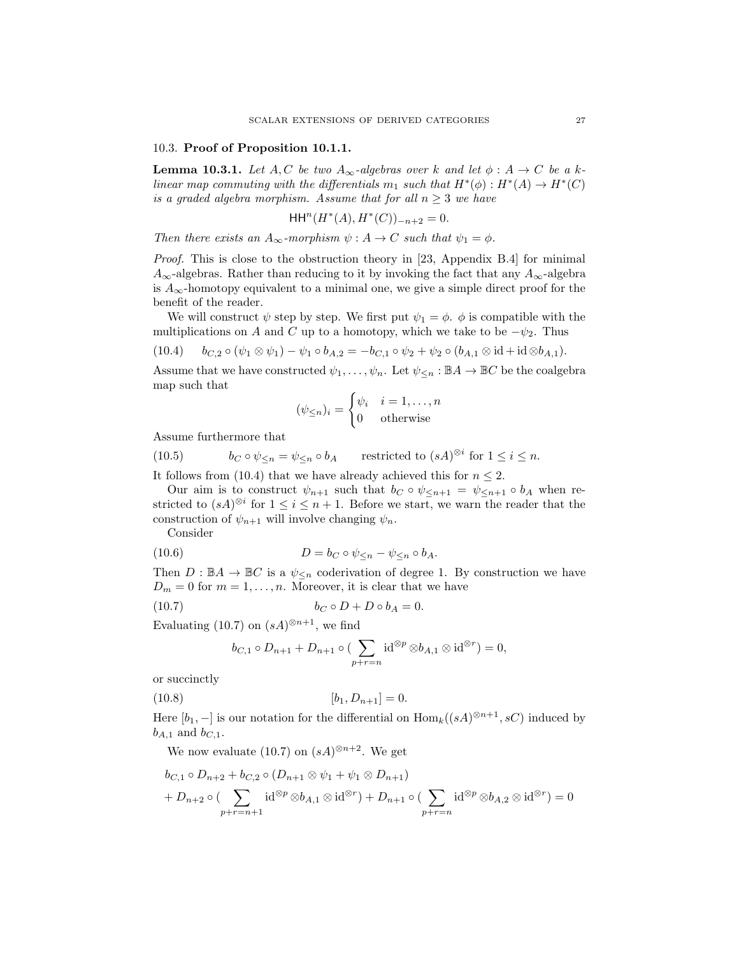#### 10.3. Proof of Proposition 10.1.1.

**Lemma 10.3.1.** Let  $A, C$  be two  $A_{\infty}$ -algebras over k and let  $\phi : A \rightarrow C$  be a klinear map commuting with the differentials  $m_1$  such that  $H^*(\phi) : H^*(A) \to H^*(C)$ is a graded algebra morphism. Assume that for all  $n \geq 3$  we have

$$
\mathsf{HH}^n(H^*(A), H^*(C))_{-n+2} = 0.
$$

Then there exists an  $A_{\infty}$ -morphism  $\psi : A \to C$  such that  $\psi_1 = \phi$ .

Proof. This is close to the obstruction theory in [23, Appendix B.4] for minimal  $A_{\infty}$ -algebras. Rather than reducing to it by invoking the fact that any  $A_{\infty}$ -algebra is  $A_{\infty}$ -homotopy equivalent to a minimal one, we give a simple direct proof for the benefit of the reader.

We will construct  $\psi$  step by step. We first put  $\psi_1 = \phi$ .  $\phi$  is compatible with the multiplications on A and C up to a homotopy, which we take to be  $-\psi_2$ . Thus

$$
(10.4) \t b_{C,2} \circ (\psi_1 \otimes \psi_1) - \psi_1 \circ b_{A,2} = -b_{C,1} \circ \psi_2 + \psi_2 \circ (b_{A,1} \otimes id + id \otimes b_{A,1}).
$$

Assume that we have constructed  $\psi_1, \ldots, \psi_n$ . Let  $\psi_{\leq n} : \mathbb{B}A \to \mathbb{B}C$  be the coalgebra map such that

$$
(\psi_{\leq n})_i = \begin{cases} \psi_i & i = 1, \dots, n \\ 0 & \text{otherwise} \end{cases}
$$

Assume furthermore that

(10.5)  $b_C \circ \psi_{\leq n} = \psi_{\leq n} \circ b_A$  restricted to  $(sA)^{\otimes i}$  for  $1 \leq i \leq n$ .

It follows from (10.4) that we have already achieved this for  $n \leq 2$ .

Our aim is to construct  $\psi_{n+1}$  such that  $b_C \circ \psi_{\leq n+1} = \psi_{\leq n+1} \circ b_A$  when restricted to  $(sA)^{\otimes i}$  for  $1 \leq i \leq n+1$ . Before we start, we warn the reader that the construction of  $\psi_{n+1}$  will involve changing  $\psi_n$ .

Consider

(10.6) 
$$
D = b_C \circ \psi_{\leq n} - \psi_{\leq n} \circ b_A.
$$

Then  $D : \mathbb{B}A \to \mathbb{B}C$  is a  $\psi_{\leq n}$  coderivation of degree 1. By construction we have  $D_m = 0$  for  $m = 1, \ldots, n$ . Moreover, it is clear that we have

$$
(10.7) \t\t b_C \circ D + D \circ b_A = 0.
$$

Evaluating (10.7) on  $(sA)^{\otimes n+1}$ , we find

$$
b_{C,1} \circ D_{n+1} + D_{n+1} \circ (\sum_{p+r=n} \operatorname{id}^{\otimes p} \otimes b_{A,1} \otimes \operatorname{id}^{\otimes r}) = 0,
$$

or succinctly

$$
(10.8) \t\t\t [b_1, D_{n+1}] = 0.
$$

Here  $[b_1, -]$  is our notation for the differential on  $\text{Hom}_k((sA)^{\otimes n+1}, sC)$  induced by  $b_{A,1}$  and  $b_{C,1}$ .

We now evaluate (10.7) on  $(sA)^{\otimes n+2}$ . We get

$$
b_{C,1} \circ D_{n+2} + b_{C,2} \circ (D_{n+1} \otimes \psi_1 + \psi_1 \otimes D_{n+1})
$$
  
+ 
$$
D_{n+2} \circ (\sum_{p+r=n+1} \mathrm{id}^{\otimes p} \otimes b_{A,1} \otimes \mathrm{id}^{\otimes r}) + D_{n+1} \circ (\sum_{p+r=n} \mathrm{id}^{\otimes p} \otimes b_{A,2} \otimes \mathrm{id}^{\otimes r}) = 0
$$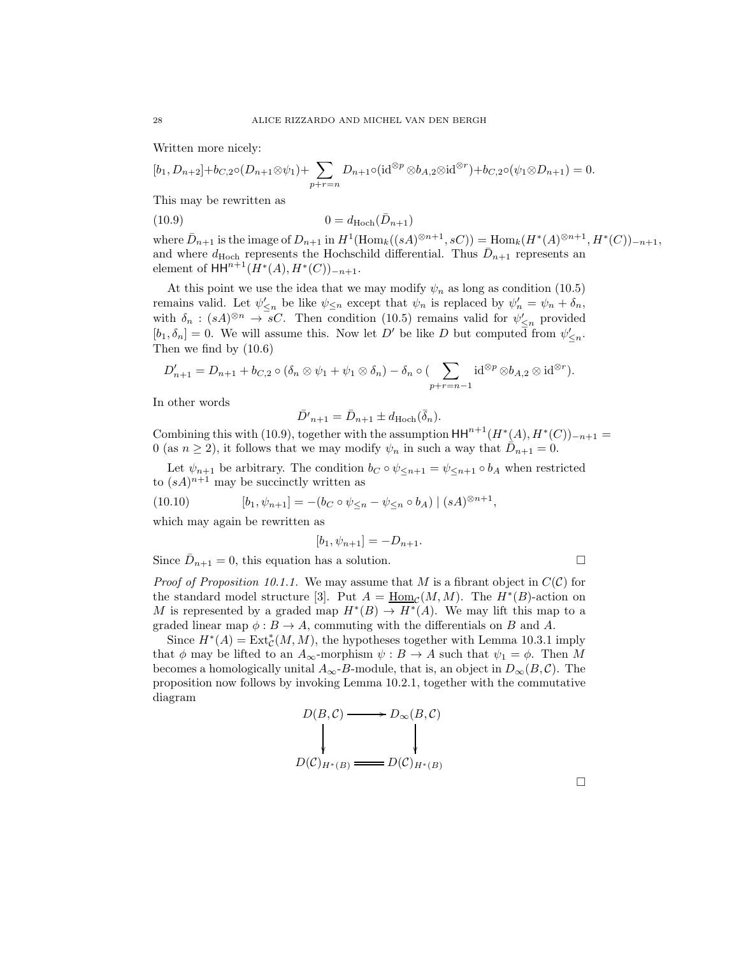Written more nicely:

$$
[b_1, D_{n+2}] + b_{C,2} \circ (D_{n+1} \otimes \psi_1) + \sum_{p+r=n} D_{n+1} \circ (\mathrm{id}^{\otimes p} \otimes b_{A,2} \otimes \mathrm{id}^{\otimes r}) + b_{C,2} \circ (\psi_1 \otimes D_{n+1}) = 0.
$$

This may be rewritten as

$$
(10.9) \t\t 0 = d_{\text{Hoch}}(\bar{D}_{n+1})
$$

where  $\bar{D}_{n+1}$  is the image of  $D_{n+1}$  in  $H^1(\text{Hom}_k((sA)^{\otimes n+1}, sC)) = \text{Hom}_k(H^*(A)^{\otimes n+1}, H^*(C))_{-n+1},$ and where  $d_{\text{Hoch}}$  represents the Hochschild differential. Thus  $\bar{D}_{n+1}$  represents an element of  $HH^{n+1}(H^*(A), H^*(C))_{-n+1}$ .

At this point we use the idea that we may modify  $\psi_n$  as long as condition (10.5) remains valid. Let  $\psi'_{\leq n}$  be like  $\psi_{\leq n}$  except that  $\psi_n$  is replaced by  $\psi'_n = \psi_n + \delta_n$ , with  $\delta_n : (sA)^{\otimes n} \to sC$ . Then condition (10.5) remains valid for  $\psi'_{\leq n}$  provided  $[b_1, \delta_n] = 0$ . We will assume this. Now let D' be like D but computed from  $\psi'_{\leq n}$ . Then we find by (10.6)

$$
D'_{n+1} = D_{n+1} + b_{C,2} \circ (\delta_n \otimes \psi_1 + \psi_1 \otimes \delta_n) - \delta_n \circ (\sum_{p+r=n-1} \mathrm{id}^{\otimes p} \otimes b_{A,2} \otimes \mathrm{id}^{\otimes r}).
$$

In other words

$$
\bar{D'}_{n+1} = \bar{D}_{n+1} \pm d_{\text{Hoch}}(\bar{\delta}_n).
$$

Combining this with (10.9), together with the assumption  $HH^{n+1}(H^*(A), H^*(C))_{-n+1} =$ 0 (as  $n \ge 2$ ), it follows that we may modify  $\psi_n$  in such a way that  $\overrightarrow{D}_{n+1} = 0$ .

Let  $\psi_{n+1}$  be arbitrary. The condition  $b_C \circ \psi_{\leq n+1} = \psi_{\leq n+1} \circ b_A$  when restricted to  $(sA)^{n+1}$  may be succinctly written as

(10.10) 
$$
[b_1, \psi_{n+1}] = -(b_C \circ \psi_{\leq n} - \psi_{\leq n} \circ b_A) | (sA)^{\otimes n+1},
$$

which may again be rewritten as

$$
[b_1, \psi_{n+1}] = -D_{n+1}.
$$

Since  $\bar{D}_{n+1} = 0$ , this equation has a solution.

*Proof of Proposition 10.1.1.* We may assume that M is a fibrant object in  $C(\mathcal{C})$  for the standard model structure [3]. Put  $A = \underline{\text{Hom}}_{\mathcal{C}}(M, M)$ . The  $H^*(B)$ -action on M is represented by a graded map  $H^*(B) \to H^*(A)$ . We may lift this map to a graded linear map  $\phi : B \to A$ , commuting with the differentials on B and A.

Since  $H^*(A) = \text{Ext}^*_{\mathcal{C}}(M, M)$ , the hypotheses together with Lemma 10.3.1 imply that  $\phi$  may be lifted to an  $A_{\infty}$ -morphism  $\psi : B \to A$  such that  $\psi_1 = \phi$ . Then M becomes a homologically unital  $A_{\infty}$ -B-module, that is, an object in  $D_{\infty}(B, \mathcal{C})$ . The proposition now follows by invoking Lemma 10.2.1, together with the commutative diagram

$$
D(B,C) \longrightarrow D_{\infty}(B,C)
$$
  
\n
$$
D(C)_{H^*(B)} \longrightarrow D(C)_{H^*(B)}
$$

 $\Box$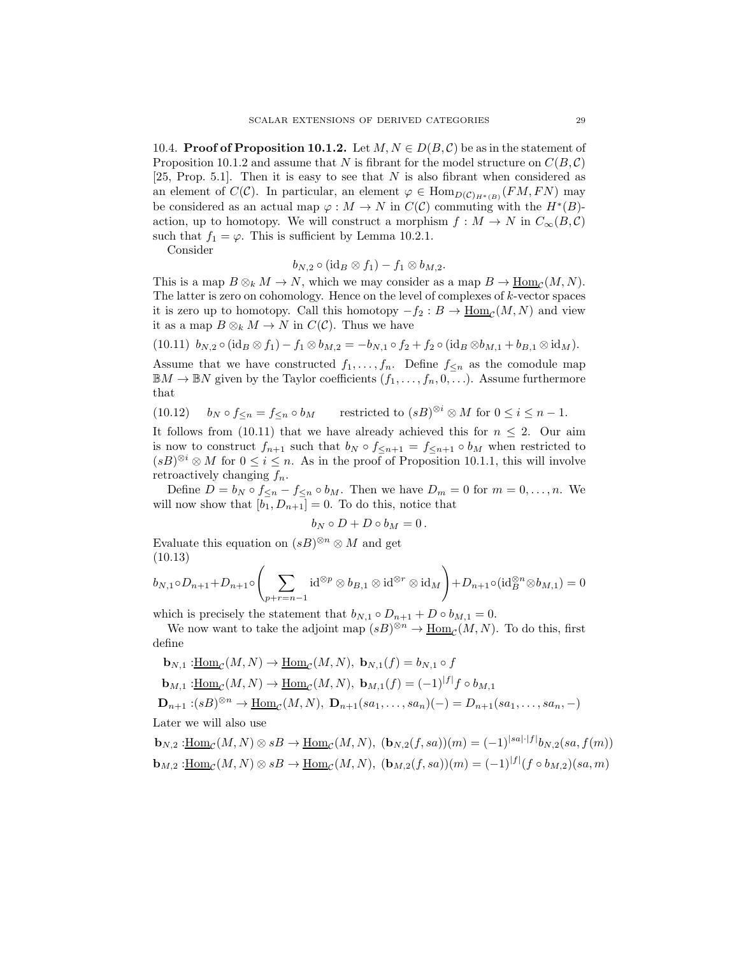10.4. **Proof of Proposition 10.1.2.** Let  $M, N \in D(B, \mathcal{C})$  be as in the statement of Proposition 10.1.2 and assume that N is fibrant for the model structure on  $C(B, \mathcal{C})$ [25, Prop. 5.1]. Then it is easy to see that  $N$  is also fibrant when considered as an element of  $C(\mathcal{C})$ . In particular, an element  $\varphi \in \text{Hom}_{D(\mathcal{C})_{H^*(B)}}(FM, FN)$  may be considered as an actual map  $\varphi : M \to N$  in  $C(\mathcal{C})$  commuting with the  $H^*(B)$ action, up to homotopy. We will construct a morphism  $f : M \to N$  in  $C_{\infty}(B, \mathcal{C})$ such that  $f_1 = \varphi$ . This is sufficient by Lemma 10.2.1.

Consider

$$
b_{N,2}\circ({\rm id}_B\otimes f_1)-f_1\otimes b_{M,2}.
$$

This is a map  $B \otimes_k M \to N$ , which we may consider as a map  $B \to \underline{\text{Hom}}_{\mathcal{C}}(M, N)$ . The latter is zero on cohomology. Hence on the level of complexes of  $k$ -vector spaces it is zero up to homotopy. Call this homotopy  $-f_2: B \to \underline{\text{Hom}}_{\mathcal{C}}(M, N)$  and view it as a map  $B \otimes_k M \to N$  in  $C(\mathcal{C})$ . Thus we have

$$
(10.11) b_{N,2} \circ (\mathrm{id}_B \otimes f_1) - f_1 \otimes b_{M,2} = -b_{N,1} \circ f_2 + f_2 \circ (\mathrm{id}_B \otimes b_{M,1} + b_{B,1} \otimes \mathrm{id}_M).
$$

Assume that we have constructed  $f_1, \ldots, f_n$ . Define  $f_{\leq n}$  as the comodule map  $\mathbb{B}M \to \mathbb{B}N$  given by the Taylor coefficients  $(f_1, \ldots, f_n, 0, \ldots)$ . Assume furthermore that

(10.12) 
$$
b_N \circ f_{\leq n} = f_{\leq n} \circ b_M
$$
 restricted to  $(sB)^{\otimes i} \otimes M$  for  $0 \leq i \leq n-1$ .

It follows from (10.11) that we have already achieved this for  $n \leq 2$ . Our aim is now to construct  $f_{n+1}$  such that  $b_N \circ f_{\leq n+1} = f_{\leq n+1} \circ b_M$  when restricted to  $(sB)^{\otimes i} \otimes M$  for  $0 \leq i \leq n$ . As in the proof of Proposition 10.1.1, this will involve retroactively changing  $f_n$ .

Define  $D = b_N \circ f \leq n - f \leq n \circ b_M$ . Then we have  $D_m = 0$  for  $m = 0, \ldots, n$ . We will now show that  $[b_1, D_{n+1}] = 0$ . To do this, notice that

$$
b_N\circ D+D\circ b_M=0\,.
$$

Evaluate this equation on  $(sB)^{\otimes n} \otimes M$  and get (10.13)

$$
b_{N,1}\circ D_{n+1}+D_{n+1}\circ \left(\sum_{p+r=n-1} \operatorname{id}^{\otimes p}\otimes b_{B,1}\otimes \operatorname{id}^{\otimes r}\otimes \operatorname{id}_M\right)+D_{n+1}\circ (\operatorname{id}_B^{\otimes n}\otimes b_{M,1})=0
$$

which is precisely the statement that  $b_{N,1} \circ D_{n+1} + D \circ b_{M,1} = 0$ .

We now want to take the adjoint map  $(sB)^{\otimes n} \to \underline{\mathrm{Hom}}_{\mathcal{C}}(M,N)$ . To do this, first define

$$
\mathbf{b}_{N,1} : \underline{\text{Hom}}_{\mathcal{C}}(M,N) \to \underline{\text{Hom}}_{\mathcal{C}}(M,N), \ \mathbf{b}_{N,1}(f) = b_{N,1} \circ f
$$
\n
$$
\mathbf{b}_{M,1} : \underline{\text{Hom}}_{\mathcal{C}}(M,N) \to \underline{\text{Hom}}_{\mathcal{C}}(M,N), \ \mathbf{b}_{M,1}(f) = (-1)^{|f|} f \circ b_{M,1}
$$
\n
$$
\mathbf{D}_{n+1} : (sB)^{\otimes n} \to \underline{\text{Hom}}_{\mathcal{C}}(M,N), \ \mathbf{D}_{n+1}(sa_1, \dots, sa_n)(-) = D_{n+1}(sa_1, \dots, sa_n, -)
$$
\nLater we will also use

 $\mathbf{b}_{N,2}$ : $\underline{\text{Hom}}_{\mathcal{C}}(M,N) \otimes sB \to \underline{\text{Hom}}_{\mathcal{C}}(M,N)$ ,  $(\mathbf{b}_{N,2}(f,sa))(m) = (-1)^{|sa|\cdot|f|} b_{N,2}(sa, f(m))$  $\mathbf{b}_{M,2} : \underline{\text{Hom}}_{\mathcal{C}}(M, N) \otimes sB \to \underline{\text{Hom}}_{\mathcal{C}}(M, N), \ (\mathbf{b}_{M,2}(f, sa))(m) = (-1)^{|f|}(f \circ b_{M,2})(sa, m)$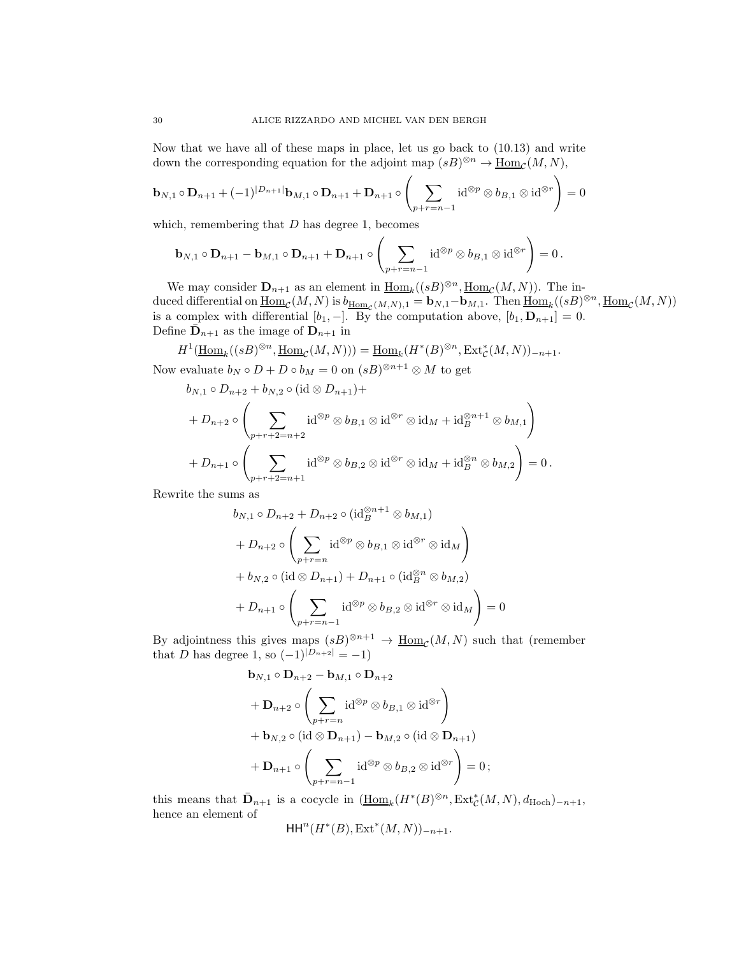Now that we have all of these maps in place, let us go back to (10.13) and write down the corresponding equation for the adjoint map  $(sB)^{\otimes n} \to \underline{\text{Hom}}_{\mathcal{C}}(M, N)$ ,

$$
\mathbf{b}_{N,1} \circ \mathbf{D}_{n+1} + (-1)^{|D_{n+1}|} \mathbf{b}_{M,1} \circ \mathbf{D}_{n+1} + \mathbf{D}_{n+1} \circ \left( \sum_{p+r=n-1} \mathrm{id}^{\otimes p} \otimes b_{B,1} \otimes \mathrm{id}^{\otimes r} \right) = 0
$$

which, remembering that  $D$  has degree 1, becomes

$$
\mathbf{b}_{N,1}\circ \mathbf{D}_{n+1}-\mathbf{b}_{M,1}\circ \mathbf{D}_{n+1}+\mathbf{D}_{n+1}\circ \left(\sum_{p+r=n-1} {\rm id}^{\otimes p}\otimes b_{B,1}\otimes {\rm id}^{\otimes r}\right)=0\,.
$$

We may consider  $\mathbf{D}_{n+1}$  as an element in  $\underline{\text{Hom}}_k((sB)^{\otimes n}, \underline{\text{Hom}}_{\mathcal{C}}(M, N))$ . The induced differential on  $\underline{\mathrm{Hom}}_{\mathcal{C}}(M,N)$  is  $b_{\underline{\mathrm{Hom}}_{\mathcal{C}}(M,N),1} = \mathbf{b}_{N,1}-\mathbf{b}_{M,1}$ . Then  $\underline{\mathrm{Hom}}_k((sB)^{\otimes n},\underline{\mathrm{Hom}}_{\mathcal{C}}(M,N))$ is a complex with differential  $[b_1, -]$ . By the computation above,  $[b_1, \mathbf{D}_{n+1}] = 0$ . Define  $\bar{\mathbf{D}}_{n+1}$  as the image of  $\mathbf{D}_{n+1}$  in

$$
H^1(\underline{\mathrm{Hom}}_k((sB)^{\otimes n}, \underline{\mathrm{Hom}}_{\mathcal{C}}(M, N))) = \underline{\mathrm{Hom}}_k(H^*(B)^{\otimes n}, \mathrm{Ext}^*_{\mathcal{C}}(M, N))_{-n+1}.
$$

Now evaluate  $b_N \circ D + D \circ b_M = 0$  on  $(sB)^{\otimes n+1} \otimes M$  to get

$$
b_{N,1} \circ D_{n+2} + b_{N,2} \circ (\mathrm{id} \otimes D_{n+1}) +
$$
  
+ 
$$
D_{n+2} \circ \left( \sum_{p+r+2=n+2} \mathrm{id}^{\otimes p} \otimes b_{B,1} \otimes \mathrm{id}^{\otimes r} \otimes \mathrm{id}_M + \mathrm{id}_B^{\otimes n+1} \otimes b_{M,1} \right)
$$
  
+ 
$$
D_{n+1} \circ \left( \sum_{p+r+2=n+1} \mathrm{id}^{\otimes p} \otimes b_{B,2} \otimes \mathrm{id}^{\otimes r} \otimes \mathrm{id}_M + \mathrm{id}_B^{\otimes n} \otimes b_{M,2} \right) = 0.
$$

Rewrite the sums as

$$
b_{N,1} \circ D_{n+2} + D_{n+2} \circ (\mathrm{id}_{B}^{\otimes n+1} \otimes b_{M,1})
$$
  
+ 
$$
D_{n+2} \circ \left( \sum_{p+r=n} \mathrm{id}^{\otimes p} \otimes b_{B,1} \otimes \mathrm{id}^{\otimes r} \otimes \mathrm{id}_M \right)
$$
  
+ 
$$
b_{N,2} \circ (\mathrm{id} \otimes D_{n+1}) + D_{n+1} \circ (\mathrm{id}_{B}^{\otimes n} \otimes b_{M,2})
$$
  
+ 
$$
D_{n+1} \circ \left( \sum_{p+r=n-1} \mathrm{id}^{\otimes p} \otimes b_{B,2} \otimes \mathrm{id}^{\otimes r} \otimes \mathrm{id}_M \right) = 0
$$

By adjointness this gives maps  $(sB)^{\otimes n+1} \to \underline{\text{Hom}}_{\mathcal{C}}(M,N)$  such that (remember that *D* has degree 1, so  $(-1)^{|D_{n+2}|} = -1$ )

$$
\mathbf{b}_{N,1} \circ \mathbf{D}_{n+2} - \mathbf{b}_{M,1} \circ \mathbf{D}_{n+2}
$$
\n
$$
+ \mathbf{D}_{n+2} \circ \left( \sum_{p+r=n} \operatorname{id}^{\otimes p} \otimes b_{B,1} \otimes \operatorname{id}^{\otimes r} \right)
$$
\n
$$
+ \mathbf{b}_{N,2} \circ (\operatorname{id} \otimes \mathbf{D}_{n+1}) - \mathbf{b}_{M,2} \circ (\operatorname{id} \otimes \mathbf{D}_{n+1})
$$
\n
$$
+ \mathbf{D}_{n+1} \circ \left( \sum_{p+r=n-1} \operatorname{id}^{\otimes p} \otimes b_{B,2} \otimes \operatorname{id}^{\otimes r} \right) = 0;
$$

this means that  $\bar{\mathbf{D}}_{n+1}$  is a cocycle in  $(\underline{\text{Hom}}_k(H^*(B)^{\otimes n}, \text{Ext}^*_{\mathcal{C}}(M,N), d_{\text{Hoch}})_{-n+1},$ hence an element of

$$
\mathsf{HH}^n(H^*(B), \operatorname{Ext}^*(M, N))_{-n+1}.
$$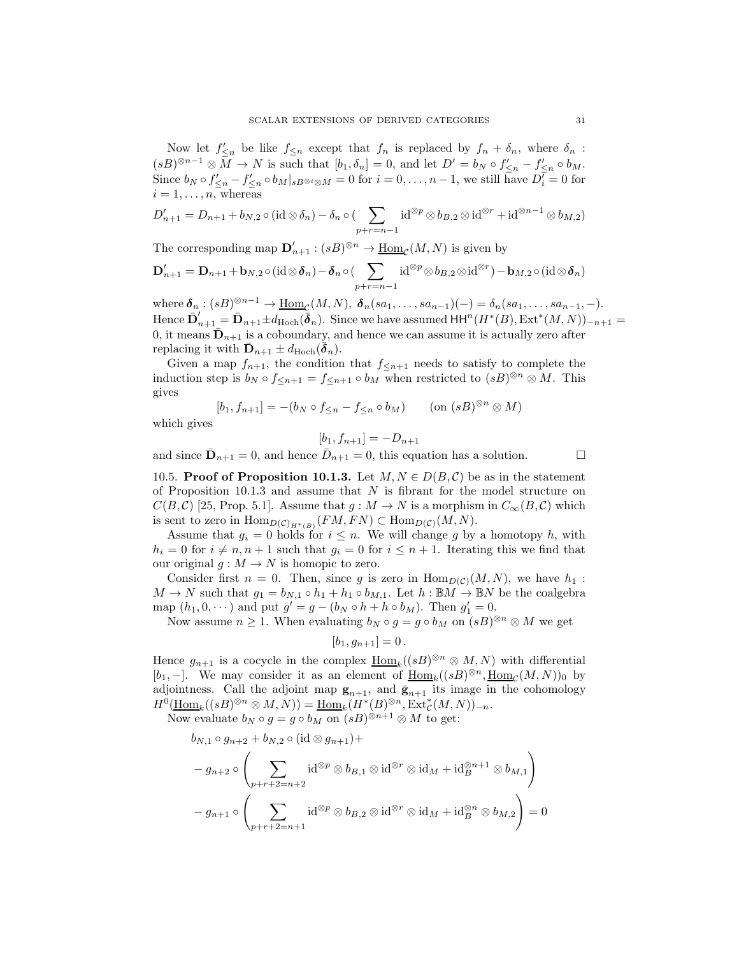Now let  $f'_{\leq n}$  be like  $f_{\leq n}$  except that  $f_n$  is replaced by  $f_n + \delta_n$ , where  $\delta_n$ :  $(sB)^{\otimes n-1} \otimes M \to N$  is such that  $[b_1, \delta_n] = 0$ , and let  $D' = b_N \circ f'_{\leq n} - f'_{\leq n} \circ b_M$ . Since  $b_N \circ f'_{\leq n} - f'_{\leq n} \circ b_M|_{sB^{\otimes i} \otimes M} = 0$  for  $i = 0, \ldots, n-1$ , we still have  $D_i^{\overline{\ell}} = 0$  for  $i = 1, \ldots, n$ , whereas

$$
D'_{n+1} = D_{n+1} + b_{N,2} \circ (\text{id} \otimes \delta_n) - \delta_n \circ (\sum_{p+r=n-1} \text{id}^{\otimes p} \otimes b_{B,2} \otimes \text{id}^{\otimes r} + \text{id}^{\otimes n-1} \otimes b_{M,2})
$$

The corresponding map  $\mathbf{D}'_{n+1} : (sB)^{\otimes n} \to \underline{\mathrm{Hom}}_{\mathcal{C}}(M,N)$  is given by

$$
\mathbf{D}'_{n+1} = \mathbf{D}_{n+1} + \mathbf{b}_{N,2} \circ (\mathrm{id} \otimes \boldsymbol{\delta}_n) - \boldsymbol{\delta}_n \circ (\sum_{p+r=n-1} \mathrm{id}^{\otimes p} \otimes b_{B,2} \otimes \mathrm{id}^{\otimes r}) - \mathbf{b}_{M,2} \circ (\mathrm{id} \otimes \boldsymbol{\delta}_n)
$$

where  $\delta_n : (sB)^{\otimes n-1} \to \underline{\text{Hom}}_{\mathcal{C}}(M,N)$ ,  $\delta_n(sa_1,\ldots,sa_{n-1})(-) = \delta_n(sa_1,\ldots,sa_{n-1},-)$ . Hence  $\bar{\mathbf{D}}'_{n+1} = \bar{\mathbf{D}}_{n+1} \pm d_{\text{Hoch}}(\bar{\boldsymbol{\delta}}_n)$ . Since we have assumed  $\text{HH}^n(H^*(B), \text{Ext}^*(M, N))_{-n+1} =$ 0, it means  $\bar{\mathbf{D}}_{n+1}$  is a coboundary, and hence we can assume it is actually zero after replacing it with  $\bar{\mathbf{D}}_{n+1} \pm d_{\text{Hoch}}(\bar{\boldsymbol{\delta}}_n)$ .

Given a map  $f_{n+1}$ , the condition that  $f_{\leq n+1}$  needs to satisfy to complete the induction step is  $b_N \circ f_{\leq n+1} = f_{\leq n+1} \circ b_M$  when restricted to  $(sB)^{\otimes n} \otimes M$ . This gives

$$
[b_1, f_{n+1}] = -(b_N \circ f_{\leq n} - f_{\leq n} \circ b_M) \qquad (\text{on } (sB)^{\otimes n} \otimes M)
$$

which gives

$$
[b_1, f_{n+1}] = -D_{n+1}
$$

and since  $\bar{\mathbf{D}}_{n+1} = 0$ , and hence  $\bar{D}_{n+1} = 0$ , this equation has a solution.

10.5. Proof of Proposition 10.1.3. Let  $M, N \in D(B, \mathcal{C})$  be as in the statement of Proposition 10.1.3 and assume that  $N$  is fibrant for the model structure on  $C(B,\mathcal{C})$  [25, Prop. 5.1]. Assume that  $g : M \to N$  is a morphism in  $C_{\infty}(B,\mathcal{C})$  which is sent to zero in  $\text{Hom}_{D(\mathcal{C})_{H^*(B)}}(FM, FN) \subset \text{Hom}_{D(\mathcal{C})}(M, N)$ .

Assume that  $g_i = 0$  holds for  $i \leq n$ . We will change g by a homotopy h, with  $h_i = 0$  for  $i \neq n, n + 1$  such that  $g_i = 0$  for  $i \leq n + 1$ . Iterating this we find that our original  $g : M \to N$  is homopic to zero.

Consider first  $n = 0$ . Then, since g is zero in  $\text{Hom}_{D(C)}(M, N)$ , we have  $h_1$ :  $M \to N$  such that  $g_1 = b_{N,1} \circ h_1 + h_1 \circ b_{M,1}$ . Let  $h : \mathbb{B}M \to \mathbb{B}N$  be the coalgebra map  $(h_1, 0, \dots)$  and put  $g' = g - (b_N \circ h + h \circ b_M)$ . Then  $g'_1 = 0$ .

Now assume  $n \geq 1$ . When evaluating  $b_N \circ g = g \circ b_M$  on  $(sB)^{\otimes n} \otimes M$  we get

$$
[b_1,g_{n+1}]=0.
$$

Hence  $g_{n+1}$  is a cocycle in the complex  $\underline{\text{Hom}}_k((sB)^{\otimes n} \otimes M, N)$  with differential [b<sub>1</sub>, -]. We may consider it as an element of  $\underline{\text{Hom}}_k((sB)^{\otimes n}, \underline{\text{Hom}}_{\mathcal{C}}(M, N))_0$  by adjointness. Call the adjoint map  $g_{n+1}$ , and  $\bar{g}_{n+1}$  its image in the cohomology  $H^0(\underline{\operatorname{Hom}}_k((sB)^{\otimes n}\otimes M,N))=\underline{\operatorname{Hom}}_k(H^*(B)^{\otimes n},\operatorname{Ext}^*_{\mathcal{C}}(M,N))_{-n}.$ 

Now evaluate  $b_N \circ g = g \circ b_M$  on  $(sB)^{\otimes n+1} \otimes M$  to get:

$$
b_{N,1} \circ g_{n+2} + b_{N,2} \circ (\mathrm{id} \otimes g_{n+1}) +
$$
  

$$
-g_{n+2} \circ \left( \sum_{p+r+2=n+2} \mathrm{id}^{\otimes p} \otimes b_{B,1} \otimes \mathrm{id}^{\otimes r} \otimes \mathrm{id}_M + \mathrm{id}_B^{\otimes n+1} \otimes b_{M,1} \right)
$$
  

$$
-g_{n+1} \circ \left( \sum_{p+r+2=n+1} \mathrm{id}^{\otimes p} \otimes b_{B,2} \otimes \mathrm{id}^{\otimes r} \otimes \mathrm{id}_M + \mathrm{id}_B^{\otimes n} \otimes b_{M,2} \right) = 0
$$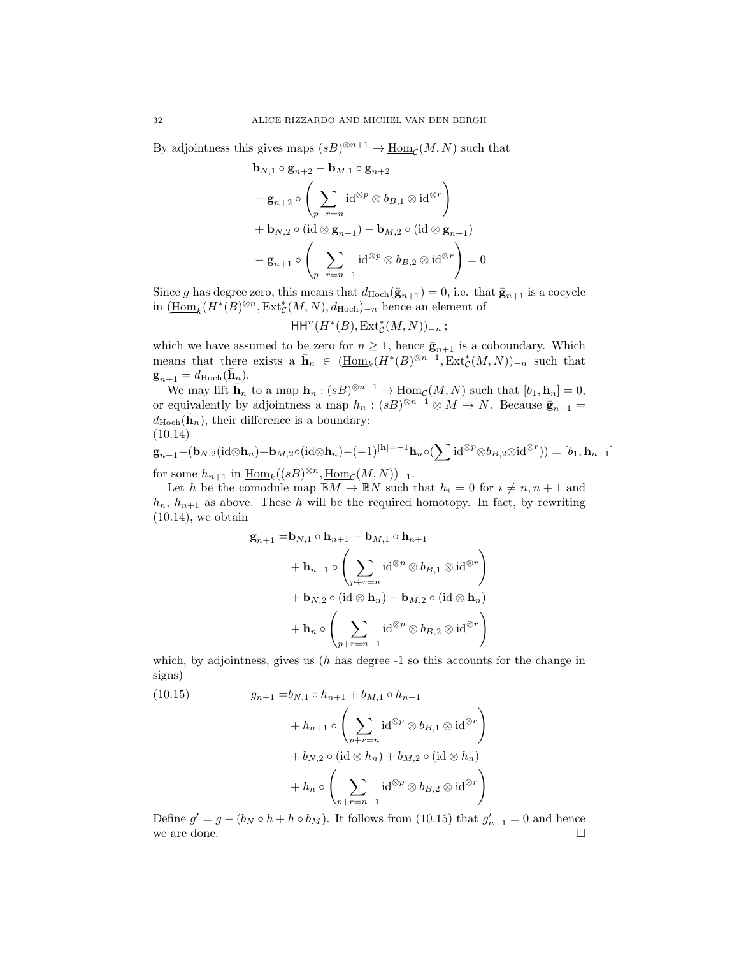By adjointness this gives maps  $(sB)^{\otimes n+1} \to \underline{\text{Hom}}_{\mathcal{C}}(M, N)$  such that

$$
\mathbf{b}_{N,1} \circ \mathbf{g}_{n+2} - \mathbf{b}_{M,1} \circ \mathbf{g}_{n+2}
$$
\n
$$
- \mathbf{g}_{n+2} \circ \left( \sum_{p+r=n} \operatorname{id}^{\otimes p} \otimes b_{B,1} \otimes \operatorname{id}^{\otimes r} \right)
$$
\n
$$
+ \mathbf{b}_{N,2} \circ (\operatorname{id} \otimes \mathbf{g}_{n+1}) - \mathbf{b}_{M,2} \circ (\operatorname{id} \otimes \mathbf{g}_{n+1})
$$
\n
$$
- \mathbf{g}_{n+1} \circ \left( \sum_{p+r=n-1} \operatorname{id}^{\otimes p} \otimes b_{B,2} \otimes \operatorname{id}^{\otimes r} \right) = 0
$$

Since g has degree zero, this means that  $d_{\text{Hoch}}(\bar{\mathbf{g}}_{n+1}) = 0$ , i.e. that  $\bar{\mathbf{g}}_{n+1}$  is a cocycle in  $(\underline{\mathrm{Hom}}_k(H^*(B)^{\otimes n}, \mathrm{Ext}_{\mathcal{C}}^*(M, N), d_{\mathrm{Hoch}})_{-n}$  hence an element of

$$
\mathsf{HH}^n(H^*(B), \operatorname{Ext}^*_{\mathcal{C}}(M,N))_{-n};
$$

which we have assumed to be zero for  $n \geq 1$ , hence  $\bar{\mathbf{g}}_{n+1}$  is a coboundary. Which means that there exists a  $\bar{\mathbf{h}}_n \in (\underline{\text{Hom}_k}(H^*(B)^{\otimes n-1}, \text{Ext}^*_{\mathcal{C}}(M,N))_{-n}$  such that  $\bar{\mathbf{g}}_{n+1} = d_{\mathrm{Hoch}}(\bar{\mathbf{h}}_n).$ 

We may lift  $\bar{\mathbf{h}}_n$  to a map  $\mathbf{h}_n : (sB)^{\otimes n-1} \to \text{Hom}_{\mathcal{C}}(M,N)$  such that  $[b_1, \mathbf{h}_n] = 0$ , or equivalently by adjointness a map  $h_n : (sB)^{\otimes n-1} \otimes M \to N$ . Because  $\bar{\mathbf{g}}_{n+1} =$  $d_{\text{Hoch}}(\bar{\mathbf{h}}_n)$ , their difference is a boundary: (10.14)

$$
\mathbf{g}_{n+1} - (\mathbf{b}_{N,2}(\mathrm{id}\otimes \mathbf{h}_n) + \mathbf{b}_{M,2}\circ(\mathrm{id}\otimes \mathbf{h}_n) - (-1)^{|\mathbf{h}|=-1}\mathbf{h}_n\circ(\sum \mathrm{id}^{\otimes p}\otimes b_{B,2}\otimes \mathrm{id}^{\otimes r})) = [b_1, \mathbf{h}_{n+1}]
$$

for some  $h_{n+1}$  in  $\underline{\text{Hom}}_k((sB)^{\otimes n}, \underline{\text{Hom}}_{\mathcal{C}}(M, N))_{-1}.$ 

Let h be the comodule map  $\mathbb{B}M \to \mathbb{B}N$  such that  $h_i = 0$  for  $i \neq n, n + 1$  and  $h_n$ ,  $h_{n+1}$  as above. These h will be the required homotopy. In fact, by rewriting  $(10.14)$ , we obtain

$$
\mathbf{g}_{n+1} = \mathbf{b}_{N,1} \circ \mathbf{h}_{n+1} - \mathbf{b}_{M,1} \circ \mathbf{h}_{n+1}
$$
  
+ 
$$
\mathbf{h}_{n+1} \circ \left( \sum_{p+r=n} \mathrm{id}^{\otimes p} \otimes b_{B,1} \otimes \mathrm{id}^{\otimes r} \right)
$$
  
+ 
$$
\mathbf{b}_{N,2} \circ (\mathrm{id} \otimes \mathbf{h}_n) - \mathbf{b}_{M,2} \circ (\mathrm{id} \otimes \mathbf{h}_n)
$$
  
+ 
$$
\mathbf{h}_n \circ \left( \sum_{p+r=n-1} \mathrm{id}^{\otimes p} \otimes b_{B,2} \otimes \mathrm{id}^{\otimes r} \right)
$$

which, by adjointness, gives us  $(h)$  has degree  $-1$  so this accounts for the change in signs)

(10.15) 
$$
g_{n+1} = b_{N,1} \circ h_{n+1} + b_{M,1} \circ h_{n+1} + h_{n+1} \circ \left( \sum_{p+r=n} \operatorname{id}^{\otimes p} \otimes b_{B,1} \otimes \operatorname{id}^{\otimes r} \right) + b_{N,2} \circ (\operatorname{id} \otimes h_n) + b_{M,2} \circ (\operatorname{id} \otimes h_n) + h_n \circ \left( \sum_{p+r=n-1} \operatorname{id}^{\otimes p} \otimes b_{B,2} \otimes \operatorname{id}^{\otimes r} \right)
$$

Define  $g' = g - (b_N \circ h + h \circ b_M)$ . It follows from (10.15) that  $g'_{n+1} = 0$  and hence we are done.  $\Box$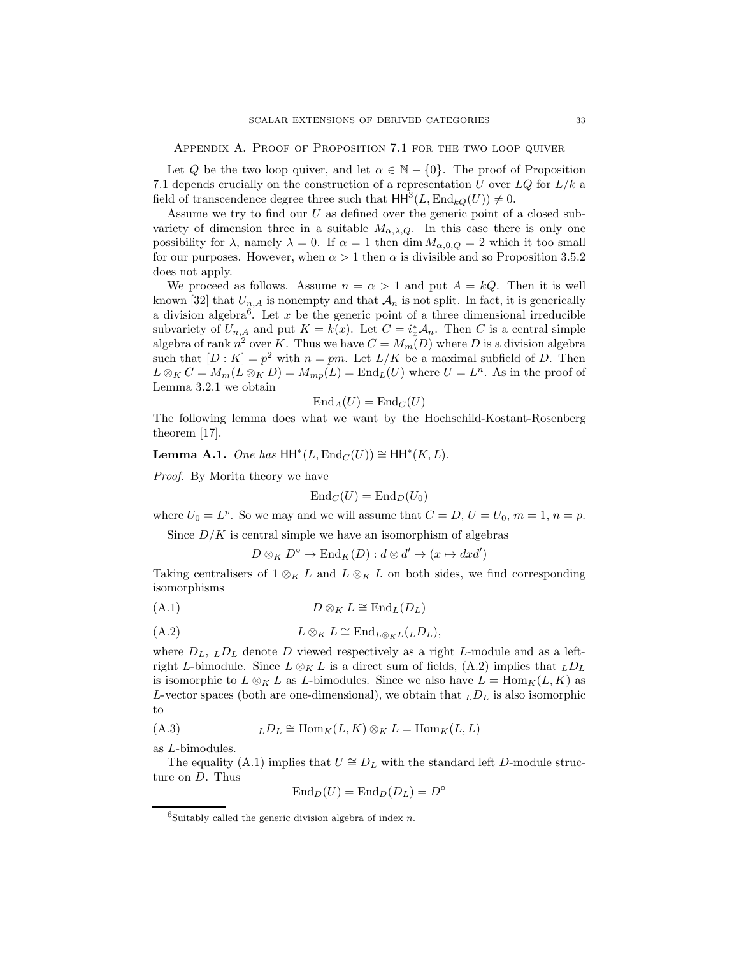Appendix A. Proof of Proposition 7.1 for the two loop quiver

Let Q be the two loop quiver, and let  $\alpha \in \mathbb{N} - \{0\}$ . The proof of Proposition 7.1 depends crucially on the construction of a representation U over  $LQ$  for  $L/k$  a field of transcendence degree three such that  $HH^3(L,\text{End}_{kQ}(U)) \neq 0$ .

Assume we try to find our  $U$  as defined over the generic point of a closed subvariety of dimension three in a suitable  $M_{\alpha,\lambda,Q}$ . In this case there is only one possibility for  $\lambda$ , namely  $\lambda = 0$ . If  $\alpha = 1$  then dim  $M_{\alpha,0,Q} = 2$  which it too small for our purposes. However, when  $\alpha > 1$  then  $\alpha$  is divisible and so Proposition 3.5.2 does not apply.

We proceed as follows. Assume  $n = \alpha > 1$  and put  $A = kQ$ . Then it is well known [32] that  $U_{n,A}$  is nonempty and that  $\mathcal{A}_n$  is not split. In fact, it is generically a division algebra<sup>6</sup>. Let x be the generic point of a three dimensional irreducible subvariety of  $U_{n,A}$  and put  $K = k(x)$ . Let  $C = i^*_{x} \mathcal{A}_n$ . Then C is a central simple algebra of rank  $n^2$  over K. Thus we have  $C = M_m(D)$  where D is a division algebra such that  $[D: K] = p^2$  with  $n = pm$ . Let  $L/K$  be a maximal subfield of D. Then  $L \otimes_K C = M_m(L \otimes_K D) = M_{mp}(L) = \text{End}_L(U)$  where  $U = L^n$ . As in the proof of Lemma 3.2.1 we obtain

$$
\mathrm{End}_A(U) = \mathrm{End}_C(U)
$$

The following lemma does what we want by the Hochschild-Kostant-Rosenberg theorem [17].

Lemma A.1. One has  $HH^*(L, End_C(U)) \cong HH^*(K, L)$ .

Proof. By Morita theory we have

$$
End_C(U) = End_D(U_0)
$$

where  $U_0 = L^p$ . So we may and we will assume that  $C = D$ ,  $U = U_0$ ,  $m = 1$ ,  $n = p$ .

Since  $D/K$  is central simple we have an isomorphism of algebras

$$
D \otimes_K D^{\circ} \to \text{End}_K(D) : d \otimes d' \mapsto (x \mapsto dxd')
$$

Taking centralisers of  $1 \otimes_K L$  and  $L \otimes_K L$  on both sides, we find corresponding isomorphisms

$$
(A.1) \t\t D \otimes_K L \cong \text{End}_L(D_L)
$$

$$
(A.2) \tL \otimes_K L \cong \mathrm{End}_{L \otimes_K L(L} D_L),
$$

where  $D_L$ ,  $L D_L$  denote D viewed respectively as a right L-module and as a leftright L-bimodule. Since  $L \otimes_K L$  is a direct sum of fields, (A.2) implies that  $_L D_L$ is isomorphic to  $L \otimes_K L$  as L-bimodules. Since we also have  $L = \text{Hom}_K(L, K)$  as L-vector spaces (both are one-dimensional), we obtain that  $_LD_L$  is also isomorphic to

(A.3) 
$$
{}_L D_L \cong \text{Hom}_K(L, K) \otimes_K L = \text{Hom}_K(L, L)
$$

as L-bimodules.

The equality (A.1) implies that  $U \cong D_L$  with the standard left D-module structure on D. Thus

$$
\mathrm{End}_D(U) = \mathrm{End}_D(D_L) = D^\circ
$$

 $6Suitably called the generic division algebra of index n.$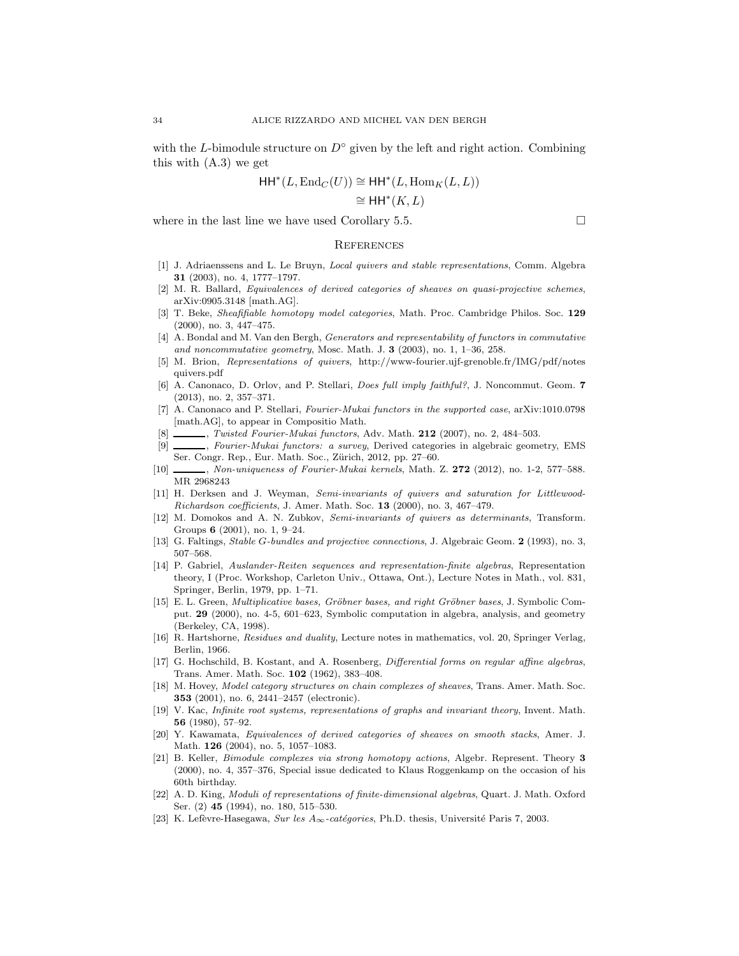with the L-bimodule structure on  $D^{\circ}$  given by the left and right action. Combining this with (A.3) we get

$$
\mathsf{HH}^*(L,\mathrm{End}_C(U)) \cong \mathsf{HH}^*(L,\mathrm{Hom}_K(L,L))
$$

$$
\cong \mathsf{HH}^*(K,L)
$$

where in the last line we have used Corollary 5.5.  $\Box$ 

#### **REFERENCES**

- [1] J. Adriaenssens and L. Le Bruyn, *Local quivers and stable representations*, Comm. Algebra 31 (2003), no. 4, 1777–1797.
- [2] M. R. Ballard, Equivalences of derived categories of sheaves on quasi-projective schemes, arXiv:0905.3148 [math.AG].
- [3] T. Beke, Sheafifiable homotopy model categories, Math. Proc. Cambridge Philos. Soc. 129 (2000), no. 3, 447–475.
- [4] A. Bondal and M. Van den Bergh, Generators and representability of functors in commutative and noncommutative geometry, Mosc. Math. J.  $3$  (2003), no. 1, 1–36, 258.
- [5] M. Brion, Representations of quivers, http://www-fourier.ujf-grenoble.fr/IMG/pdf/notes quivers.pdf
- [6] A. Canonaco, D. Orlov, and P. Stellari, Does full imply faithful?, J. Noncommut. Geom. 7 (2013), no. 2, 357–371.
- [7] A. Canonaco and P. Stellari, Fourier-Mukai functors in the supported case, arXiv:1010.0798 [math.AG], to appear in Compositio Math.
- [8] , Twisted Fourier-Mukai functors, Adv. Math. 212 (2007), no. 2, 484–503.
- [9] , Fourier-Mukai functors: a survey, Derived categories in algebraic geometry, EMS Ser. Congr. Rep., Eur. Math. Soc., Zürich, 2012, pp. 27-60.
- [10] , Non-uniqueness of Fourier-Mukai kernels, Math. Z. 272 (2012), no. 1-2, 577-588. MR 2968243
- [11] H. Derksen and J. Weyman, Semi-invariants of quivers and saturation for Littlewood-Richardson coefficients, J. Amer. Math. Soc. 13 (2000), no. 3, 467–479.
- [12] M. Domokos and A. N. Zubkov, Semi-invariants of quivers as determinants, Transform. Groups 6 (2001), no. 1, 9–24.
- [13] G. Faltings, Stable G-bundles and projective connections, J. Algebraic Geom. 2 (1993), no. 3, 507–568.
- [14] P. Gabriel, Auslander-Reiten sequences and representation-finite algebras, Representation theory, I (Proc. Workshop, Carleton Univ., Ottawa, Ont.), Lecture Notes in Math., vol. 831, Springer, Berlin, 1979, pp. 1–71.
- [15] E. L. Green, *Multiplicative bases, Gröbner bases, and right Gröbner bases*, J. Symbolic Comput. 29 (2000), no. 4-5, 601–623, Symbolic computation in algebra, analysis, and geometry (Berkeley, CA, 1998).
- [16] R. Hartshorne, *Residues and duality*, Lecture notes in mathematics, vol. 20, Springer Verlag, Berlin, 1966.
- [17] G. Hochschild, B. Kostant, and A. Rosenberg, Differential forms on regular affine algebras, Trans. Amer. Math. Soc. 102 (1962), 383–408.
- [18] M. Hovey, Model category structures on chain complexes of sheaves, Trans. Amer. Math. Soc. 353 (2001), no. 6, 2441–2457 (electronic).
- [19] V. Kac, Infinite root systems, representations of graphs and invariant theory, Invent. Math. 56 (1980), 57–92.
- [20] Y. Kawamata, Equivalences of derived categories of sheaves on smooth stacks, Amer. J. Math. 126 (2004), no. 5, 1057–1083.
- [21] B. Keller, Bimodule complexes via strong homotopy actions, Algebr. Represent. Theory 3 (2000), no. 4, 357–376, Special issue dedicated to Klaus Roggenkamp on the occasion of his 60th birthday.
- [22] A. D. King, Moduli of representations of finite-dimensional algebras, Quart. J. Math. Oxford Ser. (2) **45** (1994), no. 180, 515–530.
- [23] K. Lefèvre-Hasegawa, Sur les  $A_{\infty}$ -catégories, Ph.D. thesis, Université Paris 7, 2003.